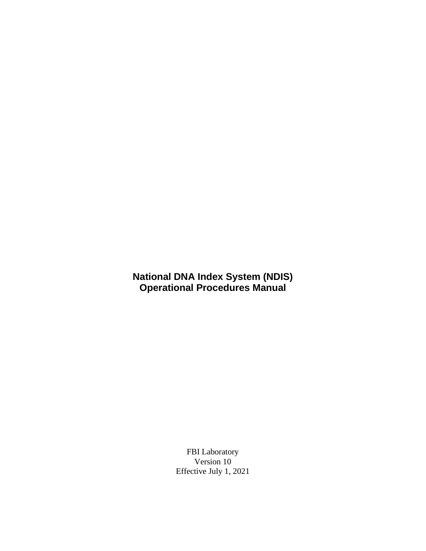### **National DNA Index System (NDIS) Operational Procedures Manual**

FBI Laboratory Version 10 Effective July 1, 2021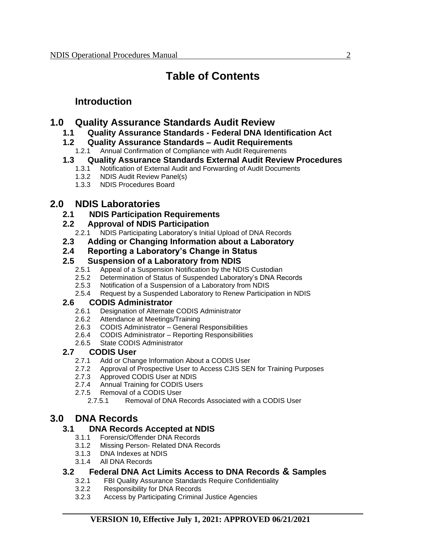# **Table of Contents**

# **Introduction**

## **1.0 Quality Assurance Standards Audit Review**

**1.1 Quality Assurance Standards - Federal DNA Identification Act**

### **1.2 Quality Assurance Standards – Audit Requirements**

1.2.1 Annual Confirmation of Compliance with Audit Requirements

### **1.3 Quality Assurance Standards External Audit Review Procedures**

- 1.3.1 Notification of External Audit and Forwarding of Audit Documents
- 1.3.2 NDIS Audit Review Panel(s)
- 1.3.3 NDIS Procedures Board

# **2.0 NDIS Laboratories**

**2.1 NDIS Participation Requirements**

### **2.2 Approval of NDIS Participation**

- 2.2.1 NDIS Participating Laboratory's Initial Upload of DNA Records
- **2.3 Adding or Changing Information about a Laboratory**
- **2.4 Reporting a Laboratory's Change in Status**

### **2.5 Suspension of a Laboratory from NDIS**

- 2.5.1 Appeal of a Suspension Notification by the NDIS Custodian
- 2.5.2 Determination of Status of Suspended Laboratory's DNA Records
- 2.5.3 Notification of a Suspension of a Laboratory from NDIS<br>2.5.4 Request by a Suspended Laboratory to Renew Participa
- 2.5.4 Request by a Suspended Laboratory to Renew Participation in NDIS

### **2.6 CODIS Administrator**

- 2.6.1 Designation of Alternate CODIS Administrator
- 2.6.2 Attendance at Meetings/Training
- 2.6.3 CODIS Administrator General Responsibilities
- 2.6.4 CODIS Administrator Reporting Responsibilities
- 2.6.5 State CODIS Administrator

### **2.7 CODIS User**

- 2.7.1 Add or Change Information About a CODIS User
- 2.7.2 Approval of Prospective User to Access CJIS SEN for Training Purposes
- 2.7.3 Approved CODIS User at NDIS
- 2.7.4 Annual Training for CODIS Users
- 2.7.5 Removal of a CODIS User
	- 2.7.5.1 Removal of DNA Records Associated with a CODIS User

# **3.0 DNA Records**

### **3.1 DNA Records Accepted at NDIS**

- 3.1.1 Forensic/Offender DNA Records
- 3.1.2 Missing Person- Related DNA Records
- 3.1.3 DNA Indexes at NDIS
- 3.1.4 All DNA Records

### **3.2 Federal DNA Act Limits Access to DNA Records & Samples**

- 3.2.1 FBI Quality Assurance Standards Require Confidentiality
- 3.2.2 Responsibility for DNA Records
- 3.2.3 Access by Participating Criminal Justice Agencies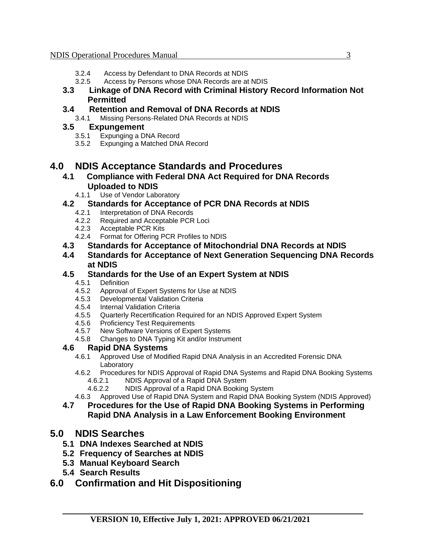- 3.2.4 Access by Defendant to DNA Records at NDIS
- 3.2.5 Access by Persons whose DNA Records are at NDIS
- **3.3 Linkage of DNA Record with Criminal History Record Information Not Permitted**

#### **3.4 Retention and Removal of DNA Records at NDIS**

3.4.1 Missing Persons-Related DNA Records at NDIS

#### **3.5 Expungement**

- 3.5.1 Expunging a DNA Record
- 3.5.2 Expunging a Matched DNA Record

### **4.0 NDIS Acceptance Standards and Procedures**

- **4.1 Compliance with Federal DNA Act Required for DNA Records Uploaded to NDIS**
	- 4.1.1 Use of Vendor Laboratory

#### **4.2 Standards for Acceptance of PCR DNA Records at NDIS**

- 4.2.1 Interpretation of DNA Records
- 4.2.2 Required and Acceptable PCR Loci
- 4.2.3 Acceptable PCR Kits
- 4.2.4 Format for Offering PCR Profiles to NDIS
- **4.3 Standards for Acceptance of Mitochondrial DNA Records at NDIS**
- **4.4 Standards for Acceptance of Next Generation Sequencing DNA Records at NDIS**

#### **4.5 Standards for the Use of an Expert System at NDIS**

- 4.5.1 Definition
- 4.5.2 Approval of Expert Systems for Use at NDIS
- 4.5.3 Developmental Validation Criteria
- 4.5.4 Internal Validation Criteria
- 4.5.5 Quarterly Recertification Required for an NDIS Approved Expert System
- 4.5.6 Proficiency Test Requirements<br>4.5.7 New Software Versions of Expe
- New Software Versions of Expert Systems
- 4.5.8 Changes to DNA Typing Kit and/or Instrument

#### **4.6 Rapid DNA Systems**

- 4.6.1 Approved Use of Modified Rapid DNA Analysis in an Accredited Forensic DNA Laboratory
- 4.6.2 Procedures for NDIS Approval of Rapid DNA Systems and Rapid DNA Booking Systems 4.6.2.1 NDIS Approval of a Rapid DNA System
	- 4.6.2.2 NDIS Approval of a Rapid DNA Booking System
- 4.6.3 Approved Use of Rapid DNA System and Rapid DNA Booking System (NDIS Approved)

#### **4.7 Procedures for the Use of Rapid DNA Booking Systems in Performing Rapid DNA Analysis in a Law Enforcement Booking Environment**

### **5.0 NDIS Searches**

- **5.1 DNA Indexes Searched at NDIS**
- **5.2 Frequency of Searches at NDIS**
- **5.3 Manual Keyboard Search**
- **5.4 Search Results**

### **6.0 Confirmation and Hit Dispositioning**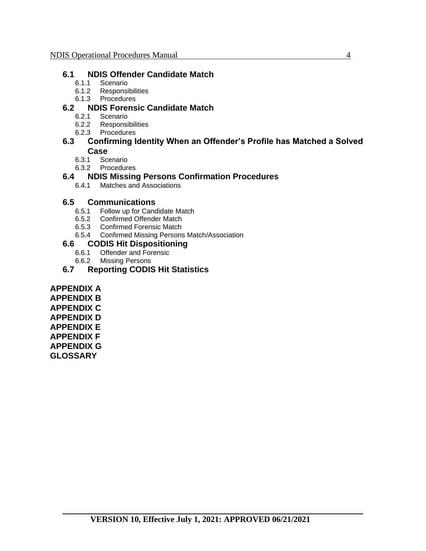#### **6.1 NDIS Offender Candidate Match**

- 6.1.1 Scenario
- 6.1.2 Responsibilities
- 6.1.3 Procedures

### **6.2 NDIS Forensic Candidate Match**

- 6.2.1 Scenario
- 6.2.2 Responsibilities
- 6.2.3 Procedures

#### **6.3 Confirming Identity When an Offender's Profile has Matched a Solved Case**

- 6.3.1 Scenario
- 6.3.2 Procedures

#### **6.4 NDIS Missing Persons Confirmation Procedures**

6.4.1 Matches and Associations

#### **6.5 Communications**

- 6.5.1 Follow up for Candidate Match
- 6.5.2 Confirmed Offender Match
- 6.5.3 Confirmed Forensic Match<br>6.5.4 Confirmed Missing Persons
- 6.5.4 Confirmed Missing Persons Match/Association

#### **6.6 CODIS Hit Dispositioning**

- 6.6.1 Offender and Forensic<br>6.6.2 Missing Persons
- **Missing Persons**

#### **6.7 Reporting CODIS Hit Statistics**

**APPENDIX A APPENDIX B APPENDIX C APPENDIX D APPENDIX E APPENDIX F APPENDIX G GLOSSARY**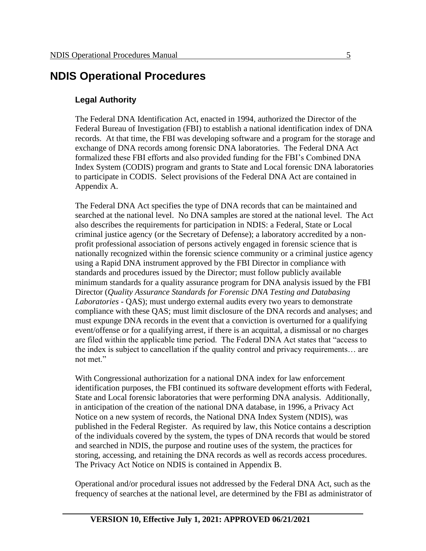# **NDIS Operational Procedures**

#### **Legal Authority**

The Federal DNA Identification Act, enacted in 1994, authorized the Director of the Federal Bureau of Investigation (FBI) to establish a national identification index of DNA records. At that time, the FBI was developing software and a program for the storage and exchange of DNA records among forensic DNA laboratories. The Federal DNA Act formalized these FBI efforts and also provided funding for the FBI's Combined DNA Index System (CODIS) program and grants to State and Local forensic DNA laboratories to participate in CODIS. Select provisions of the Federal DNA Act are contained in Appendix A.

The Federal DNA Act specifies the type of DNA records that can be maintained and searched at the national level. No DNA samples are stored at the national level. The Act also describes the requirements for participation in NDIS: a Federal, State or Local criminal justice agency (or the Secretary of Defense); a laboratory accredited by a nonprofit professional association of persons actively engaged in forensic science that is nationally recognized within the forensic science community or a criminal justice agency using a Rapid DNA instrument approved by the FBI Director in compliance with standards and procedures issued by the Director; must follow publicly available minimum standards for a quality assurance program for DNA analysis issued by the FBI Director (*Quality Assurance Standards for Forensic DNA Testing and Databasing Laboratories* - QAS); must undergo external audits every two years to demonstrate compliance with these QAS; must limit disclosure of the DNA records and analyses; and must expunge DNA records in the event that a conviction is overturned for a qualifying event/offense or for a qualifying arrest, if there is an acquittal, a dismissal or no charges are filed within the applicable time period. The Federal DNA Act states that "access to the index is subject to cancellation if the quality control and privacy requirements… are not met."

With Congressional authorization for a national DNA index for law enforcement identification purposes, the FBI continued its software development efforts with Federal, State and Local forensic laboratories that were performing DNA analysis. Additionally, in anticipation of the creation of the national DNA database, in 1996, a Privacy Act Notice on a new system of records, the National DNA Index System (NDIS), was published in the Federal Register. As required by law, this Notice contains a description of the individuals covered by the system, the types of DNA records that would be stored and searched in NDIS, the purpose and routine uses of the system, the practices for storing, accessing, and retaining the DNA records as well as records access procedures. The Privacy Act Notice on NDIS is contained in Appendix B.

Operational and/or procedural issues not addressed by the Federal DNA Act, such as the frequency of searches at the national level, are determined by the FBI as administrator of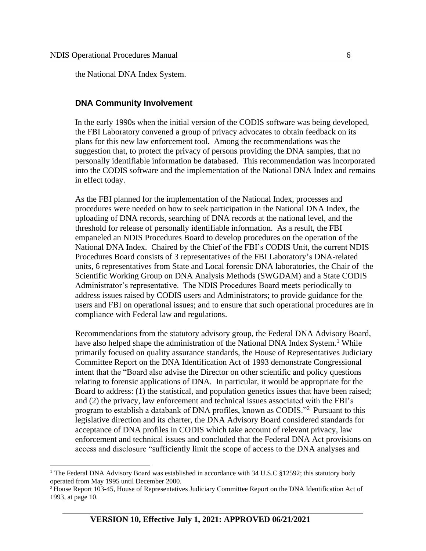the National DNA Index System.

#### **DNA Community Involvement**

In the early 1990s when the initial version of the CODIS software was being developed, the FBI Laboratory convened a group of privacy advocates to obtain feedback on its plans for this new law enforcement tool. Among the recommendations was the suggestion that, to protect the privacy of persons providing the DNA samples, that no personally identifiable information be databased. This recommendation was incorporated into the CODIS software and the implementation of the National DNA Index and remains in effect today.

As the FBI planned for the implementation of the National Index, processes and procedures were needed on how to seek participation in the National DNA Index, the uploading of DNA records, searching of DNA records at the national level, and the threshold for release of personally identifiable information. As a result, the FBI empaneled an NDIS Procedures Board to develop procedures on the operation of the National DNA Index. Chaired by the Chief of the FBI's CODIS Unit, the current NDIS Procedures Board consists of 3 representatives of the FBI Laboratory's DNA-related units, 6 representatives from State and Local forensic DNA laboratories, the Chair of the Scientific Working Group on DNA Analysis Methods (SWGDAM) and a State CODIS Administrator's representative. The NDIS Procedures Board meets periodically to address issues raised by CODIS users and Administrators; to provide guidance for the users and FBI on operational issues; and to ensure that such operational procedures are in compliance with Federal law and regulations.

Recommendations from the statutory advisory group, the Federal DNA Advisory Board, have also helped shape the administration of the National DNA Index System.<sup>1</sup> While primarily focused on quality assurance standards, the House of Representatives Judiciary Committee Report on the DNA Identification Act of 1993 demonstrate Congressional intent that the "Board also advise the Director on other scientific and policy questions relating to forensic applications of DNA. In particular, it would be appropriate for the Board to address: (1) the statistical, and population genetics issues that have been raised; and (2) the privacy, law enforcement and technical issues associated with the FBI's program to establish a databank of DNA profiles, known as CODIS."<sup>2</sup> Pursuant to this legislative direction and its charter, the DNA Advisory Board considered standards for acceptance of DNA profiles in CODIS which take account of relevant privacy, law enforcement and technical issues and concluded that the Federal DNA Act provisions on access and disclosure "sufficiently limit the scope of access to the DNA analyses and

<sup>&</sup>lt;sup>1</sup> The Federal DNA Advisory Board was established in accordance with 34 U.S.C §12592; this statutory body operated from May 1995 until December 2000.

<sup>2</sup> House Report 103-45, House of Representatives Judiciary Committee Report on the DNA Identification Act of 1993, at page 10.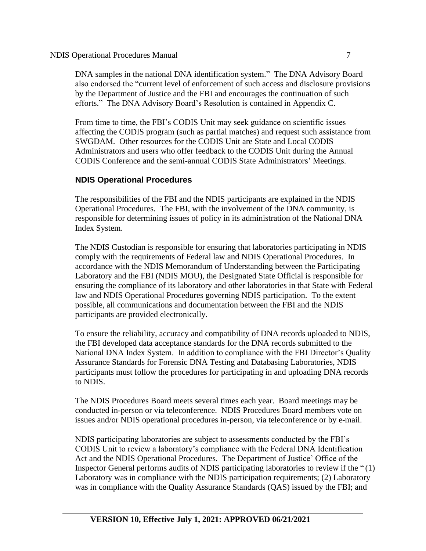DNA samples in the national DNA identification system." The DNA Advisory Board also endorsed the "current level of enforcement of such access and disclosure provisions by the Department of Justice and the FBI and encourages the continuation of such efforts." The DNA Advisory Board's Resolution is contained in Appendix C.

From time to time, the FBI's CODIS Unit may seek guidance on scientific issues affecting the CODIS program (such as partial matches) and request such assistance from SWGDAM. Other resources for the CODIS Unit are State and Local CODIS Administrators and users who offer feedback to the CODIS Unit during the Annual CODIS Conference and the semi-annual CODIS State Administrators' Meetings.

#### **NDIS Operational Procedures**

The responsibilities of the FBI and the NDIS participants are explained in the NDIS Operational Procedures. The FBI, with the involvement of the DNA community, is responsible for determining issues of policy in its administration of the National DNA Index System.

The NDIS Custodian is responsible for ensuring that laboratories participating in NDIS comply with the requirements of Federal law and NDIS Operational Procedures. In accordance with the NDIS Memorandum of Understanding between the Participating Laboratory and the FBI (NDIS MOU), the Designated State Official is responsible for ensuring the compliance of its laboratory and other laboratories in that State with Federal law and NDIS Operational Procedures governing NDIS participation. To the extent possible, all communications and documentation between the FBI and the NDIS participants are provided electronically.

To ensure the reliability, accuracy and compatibility of DNA records uploaded to NDIS, the FBI developed data acceptance standards for the DNA records submitted to the National DNA Index System. In addition to compliance with the FBI Director's Quality Assurance Standards for Forensic DNA Testing and Databasing Laboratories, NDIS participants must follow the procedures for participating in and uploading DNA records to NDIS.

The NDIS Procedures Board meets several times each year. Board meetings may be conducted in-person or via teleconference. NDIS Procedures Board members vote on issues and/or NDIS operational procedures in-person, via teleconference or by e-mail.

NDIS participating laboratories are subject to assessments conducted by the FBI's CODIS Unit to review a laboratory's compliance with the Federal DNA Identification Act and the NDIS Operational Procedures. The Department of Justice' Office of the Inspector General performs audits of NDIS participating laboratories to review if the " (1) Laboratory was in compliance with the NDIS participation requirements; (2) Laboratory was in compliance with the Quality Assurance Standards (QAS) issued by the FBI; and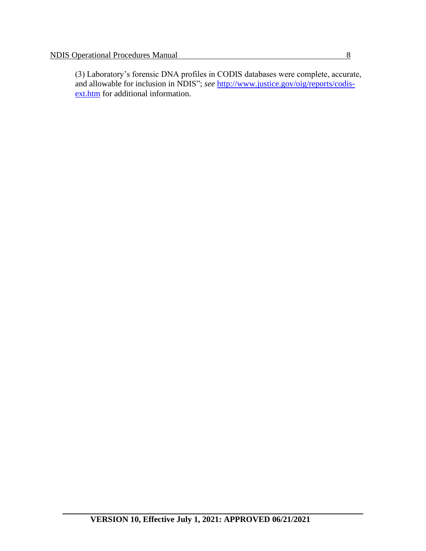(3) Laboratory's forensic DNA profiles in CODIS databases were complete, accurate, and allowable for inclusion in NDIS"; *see* [http://www.justice.gov/oig/reports/codis](http://www.justice.gov/oig/reports/codis-ext.htm)[ext.htm](http://www.justice.gov/oig/reports/codis-ext.htm) for additional information.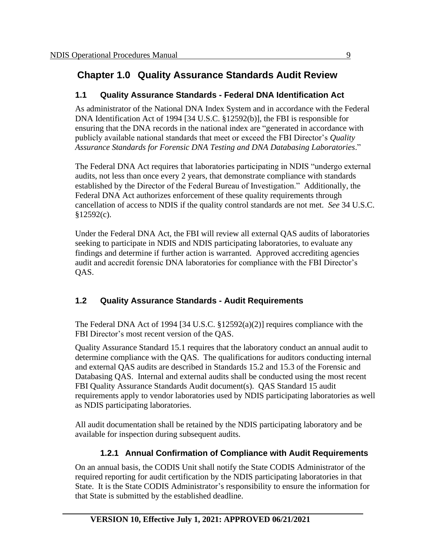# **Chapter 1.0 Quality Assurance Standards Audit Review**

### **1.1 Quality Assurance Standards - Federal DNA Identification Act**

As administrator of the National DNA Index System and in accordance with the Federal DNA Identification Act of 1994 [34 U.S.C. §12592(b)], the FBI is responsible for ensuring that the DNA records in the national index are "generated in accordance with publicly available national standards that meet or exceed the FBI Director's *Quality Assurance Standards for Forensic DNA Testing and DNA Databasing Laboratories*."

The Federal DNA Act requires that laboratories participating in NDIS "undergo external audits, not less than once every 2 years, that demonstrate compliance with standards established by the Director of the Federal Bureau of Investigation." Additionally, the Federal DNA Act authorizes enforcement of these quality requirements through cancellation of access to NDIS if the quality control standards are not met. *See* 34 U.S.C. §12592(c).

Under the Federal DNA Act, the FBI will review all external QAS audits of laboratories seeking to participate in NDIS and NDIS participating laboratories, to evaluate any findings and determine if further action is warranted. Approved accrediting agencies audit and accredit forensic DNA laboratories for compliance with the FBI Director's OAS.

### **1.2 Quality Assurance Standards - Audit Requirements**

The Federal DNA Act of 1994 [34 U.S.C. §12592(a)(2)] requires compliance with the FBI Director's most recent version of the QAS.

Quality Assurance Standard 15.1 requires that the laboratory conduct an annual audit to determine compliance with the QAS. The qualifications for auditors conducting internal and external QAS audits are described in Standards 15.2 and 15.3 of the Forensic and Databasing QAS. Internal and external audits shall be conducted using the most recent FBI Quality Assurance Standards Audit document(s). QAS Standard 15 audit requirements apply to vendor laboratories used by NDIS participating laboratories as well as NDIS participating laboratories.

All audit documentation shall be retained by the NDIS participating laboratory and be available for inspection during subsequent audits.

## **1.2.1 Annual Confirmation of Compliance with Audit Requirements**

On an annual basis, the CODIS Unit shall notify the State CODIS Administrator of the required reporting for audit certification by the NDIS participating laboratories in that State. It is the State CODIS Administrator's responsibility to ensure the information for that State is submitted by the established deadline.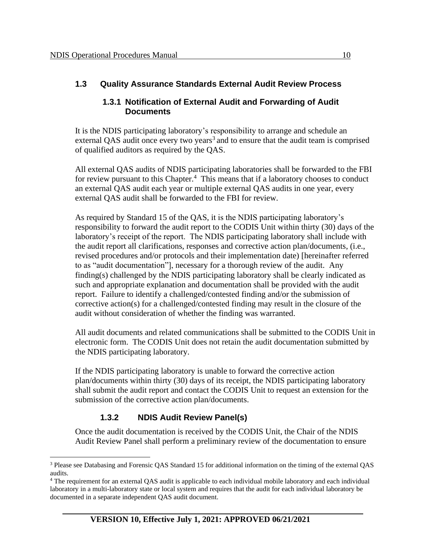### **1.3 Quality Assurance Standards External Audit Review Process**

#### **1.3.1 Notification of External Audit and Forwarding of Audit Documents**

It is the NDIS participating laboratory's responsibility to arrange and schedule an external QAS audit once every two years<sup>3</sup> and to ensure that the audit team is comprised of qualified auditors as required by the QAS.

All external QAS audits of NDIS participating laboratories shall be forwarded to the FBI for review pursuant to this Chapter.<sup>4</sup> This means that if a laboratory chooses to conduct an external QAS audit each year or multiple external QAS audits in one year, every external QAS audit shall be forwarded to the FBI for review.

As required by Standard 15 of the QAS, it is the NDIS participating laboratory's responsibility to forward the audit report to the CODIS Unit within thirty (30) days of the laboratory's receipt of the report. The NDIS participating laboratory shall include with the audit report all clarifications, responses and corrective action plan/documents, (i.e., revised procedures and/or protocols and their implementation date) [hereinafter referred to as "audit documentation"], necessary for a thorough review of the audit. Any finding(s) challenged by the NDIS participating laboratory shall be clearly indicated as such and appropriate explanation and documentation shall be provided with the audit report. Failure to identify a challenged/contested finding and/or the submission of corrective action(s) for a challenged/contested finding may result in the closure of the audit without consideration of whether the finding was warranted.

All audit documents and related communications shall be submitted to the CODIS Unit in electronic form. The CODIS Unit does not retain the audit documentation submitted by the NDIS participating laboratory.

If the NDIS participating laboratory is unable to forward the corrective action plan/documents within thirty (30) days of its receipt, the NDIS participating laboratory shall submit the audit report and contact the CODIS Unit to request an extension for the submission of the corrective action plan/documents.

### **1.3.2 NDIS Audit Review Panel(s)**

Once the audit documentation is received by the CODIS Unit, the Chair of the NDIS Audit Review Panel shall perform a preliminary review of the documentation to ensure

<sup>3</sup> Please see Databasing and Forensic QAS Standard 15 for additional information on the timing of the external QAS audits.

<sup>4</sup> The requirement for an external QAS audit is applicable to each individual mobile laboratory and each individual laboratory in a multi-laboratory state or local system and requires that the audit for each individual laboratory be documented in a separate independent QAS audit document.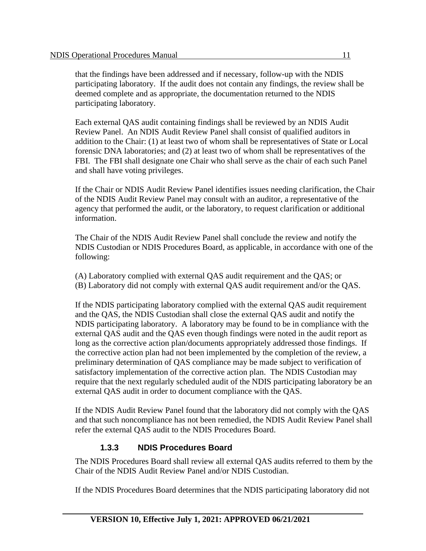that the findings have been addressed and if necessary, follow-up with the NDIS participating laboratory. If the audit does not contain any findings, the review shall be deemed complete and as appropriate, the documentation returned to the NDIS participating laboratory.

Each external QAS audit containing findings shall be reviewed by an NDIS Audit Review Panel. An NDIS Audit Review Panel shall consist of qualified auditors in addition to the Chair: (1) at least two of whom shall be representatives of State or Local forensic DNA laboratories; and (2) at least two of whom shall be representatives of the FBI. The FBI shall designate one Chair who shall serve as the chair of each such Panel and shall have voting privileges.

If the Chair or NDIS Audit Review Panel identifies issues needing clarification, the Chair of the NDIS Audit Review Panel may consult with an auditor, a representative of the agency that performed the audit, or the laboratory, to request clarification or additional information.

The Chair of the NDIS Audit Review Panel shall conclude the review and notify the NDIS Custodian or NDIS Procedures Board, as applicable, in accordance with one of the following:

(A) Laboratory complied with external QAS audit requirement and the QAS; or (B) Laboratory did not comply with external QAS audit requirement and/or the QAS.

If the NDIS participating laboratory complied with the external QAS audit requirement and the QAS, the NDIS Custodian shall close the external QAS audit and notify the NDIS participating laboratory. A laboratory may be found to be in compliance with the external QAS audit and the QAS even though findings were noted in the audit report as long as the corrective action plan/documents appropriately addressed those findings. If the corrective action plan had not been implemented by the completion of the review, a preliminary determination of QAS compliance may be made subject to verification of satisfactory implementation of the corrective action plan. The NDIS Custodian may require that the next regularly scheduled audit of the NDIS participating laboratory be an external QAS audit in order to document compliance with the QAS.

If the NDIS Audit Review Panel found that the laboratory did not comply with the QAS and that such noncompliance has not been remedied, the NDIS Audit Review Panel shall refer the external QAS audit to the NDIS Procedures Board.

#### **1.3.3 NDIS Procedures Board**

The NDIS Procedures Board shall review all external QAS audits referred to them by the Chair of the NDIS Audit Review Panel and/or NDIS Custodian.

If the NDIS Procedures Board determines that the NDIS participating laboratory did not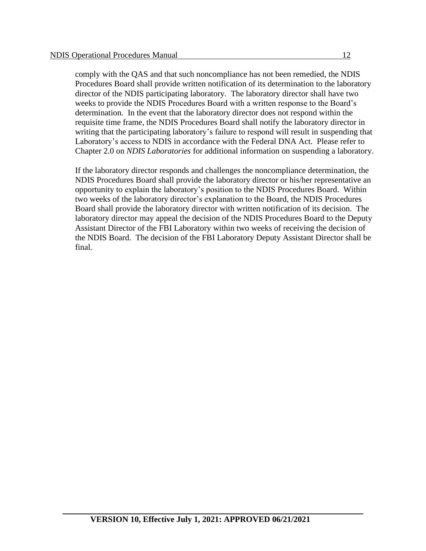comply with the QAS and that such noncompliance has not been remedied, the NDIS Procedures Board shall provide written notification of its determination to the laboratory director of the NDIS participating laboratory. The laboratory director shall have two weeks to provide the NDIS Procedures Board with a written response to the Board's determination. In the event that the laboratory director does not respond within the requisite time frame, the NDIS Procedures Board shall notify the laboratory director in writing that the participating laboratory's failure to respond will result in suspending that Laboratory's access to NDIS in accordance with the Federal DNA Act. Please refer to Chapter 2.0 on *NDIS Laboratories* for additional information on suspending a laboratory.

If the laboratory director responds and challenges the noncompliance determination, the NDIS Procedures Board shall provide the laboratory director or his/her representative an opportunity to explain the laboratory's position to the NDIS Procedures Board. Within two weeks of the laboratory director's explanation to the Board, the NDIS Procedures Board shall provide the laboratory director with written notification of its decision. The laboratory director may appeal the decision of the NDIS Procedures Board to the Deputy Assistant Director of the FBI Laboratory within two weeks of receiving the decision of the NDIS Board. The decision of the FBI Laboratory Deputy Assistant Director shall be final.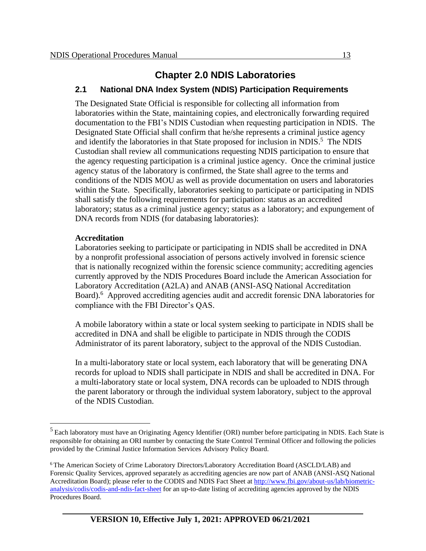# **Chapter 2.0 NDIS Laboratories**

#### **2.1 National DNA Index System (NDIS) Participation Requirements**

The Designated State Official is responsible for collecting all information from laboratories within the State, maintaining copies, and electronically forwarding required documentation to the FBI's NDIS Custodian when requesting participation in NDIS. The Designated State Official shall confirm that he/she represents a criminal justice agency and identify the laboratories in that State proposed for inclusion in NDIS.<sup>5</sup> The NDIS Custodian shall review all communications requesting NDIS participation to ensure that the agency requesting participation is a criminal justice agency. Once the criminal justice agency status of the laboratory is confirmed, the State shall agree to the terms and conditions of the NDIS MOU as well as provide documentation on users and laboratories within the State. Specifically, laboratories seeking to participate or participating in NDIS shall satisfy the following requirements for participation: status as an accredited laboratory; status as a criminal justice agency; status as a laboratory; and expungement of DNA records from NDIS (for databasing laboratories):

#### **Accreditation**

Laboratories seeking to participate or participating in NDIS shall be accredited in DNA by a nonprofit professional association of persons actively involved in forensic science that is nationally recognized within the forensic science community; accrediting agencies currently approved by the NDIS Procedures Board include the American Association for Laboratory Accreditation (A2LA) and ANAB (ANSI-ASQ National Accreditation Board).<sup>6</sup> Approved accrediting agencies audit and accredit forensic DNA laboratories for compliance with the FBI Director's QAS.

A mobile laboratory within a state or local system seeking to participate in NDIS shall be accredited in DNA and shall be eligible to participate in NDIS through the CODIS Administrator of its parent laboratory, subject to the approval of the NDIS Custodian.

In a multi-laboratory state or local system, each laboratory that will be generating DNA records for upload to NDIS shall participate in NDIS and shall be accredited in DNA. For a multi-laboratory state or local system, DNA records can be uploaded to NDIS through the parent laboratory or through the individual system laboratory, subject to the approval of the NDIS Custodian.

<sup>&</sup>lt;sup>5</sup> Each laboratory must have an Originating Agency Identifier (ORI) number before participating in NDIS. Each State is responsible for obtaining an ORI number by contacting the State Control Terminal Officer and following the policies provided by the Criminal Justice Information Services Advisory Policy Board.

<sup>6</sup> The American Society of Crime Laboratory Directors/Laboratory Accreditation Board (ASCLD/LAB) and Forensic Quality Services, approved separately as accrediting agencies are now part of ANAB (ANSI-ASQ National Accreditation Board); please refer to the CODIS and NDIS Fact Sheet at [http://www.fbi.gov/about-us/lab/biometric](http://www.fbi.gov/about-us/lab/biometric-analysis/codis/codis-and-ndis-fact-sheet)[analysis/codis/codis-and-ndis-fact-sheet](http://www.fbi.gov/about-us/lab/biometric-analysis/codis/codis-and-ndis-fact-sheet) for an up-to-date listing of accrediting agencies approved by the NDIS Procedures Board.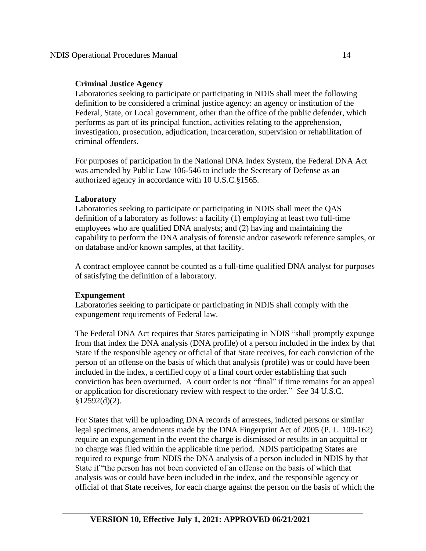#### **Criminal Justice Agency**

Laboratories seeking to participate or participating in NDIS shall meet the following definition to be considered a criminal justice agency: an agency or institution of the Federal, State, or Local government, other than the office of the public defender, which performs as part of its principal function, activities relating to the apprehension, investigation, prosecution, adjudication, incarceration, supervision or rehabilitation of criminal offenders.

For purposes of participation in the National DNA Index System, the Federal DNA Act was amended by Public Law 106-546 to include the Secretary of Defense as an authorized agency in accordance with 10 U.S.C.§1565.

#### **Laboratory**

Laboratories seeking to participate or participating in NDIS shall meet the QAS definition of a laboratory as follows: a facility (1) employing at least two full-time employees who are qualified DNA analysts; and (2) having and maintaining the capability to perform the DNA analysis of forensic and/or casework reference samples, or on database and/or known samples, at that facility.

A contract employee cannot be counted as a full-time qualified DNA analyst for purposes of satisfying the definition of a laboratory.

#### **Expungement**

Laboratories seeking to participate or participating in NDIS shall comply with the expungement requirements of Federal law.

The Federal DNA Act requires that States participating in NDIS "shall promptly expunge from that index the DNA analysis (DNA profile) of a person included in the index by that State if the responsible agency or official of that State receives, for each conviction of the person of an offense on the basis of which that analysis (profile) was or could have been included in the index, a certified copy of a final court order establishing that such conviction has been overturned. A court order is not "final" if time remains for an appeal or application for discretionary review with respect to the order." *See* 34 U.S.C.  $§12592(d)(2).$ 

For States that will be uploading DNA records of arrestees, indicted persons or similar legal specimens, amendments made by the DNA Fingerprint Act of 2005 (P. L. 109-162) require an expungement in the event the charge is dismissed or results in an acquittal or no charge was filed within the applicable time period. NDIS participating States are required to expunge from NDIS the DNA analysis of a person included in NDIS by that State if "the person has not been convicted of an offense on the basis of which that analysis was or could have been included in the index, and the responsible agency or official of that State receives, for each charge against the person on the basis of which the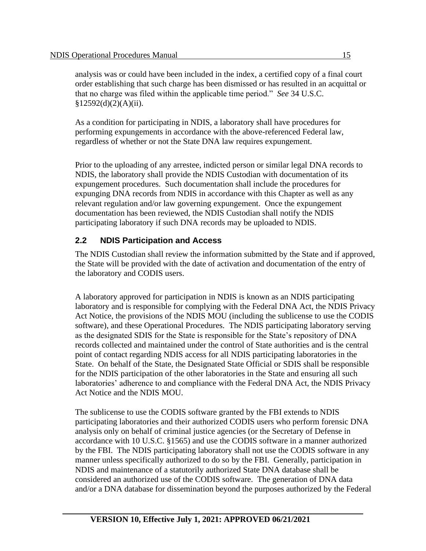analysis was or could have been included in the index, a certified copy of a final court order establishing that such charge has been dismissed or has resulted in an acquittal or that no charge was filed within the applicable time period." *See* 34 U.S.C.  $§12592(d)(2)(A)(ii).$ 

As a condition for participating in NDIS, a laboratory shall have procedures for performing expungements in accordance with the above-referenced Federal law, regardless of whether or not the State DNA law requires expungement.

Prior to the uploading of any arrestee, indicted person or similar legal DNA records to NDIS, the laboratory shall provide the NDIS Custodian with documentation of its expungement procedures. Such documentation shall include the procedures for expunging DNA records from NDIS in accordance with this Chapter as well as any relevant regulation and/or law governing expungement. Once the expungement documentation has been reviewed, the NDIS Custodian shall notify the NDIS participating laboratory if such DNA records may be uploaded to NDIS.

### **2.2 NDIS Participation and Access**

The NDIS Custodian shall review the information submitted by the State and if approved, the State will be provided with the date of activation and documentation of the entry of the laboratory and CODIS users.

A laboratory approved for participation in NDIS is known as an NDIS participating laboratory and is responsible for complying with the Federal DNA Act, the NDIS Privacy Act Notice, the provisions of the NDIS MOU (including the sublicense to use the CODIS software), and these Operational Procedures. The NDIS participating laboratory serving as the designated SDIS for the State is responsible for the State's repository of DNA records collected and maintained under the control of State authorities and is the central point of contact regarding NDIS access for all NDIS participating laboratories in the State. On behalf of the State, the Designated State Official or SDIS shall be responsible for the NDIS participation of the other laboratories in the State and ensuring all such laboratories' adherence to and compliance with the Federal DNA Act, the NDIS Privacy Act Notice and the NDIS MOU.

The sublicense to use the CODIS software granted by the FBI extends to NDIS participating laboratories and their authorized CODIS users who perform forensic DNA analysis only on behalf of criminal justice agencies (or the Secretary of Defense in accordance with 10 U.S.C. §1565) and use the CODIS software in a manner authorized by the FBI. The NDIS participating laboratory shall not use the CODIS software in any manner unless specifically authorized to do so by the FBI. Generally, participation in NDIS and maintenance of a statutorily authorized State DNA database shall be considered an authorized use of the CODIS software. The generation of DNA data and/or a DNA database for dissemination beyond the purposes authorized by the Federal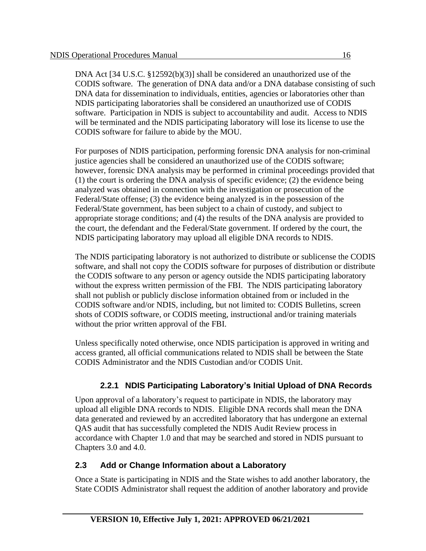DNA Act [34 U.S.C. §12592(b)(3)] shall be considered an unauthorized use of the CODIS software. The generation of DNA data and/or a DNA database consisting of such DNA data for dissemination to individuals, entities, agencies or laboratories other than NDIS participating laboratories shall be considered an unauthorized use of CODIS software. Participation in NDIS is subject to accountability and audit. Access to NDIS will be terminated and the NDIS participating laboratory will lose its license to use the CODIS software for failure to abide by the MOU.

For purposes of NDIS participation, performing forensic DNA analysis for non-criminal justice agencies shall be considered an unauthorized use of the CODIS software; however, forensic DNA analysis may be performed in criminal proceedings provided that (1) the court is ordering the DNA analysis of specific evidence; (2) the evidence being analyzed was obtained in connection with the investigation or prosecution of the Federal/State offense; (3) the evidence being analyzed is in the possession of the Federal/State government, has been subject to a chain of custody, and subject to appropriate storage conditions; and (4) the results of the DNA analysis are provided to the court, the defendant and the Federal/State government. If ordered by the court, the NDIS participating laboratory may upload all eligible DNA records to NDIS.

The NDIS participating laboratory is not authorized to distribute or sublicense the CODIS software, and shall not copy the CODIS software for purposes of distribution or distribute the CODIS software to any person or agency outside the NDIS participating laboratory without the express written permission of the FBI. The NDIS participating laboratory shall not publish or publicly disclose information obtained from or included in the CODIS software and/or NDIS, including, but not limited to: CODIS Bulletins, screen shots of CODIS software, or CODIS meeting, instructional and/or training materials without the prior written approval of the FBI.

Unless specifically noted otherwise, once NDIS participation is approved in writing and access granted, all official communications related to NDIS shall be between the State CODIS Administrator and the NDIS Custodian and/or CODIS Unit.

### **2.2.1 NDIS Participating Laboratory's Initial Upload of DNA Records**

Upon approval of a laboratory's request to participate in NDIS, the laboratory may upload all eligible DNA records to NDIS. Eligible DNA records shall mean the DNA data generated and reviewed by an accredited laboratory that has undergone an external QAS audit that has successfully completed the NDIS Audit Review process in accordance with Chapter 1.0 and that may be searched and stored in NDIS pursuant to Chapters 3.0 and 4.0.

### **2.3 Add or Change Information about a Laboratory**

Once a State is participating in NDIS and the State wishes to add another laboratory, the State CODIS Administrator shall request the addition of another laboratory and provide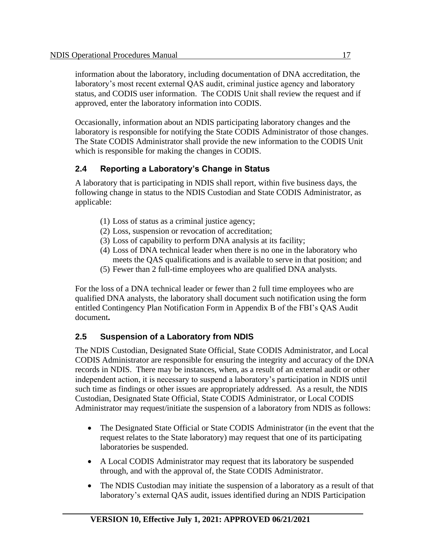information about the laboratory, including documentation of DNA accreditation, the laboratory's most recent external QAS audit, criminal justice agency and laboratory status, and CODIS user information. The CODIS Unit shall review the request and if approved, enter the laboratory information into CODIS.

Occasionally, information about an NDIS participating laboratory changes and the laboratory is responsible for notifying the State CODIS Administrator of those changes. The State CODIS Administrator shall provide the new information to the CODIS Unit which is responsible for making the changes in CODIS.

### **2.4 Reporting a Laboratory's Change in Status**

A laboratory that is participating in NDIS shall report, within five business days, the following change in status to the NDIS Custodian and State CODIS Administrator, as applicable:

- (1) Loss of status as a criminal justice agency;
- (2) Loss, suspension or revocation of accreditation;
- (3) Loss of capability to perform DNA analysis at its facility;
- (4) Loss of DNA technical leader when there is no one in the laboratory who meets the QAS qualifications and is available to serve in that position; and
- (5) Fewer than 2 full-time employees who are qualified DNA analysts.

For the loss of a DNA technical leader or fewer than 2 full time employees who are qualified DNA analysts, the laboratory shall document such notification using the form entitled Contingency Plan Notification Form in Appendix B of the FBI's QAS Audit document**.** 

### **2.5 Suspension of a Laboratory from NDIS**

The NDIS Custodian, Designated State Official, State CODIS Administrator, and Local CODIS Administrator are responsible for ensuring the integrity and accuracy of the DNA records in NDIS. There may be instances, when, as a result of an external audit or other independent action, it is necessary to suspend a laboratory's participation in NDIS until such time as findings or other issues are appropriately addressed. As a result, the NDIS Custodian, Designated State Official, State CODIS Administrator, or Local CODIS Administrator may request/initiate the suspension of a laboratory from NDIS as follows:

- The Designated State Official or State CODIS Administrator (in the event that the request relates to the State laboratory) may request that one of its participating laboratories be suspended.
- A Local CODIS Administrator may request that its laboratory be suspended through, and with the approval of, the State CODIS Administrator.
- The NDIS Custodian may initiate the suspension of a laboratory as a result of that laboratory's external QAS audit, issues identified during an NDIS Participation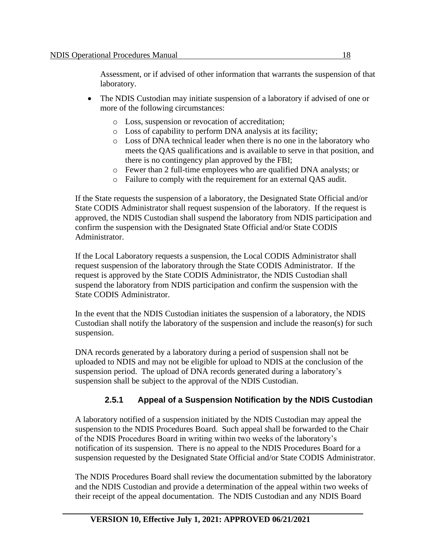Assessment, or if advised of other information that warrants the suspension of that laboratory.

- The NDIS Custodian may initiate suspension of a laboratory if advised of one or more of the following circumstances:
	- o Loss, suspension or revocation of accreditation;
	- o Loss of capability to perform DNA analysis at its facility;
	- o Loss of DNA technical leader when there is no one in the laboratory who meets the QAS qualifications and is available to serve in that position, and there is no contingency plan approved by the FBI;
	- o Fewer than 2 full-time employees who are qualified DNA analysts; or
	- o Failure to comply with the requirement for an external QAS audit.

If the State requests the suspension of a laboratory, the Designated State Official and/or State CODIS Administrator shall request suspension of the laboratory. If the request is approved, the NDIS Custodian shall suspend the laboratory from NDIS participation and confirm the suspension with the Designated State Official and/or State CODIS Administrator.

If the Local Laboratory requests a suspension, the Local CODIS Administrator shall request suspension of the laboratory through the State CODIS Administrator. If the request is approved by the State CODIS Administrator, the NDIS Custodian shall suspend the laboratory from NDIS participation and confirm the suspension with the State CODIS Administrator.

In the event that the NDIS Custodian initiates the suspension of a laboratory, the NDIS Custodian shall notify the laboratory of the suspension and include the reason(s) for such suspension.

DNA records generated by a laboratory during a period of suspension shall not be uploaded to NDIS and may not be eligible for upload to NDIS at the conclusion of the suspension period. The upload of DNA records generated during a laboratory's suspension shall be subject to the approval of the NDIS Custodian.

### **2.5.1 Appeal of a Suspension Notification by the NDIS Custodian**

A laboratory notified of a suspension initiated by the NDIS Custodian may appeal the suspension to the NDIS Procedures Board. Such appeal shall be forwarded to the Chair of the NDIS Procedures Board in writing within two weeks of the laboratory's notification of its suspension. There is no appeal to the NDIS Procedures Board for a suspension requested by the Designated State Official and/or State CODIS Administrator.

The NDIS Procedures Board shall review the documentation submitted by the laboratory and the NDIS Custodian and provide a determination of the appeal within two weeks of their receipt of the appeal documentation. The NDIS Custodian and any NDIS Board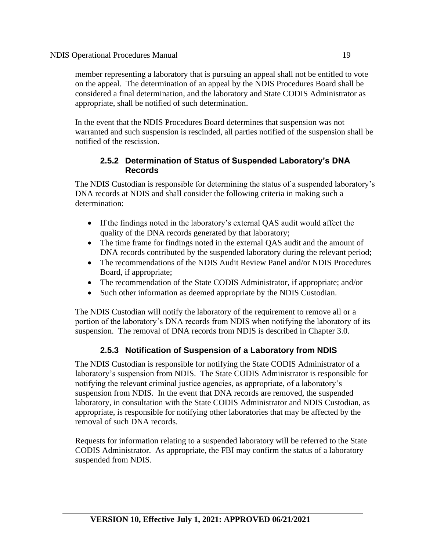member representing a laboratory that is pursuing an appeal shall not be entitled to vote on the appeal. The determination of an appeal by the NDIS Procedures Board shall be considered a final determination, and the laboratory and State CODIS Administrator as appropriate, shall be notified of such determination.

In the event that the NDIS Procedures Board determines that suspension was not warranted and such suspension is rescinded, all parties notified of the suspension shall be notified of the rescission.

#### **2.5.2 Determination of Status of Suspended Laboratory's DNA Records**

The NDIS Custodian is responsible for determining the status of a suspended laboratory's DNA records at NDIS and shall consider the following criteria in making such a determination:

- If the findings noted in the laboratory's external QAS audit would affect the quality of the DNA records generated by that laboratory;
- The time frame for findings noted in the external QAS audit and the amount of DNA records contributed by the suspended laboratory during the relevant period;
- The recommendations of the NDIS Audit Review Panel and/or NDIS Procedures Board, if appropriate;
- The recommendation of the State CODIS Administrator, if appropriate; and/or
- Such other information as deemed appropriate by the NDIS Custodian.

The NDIS Custodian will notify the laboratory of the requirement to remove all or a portion of the laboratory's DNA records from NDIS when notifying the laboratory of its suspension. The removal of DNA records from NDIS is described in Chapter 3.0.

### **2.5.3 Notification of Suspension of a Laboratory from NDIS**

The NDIS Custodian is responsible for notifying the State CODIS Administrator of a laboratory's suspension from NDIS. The State CODIS Administrator is responsible for notifying the relevant criminal justice agencies, as appropriate, of a laboratory's suspension from NDIS. In the event that DNA records are removed, the suspended laboratory, in consultation with the State CODIS Administrator and NDIS Custodian, as appropriate, is responsible for notifying other laboratories that may be affected by the removal of such DNA records.

Requests for information relating to a suspended laboratory will be referred to the State CODIS Administrator. As appropriate, the FBI may confirm the status of a laboratory suspended from NDIS.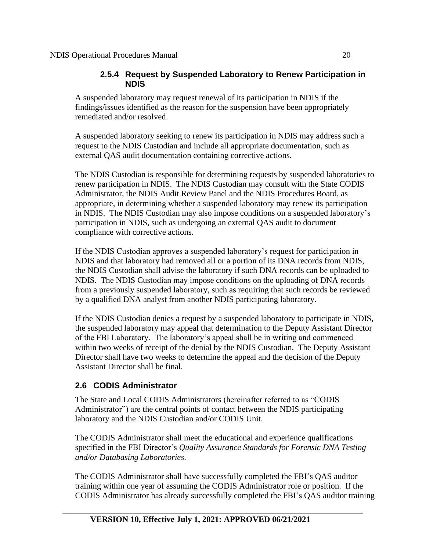#### **2.5.4 Request by Suspended Laboratory to Renew Participation in NDIS**

A suspended laboratory may request renewal of its participation in NDIS if the findings/issues identified as the reason for the suspension have been appropriately remediated and/or resolved.

A suspended laboratory seeking to renew its participation in NDIS may address such a request to the NDIS Custodian and include all appropriate documentation, such as external QAS audit documentation containing corrective actions.

The NDIS Custodian is responsible for determining requests by suspended laboratories to renew participation in NDIS. The NDIS Custodian may consult with the State CODIS Administrator, the NDIS Audit Review Panel and the NDIS Procedures Board, as appropriate, in determining whether a suspended laboratory may renew its participation in NDIS. The NDIS Custodian may also impose conditions on a suspended laboratory's participation in NDIS, such as undergoing an external QAS audit to document compliance with corrective actions.

If the NDIS Custodian approves a suspended laboratory's request for participation in NDIS and that laboratory had removed all or a portion of its DNA records from NDIS, the NDIS Custodian shall advise the laboratory if such DNA records can be uploaded to NDIS. The NDIS Custodian may impose conditions on the uploading of DNA records from a previously suspended laboratory, such as requiring that such records be reviewed by a qualified DNA analyst from another NDIS participating laboratory.

If the NDIS Custodian denies a request by a suspended laboratory to participate in NDIS, the suspended laboratory may appeal that determination to the Deputy Assistant Director of the FBI Laboratory. The laboratory's appeal shall be in writing and commenced within two weeks of receipt of the denial by the NDIS Custodian. The Deputy Assistant Director shall have two weeks to determine the appeal and the decision of the Deputy Assistant Director shall be final.

### **2.6 CODIS Administrator**

The State and Local CODIS Administrators (hereinafter referred to as "CODIS Administrator") are the central points of contact between the NDIS participating laboratory and the NDIS Custodian and/or CODIS Unit.

The CODIS Administrator shall meet the educational and experience qualifications specified in the FBI Director's *Quality Assurance Standards for Forensic DNA Testing and/or Databasing Laboratories*.

The CODIS Administrator shall have successfully completed the FBI's QAS auditor training within one year of assuming the CODIS Administrator role or position. If the CODIS Administrator has already successfully completed the FBI's QAS auditor training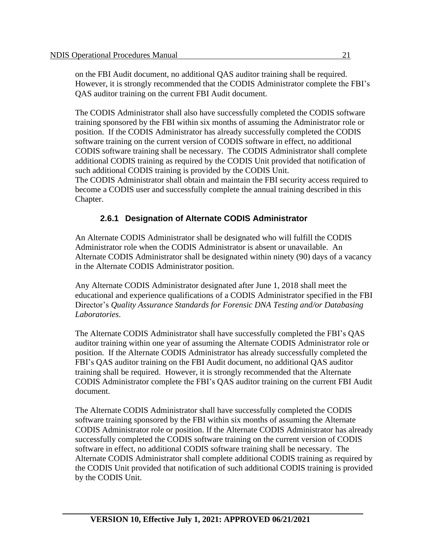on the FBI Audit document, no additional QAS auditor training shall be required. However, it is strongly recommended that the CODIS Administrator complete the FBI's QAS auditor training on the current FBI Audit document.

The CODIS Administrator shall also have successfully completed the CODIS software training sponsored by the FBI within six months of assuming the Administrator role or position. If the CODIS Administrator has already successfully completed the CODIS software training on the current version of CODIS software in effect, no additional CODIS software training shall be necessary. The CODIS Administrator shall complete additional CODIS training as required by the CODIS Unit provided that notification of such additional CODIS training is provided by the CODIS Unit. The CODIS Administrator shall obtain and maintain the FBI security access required to become a CODIS user and successfully complete the annual training described in this Chapter.

### **2.6.1 Designation of Alternate CODIS Administrator**

An Alternate CODIS Administrator shall be designated who will fulfill the CODIS Administrator role when the CODIS Administrator is absent or unavailable. An Alternate CODIS Administrator shall be designated within ninety (90) days of a vacancy in the Alternate CODIS Administrator position.

Any Alternate CODIS Administrator designated after June 1, 2018 shall meet the educational and experience qualifications of a CODIS Administrator specified in the FBI Director's *Quality Assurance Standards for Forensic DNA Testing and/or Databasing Laboratories*.

The Alternate CODIS Administrator shall have successfully completed the FBI's QAS auditor training within one year of assuming the Alternate CODIS Administrator role or position. If the Alternate CODIS Administrator has already successfully completed the FBI's QAS auditor training on the FBI Audit document, no additional QAS auditor training shall be required. However, it is strongly recommended that the Alternate CODIS Administrator complete the FBI's QAS auditor training on the current FBI Audit document.

The Alternate CODIS Administrator shall have successfully completed the CODIS software training sponsored by the FBI within six months of assuming the Alternate CODIS Administrator role or position. If the Alternate CODIS Administrator has already successfully completed the CODIS software training on the current version of CODIS software in effect, no additional CODIS software training shall be necessary. The Alternate CODIS Administrator shall complete additional CODIS training as required by the CODIS Unit provided that notification of such additional CODIS training is provided by the CODIS Unit.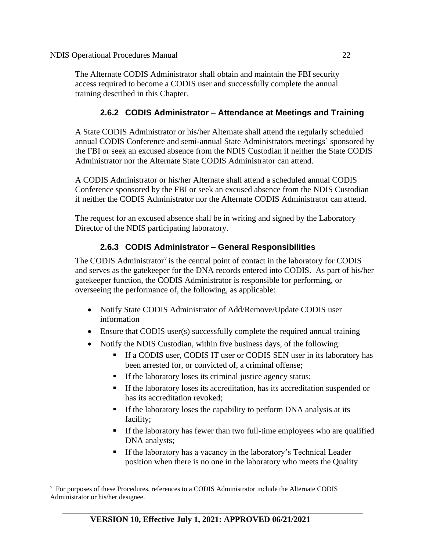The Alternate CODIS Administrator shall obtain and maintain the FBI security access required to become a CODIS user and successfully complete the annual training described in this Chapter.

### **2.6.2 CODIS Administrator – Attendance at Meetings and Training**

A State CODIS Administrator or his/her Alternate shall attend the regularly scheduled annual CODIS Conference and semi-annual State Administrators meetings' sponsored by the FBI or seek an excused absence from the NDIS Custodian if neither the State CODIS Administrator nor the Alternate State CODIS Administrator can attend.

A CODIS Administrator or his/her Alternate shall attend a scheduled annual CODIS Conference sponsored by the FBI or seek an excused absence from the NDIS Custodian if neither the CODIS Administrator nor the Alternate CODIS Administrator can attend.

The request for an excused absence shall be in writing and signed by the Laboratory Director of the NDIS participating laboratory.

### **2.6.3 CODIS Administrator – General Responsibilities**

The CODIS Administrator<sup>7</sup> is the central point of contact in the laboratory for CODIS and serves as the gatekeeper for the DNA records entered into CODIS. As part of his/her gatekeeper function, the CODIS Administrator is responsible for performing, or overseeing the performance of, the following, as applicable:

- Notify State CODIS Administrator of Add/Remove/Update CODIS user information
- Ensure that CODIS user(s) successfully complete the required annual training
- Notify the NDIS Custodian, within five business days, of the following:
	- If a CODIS user, CODIS IT user or CODIS SEN user in its laboratory has been arrested for, or convicted of, a criminal offense;
	- If the laboratory loses its criminal justice agency status;
	- If the laboratory loses its accreditation, has its accreditation suspended or has its accreditation revoked;
	- **•** If the laboratory loses the capability to perform DNA analysis at its facility;
	- If the laboratory has fewer than two full-time employees who are qualified DNA analysts;
	- If the laboratory has a vacancy in the laboratory's Technical Leader position when there is no one in the laboratory who meets the Quality

<sup>&</sup>lt;sup>7</sup> For purposes of these Procedures, references to a CODIS Administrator include the Alternate CODIS Administrator or his/her designee.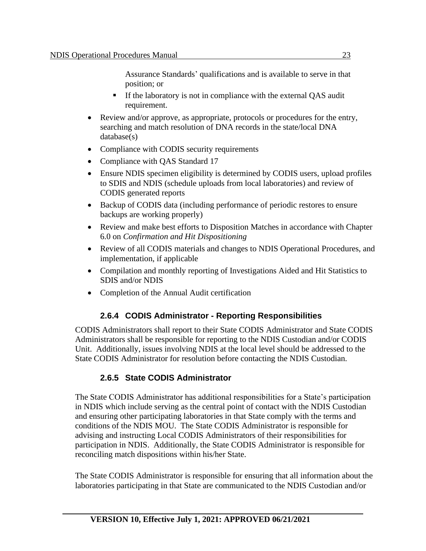Assurance Standards' qualifications and is available to serve in that position; or

- If the laboratory is not in compliance with the external QAS audit requirement.
- Review and/or approve, as appropriate, protocols or procedures for the entry, searching and match resolution of DNA records in the state/local DNA database(s)
- Compliance with CODIS security requirements
- Compliance with OAS Standard 17
- Ensure NDIS specimen eligibility is determined by CODIS users, upload profiles to SDIS and NDIS (schedule uploads from local laboratories) and review of CODIS generated reports
- Backup of CODIS data (including performance of periodic restores to ensure backups are working properly)
- Review and make best efforts to Disposition Matches in accordance with Chapter 6.0 on *Confirmation and Hit Dispositioning*
- Review of all CODIS materials and changes to NDIS Operational Procedures, and implementation, if applicable
- Compilation and monthly reporting of Investigations Aided and Hit Statistics to SDIS and/or NDIS
- Completion of the Annual Audit certification

### **2.6.4 CODIS Administrator - Reporting Responsibilities**

CODIS Administrators shall report to their State CODIS Administrator and State CODIS Administrators shall be responsible for reporting to the NDIS Custodian and/or CODIS Unit. Additionally, issues involving NDIS at the local level should be addressed to the State CODIS Administrator for resolution before contacting the NDIS Custodian.

### **2.6.5 State CODIS Administrator**

The State CODIS Administrator has additional responsibilities for a State's participation in NDIS which include serving as the central point of contact with the NDIS Custodian and ensuring other participating laboratories in that State comply with the terms and conditions of the NDIS MOU. The State CODIS Administrator is responsible for advising and instructing Local CODIS Administrators of their responsibilities for participation in NDIS. Additionally, the State CODIS Administrator is responsible for reconciling match dispositions within his/her State.

The State CODIS Administrator is responsible for ensuring that all information about the laboratories participating in that State are communicated to the NDIS Custodian and/or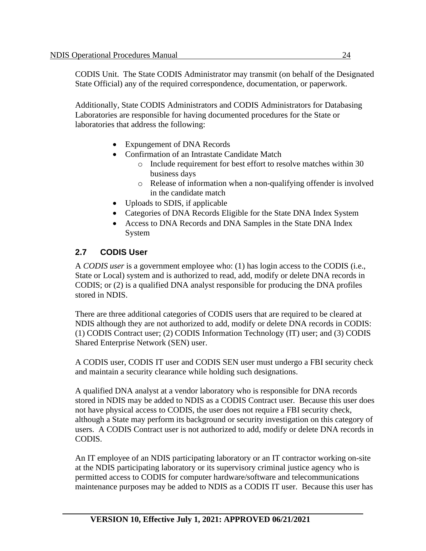CODIS Unit. The State CODIS Administrator may transmit (on behalf of the Designated State Official) any of the required correspondence, documentation, or paperwork.

Additionally, State CODIS Administrators and CODIS Administrators for Databasing Laboratories are responsible for having documented procedures for the State or laboratories that address the following:

- Expungement of DNA Records
- Confirmation of an Intrastate Candidate Match
	- o Include requirement for best effort to resolve matches within 30 business days
	- o Release of information when a non-qualifying offender is involved in the candidate match
- Uploads to SDIS, if applicable
- Categories of DNA Records Eligible for the State DNA Index System
- Access to DNA Records and DNA Samples in the State DNA Index System

### **2.7 CODIS User**

A *CODIS user* is a government employee who: (1) has login access to the CODIS (i.e., State or Local) system and is authorized to read, add, modify or delete DNA records in CODIS; or (2) is a qualified DNA analyst responsible for producing the DNA profiles stored in NDIS.

There are three additional categories of CODIS users that are required to be cleared at NDIS although they are not authorized to add, modify or delete DNA records in CODIS: (1) CODIS Contract user; (2) CODIS Information Technology (IT) user; and (3) CODIS Shared Enterprise Network (SEN) user.

A CODIS user, CODIS IT user and CODIS SEN user must undergo a FBI security check and maintain a security clearance while holding such designations.

A qualified DNA analyst at a vendor laboratory who is responsible for DNA records stored in NDIS may be added to NDIS as a CODIS Contract user. Because this user does not have physical access to CODIS, the user does not require a FBI security check, although a State may perform its background or security investigation on this category of users. A CODIS Contract user is not authorized to add, modify or delete DNA records in CODIS.

An IT employee of an NDIS participating laboratory or an IT contractor working on-site at the NDIS participating laboratory or its supervisory criminal justice agency who is permitted access to CODIS for computer hardware/software and telecommunications maintenance purposes may be added to NDIS as a CODIS IT user. Because this user has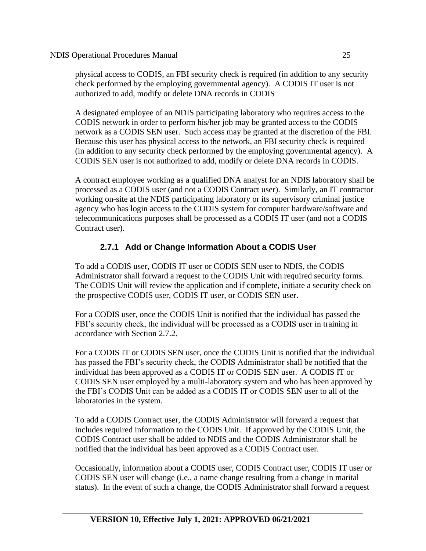physical access to CODIS, an FBI security check is required (in addition to any security check performed by the employing governmental agency). A CODIS IT user is not authorized to add, modify or delete DNA records in CODIS

A designated employee of an NDIS participating laboratory who requires access to the CODIS network in order to perform his/her job may be granted access to the CODIS network as a CODIS SEN user. Such access may be granted at the discretion of the FBI. Because this user has physical access to the network, an FBI security check is required (in addition to any security check performed by the employing governmental agency). A CODIS SEN user is not authorized to add, modify or delete DNA records in CODIS.

A contract employee working as a qualified DNA analyst for an NDIS laboratory shall be processed as a CODIS user (and not a CODIS Contract user). Similarly, an IT contractor working on-site at the NDIS participating laboratory or its supervisory criminal justice agency who has login access to the CODIS system for computer hardware/software and telecommunications purposes shall be processed as a CODIS IT user (and not a CODIS Contract user).

### **2.7.1 Add or Change Information About a CODIS User**

To add a CODIS user, CODIS IT user or CODIS SEN user to NDIS, the CODIS Administrator shall forward a request to the CODIS Unit with required security forms. The CODIS Unit will review the application and if complete, initiate a security check on the prospective CODIS user, CODIS IT user, or CODIS SEN user.

For a CODIS user, once the CODIS Unit is notified that the individual has passed the FBI's security check, the individual will be processed as a CODIS user in training in accordance with Section 2.7.2.

For a CODIS IT or CODIS SEN user, once the CODIS Unit is notified that the individual has passed the FBI's security check, the CODIS Administrator shall be notified that the individual has been approved as a CODIS IT or CODIS SEN user. A CODIS IT or CODIS SEN user employed by a multi-laboratory system and who has been approved by the FBI's CODIS Unit can be added as a CODIS IT or CODIS SEN user to all of the laboratories in the system.

To add a CODIS Contract user, the CODIS Administrator will forward a request that includes required information to the CODIS Unit. If approved by the CODIS Unit, the CODIS Contract user shall be added to NDIS and the CODIS Administrator shall be notified that the individual has been approved as a CODIS Contract user.

Occasionally, information about a CODIS user, CODIS Contract user, CODIS IT user or CODIS SEN user will change (i.e., a name change resulting from a change in marital status). In the event of such a change, the CODIS Administrator shall forward a request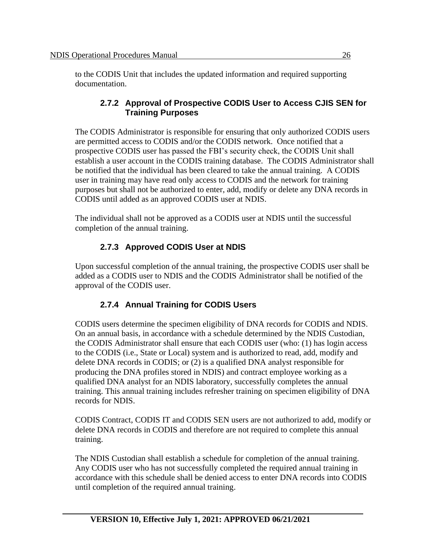to the CODIS Unit that includes the updated information and required supporting documentation.

#### **2.7.2 Approval of Prospective CODIS User to Access CJIS SEN for Training Purposes**

The CODIS Administrator is responsible for ensuring that only authorized CODIS users are permitted access to CODIS and/or the CODIS network. Once notified that a prospective CODIS user has passed the FBI's security check, the CODIS Unit shall establish a user account in the CODIS training database. The CODIS Administrator shall be notified that the individual has been cleared to take the annual training. A CODIS user in training may have read only access to CODIS and the network for training purposes but shall not be authorized to enter, add, modify or delete any DNA records in CODIS until added as an approved CODIS user at NDIS.

The individual shall not be approved as a CODIS user at NDIS until the successful completion of the annual training.

## **2.7.3 Approved CODIS User at NDIS**

Upon successful completion of the annual training, the prospective CODIS user shall be added as a CODIS user to NDIS and the CODIS Administrator shall be notified of the approval of the CODIS user.

### **2.7.4 Annual Training for CODIS Users**

CODIS users determine the specimen eligibility of DNA records for CODIS and NDIS. On an annual basis, in accordance with a schedule determined by the NDIS Custodian, the CODIS Administrator shall ensure that each CODIS user (who: (1) has login access to the CODIS (i.e., State or Local) system and is authorized to read, add, modify and delete DNA records in CODIS; or (2) is a qualified DNA analyst responsible for producing the DNA profiles stored in NDIS) and contract employee working as a qualified DNA analyst for an NDIS laboratory, successfully completes the annual training. This annual training includes refresher training on specimen eligibility of DNA records for NDIS.

CODIS Contract, CODIS IT and CODIS SEN users are not authorized to add, modify or delete DNA records in CODIS and therefore are not required to complete this annual training.

The NDIS Custodian shall establish a schedule for completion of the annual training. Any CODIS user who has not successfully completed the required annual training in accordance with this schedule shall be denied access to enter DNA records into CODIS until completion of the required annual training.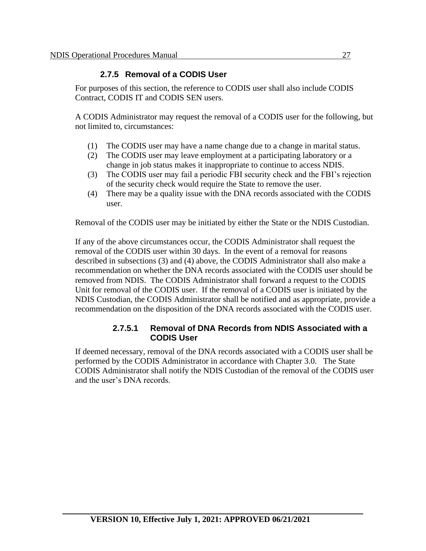### **2.7.5 Removal of a CODIS User**

For purposes of this section, the reference to CODIS user shall also include CODIS Contract, CODIS IT and CODIS SEN users.

A CODIS Administrator may request the removal of a CODIS user for the following, but not limited to, circumstances:

- (1) The CODIS user may have a name change due to a change in marital status.
- (2) The CODIS user may leave employment at a participating laboratory or a change in job status makes it inappropriate to continue to access NDIS.
- (3) The CODIS user may fail a periodic FBI security check and the FBI's rejection of the security check would require the State to remove the user.
- (4) There may be a quality issue with the DNA records associated with the CODIS user.

Removal of the CODIS user may be initiated by either the State or the NDIS Custodian.

If any of the above circumstances occur, the CODIS Administrator shall request the removal of the CODIS user within 30 days. In the event of a removal for reasons described in subsections (3) and (4) above, the CODIS Administrator shall also make a recommendation on whether the DNA records associated with the CODIS user should be removed from NDIS. The CODIS Administrator shall forward a request to the CODIS Unit for removal of the CODIS user. If the removal of a CODIS user is initiated by the NDIS Custodian, the CODIS Administrator shall be notified and as appropriate, provide a recommendation on the disposition of the DNA records associated with the CODIS user.

#### **2.7.5.1 Removal of DNA Records from NDIS Associated with a CODIS User**

If deemed necessary, removal of the DNA records associated with a CODIS user shall be performed by the CODIS Administrator in accordance with Chapter 3.0. The State CODIS Administrator shall notify the NDIS Custodian of the removal of the CODIS user and the user's DNA records.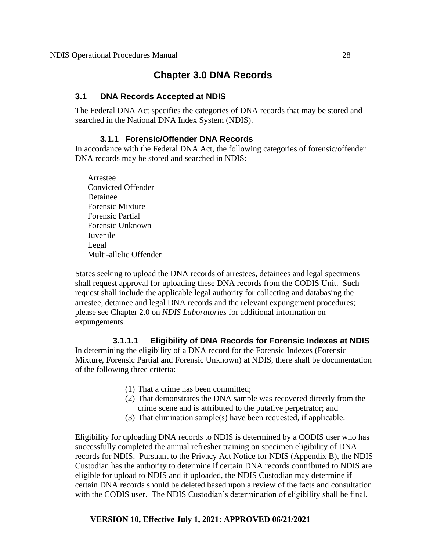# **Chapter 3.0 DNA Records**

### **3.1 DNA Records Accepted at NDIS**

The Federal DNA Act specifies the categories of DNA records that may be stored and searched in the National DNA Index System (NDIS).

### **3.1.1 Forensic/Offender DNA Records**

In accordance with the Federal DNA Act, the following categories of forensic/offender DNA records may be stored and searched in NDIS:

Arrestee Convicted Offender Detainee Forensic Mixture Forensic Partial Forensic Unknown Juvenile Legal Multi-allelic Offender

States seeking to upload the DNA records of arrestees, detainees and legal specimens shall request approval for uploading these DNA records from the CODIS Unit. Such request shall include the applicable legal authority for collecting and databasing the arrestee, detainee and legal DNA records and the relevant expungement procedures; please see Chapter 2.0 on *NDIS Laboratories* for additional information on expungements.

**3.1.1.1 Eligibility of DNA Records for Forensic Indexes at NDIS**  In determining the eligibility of a DNA record for the Forensic Indexes (Forensic Mixture, Forensic Partial and Forensic Unknown) at NDIS, there shall be documentation of the following three criteria:

- (1) That a crime has been committed;
- (2) That demonstrates the DNA sample was recovered directly from the crime scene and is attributed to the putative perpetrator; and
- (3) That elimination sample(s) have been requested, if applicable.

Eligibility for uploading DNA records to NDIS is determined by a CODIS user who has successfully completed the annual refresher training on specimen eligibility of DNA records for NDIS. Pursuant to the Privacy Act Notice for NDIS (Appendix B), the NDIS Custodian has the authority to determine if certain DNA records contributed to NDIS are eligible for upload to NDIS and if uploaded, the NDIS Custodian may determine if certain DNA records should be deleted based upon a review of the facts and consultation with the CODIS user. The NDIS Custodian's determination of eligibility shall be final.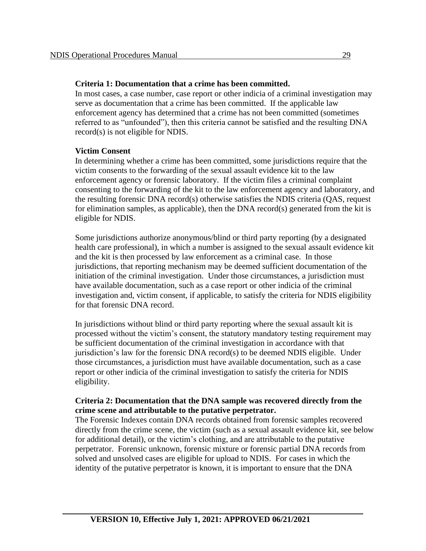#### **Criteria 1: Documentation that a crime has been committed.**

In most cases, a case number, case report or other indicia of a criminal investigation may serve as documentation that a crime has been committed. If the applicable law enforcement agency has determined that a crime has not been committed (sometimes referred to as "unfounded"), then this criteria cannot be satisfied and the resulting DNA record(s) is not eligible for NDIS.

#### **Victim Consent**

In determining whether a crime has been committed, some jurisdictions require that the victim consents to the forwarding of the sexual assault evidence kit to the law enforcement agency or forensic laboratory. If the victim files a criminal complaint consenting to the forwarding of the kit to the law enforcement agency and laboratory, and the resulting forensic DNA record(s) otherwise satisfies the NDIS criteria (QAS, request for elimination samples, as applicable), then the DNA record(s) generated from the kit is eligible for NDIS.

Some jurisdictions authorize anonymous/blind or third party reporting (by a designated health care professional), in which a number is assigned to the sexual assault evidence kit and the kit is then processed by law enforcement as a criminal case. In those jurisdictions, that reporting mechanism may be deemed sufficient documentation of the initiation of the criminal investigation. Under those circumstances, a jurisdiction must have available documentation, such as a case report or other indicia of the criminal investigation and, victim consent, if applicable, to satisfy the criteria for NDIS eligibility for that forensic DNA record.

In jurisdictions without blind or third party reporting where the sexual assault kit is processed without the victim's consent, the statutory mandatory testing requirement may be sufficient documentation of the criminal investigation in accordance with that jurisdiction's law for the forensic DNA record(s) to be deemed NDIS eligible. Under those circumstances, a jurisdiction must have available documentation, such as a case report or other indicia of the criminal investigation to satisfy the criteria for NDIS eligibility.

#### **Criteria 2: Documentation that the DNA sample was recovered directly from the crime scene and attributable to the putative perpetrator.**

The Forensic Indexes contain DNA records obtained from forensic samples recovered directly from the crime scene, the victim (such as a sexual assault evidence kit, see below for additional detail), or the victim's clothing, and are attributable to the putative perpetrator. Forensic unknown, forensic mixture or forensic partial DNA records from solved and unsolved cases are eligible for upload to NDIS. For cases in which the identity of the putative perpetrator is known, it is important to ensure that the DNA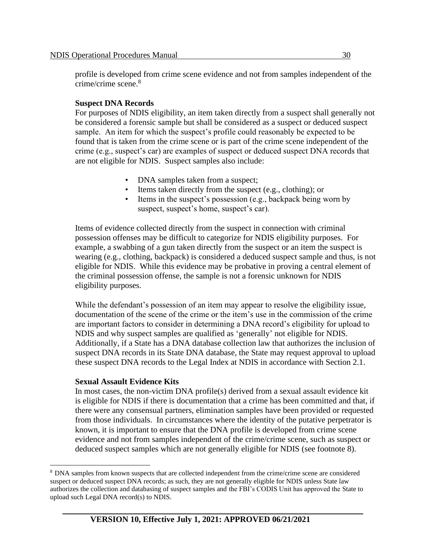profile is developed from crime scene evidence and not from samples independent of the crime/crime scene. 8

#### **Suspect DNA Records**

For purposes of NDIS eligibility, an item taken directly from a suspect shall generally not be considered a forensic sample but shall be considered as a suspect or deduced suspect sample. An item for which the suspect's profile could reasonably be expected to be found that is taken from the crime scene or is part of the crime scene independent of the crime (e.g., suspect's car) are examples of suspect or deduced suspect DNA records that are not eligible for NDIS. Suspect samples also include:

- DNA samples taken from a suspect;
- Items taken directly from the suspect (e.g., clothing); or
- Items in the suspect's possession (e.g., backpack being worn by suspect, suspect's home, suspect's car).

Items of evidence collected directly from the suspect in connection with criminal possession offenses may be difficult to categorize for NDIS eligibility purposes. For example, a swabbing of a gun taken directly from the suspect or an item the suspect is wearing (e.g., clothing, backpack) is considered a deduced suspect sample and thus, is not eligible for NDIS. While this evidence may be probative in proving a central element of the criminal possession offense, the sample is not a forensic unknown for NDIS eligibility purposes.

While the defendant's possession of an item may appear to resolve the eligibility issue, documentation of the scene of the crime or the item's use in the commission of the crime are important factors to consider in determining a DNA record's eligibility for upload to NDIS and why suspect samples are qualified as 'generally' not eligible for NDIS. Additionally, if a State has a DNA database collection law that authorizes the inclusion of suspect DNA records in its State DNA database, the State may request approval to upload these suspect DNA records to the Legal Index at NDIS in accordance with Section 2.1.

#### **Sexual Assault Evidence Kits**

In most cases, the non-victim DNA profile(s) derived from a sexual assault evidence kit is eligible for NDIS if there is documentation that a crime has been committed and that, if there were any consensual partners, elimination samples have been provided or requested from those individuals. In circumstances where the identity of the putative perpetrator is known, it is important to ensure that the DNA profile is developed from crime scene evidence and not from samples independent of the crime/crime scene, such as suspect or deduced suspect samples which are not generally eligible for NDIS (see footnote 8).

<sup>8</sup> DNA samples from known suspects that are collected independent from the crime/crime scene are considered suspect or deduced suspect DNA records; as such, they are not generally eligible for NDIS unless State law authorizes the collection and databasing of suspect samples and the FBI's CODIS Unit has approved the State to upload such Legal DNA record(s) to NDIS.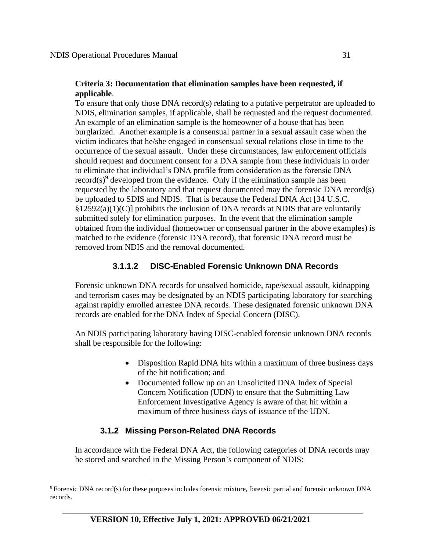#### **Criteria 3: Documentation that elimination samples have been requested, if applicable**.

To ensure that only those DNA record(s) relating to a putative perpetrator are uploaded to NDIS, elimination samples, if applicable, shall be requested and the request documented. An example of an elimination sample is the homeowner of a house that has been burglarized. Another example is a consensual partner in a sexual assault case when the victim indicates that he/she engaged in consensual sexual relations close in time to the occurrence of the sexual assault. Under these circumstances, law enforcement officials should request and document consent for a DNA sample from these individuals in order to eliminate that individual's DNA profile from consideration as the forensic DNA record(s)<sup>9</sup> developed from the evidence. Only if the elimination sample has been requested by the laboratory and that request documented may the forensic DNA record(s) be uploaded to SDIS and NDIS. That is because the Federal DNA Act [34 U.S.C.  $\S 12592(a)(1)(C)$ ] prohibits the inclusion of DNA records at NDIS that are voluntarily submitted solely for elimination purposes. In the event that the elimination sample obtained from the individual (homeowner or consensual partner in the above examples) is matched to the evidence (forensic DNA record), that forensic DNA record must be removed from NDIS and the removal documented.

### **3.1.1.2 DISC-Enabled Forensic Unknown DNA Records**

Forensic unknown DNA records for unsolved homicide, rape/sexual assault, kidnapping and terrorism cases may be designated by an NDIS participating laboratory for searching against rapidly enrolled arrestee DNA records. These designated forensic unknown DNA records are enabled for the DNA Index of Special Concern (DISC).

An NDIS participating laboratory having DISC-enabled forensic unknown DNA records shall be responsible for the following:

- Disposition Rapid DNA hits within a maximum of three business days of the hit notification; and
- Documented follow up on an Unsolicited DNA Index of Special Concern Notification (UDN) to ensure that the Submitting Law Enforcement Investigative Agency is aware of that hit within a maximum of three business days of issuance of the UDN.

#### **3.1.2 Missing Person-Related DNA Records**

In accordance with the Federal DNA Act, the following categories of DNA records may be stored and searched in the Missing Person's component of NDIS:

<sup>9</sup> Forensic DNA record(s) for these purposes includes forensic mixture, forensic partial and forensic unknown DNA records.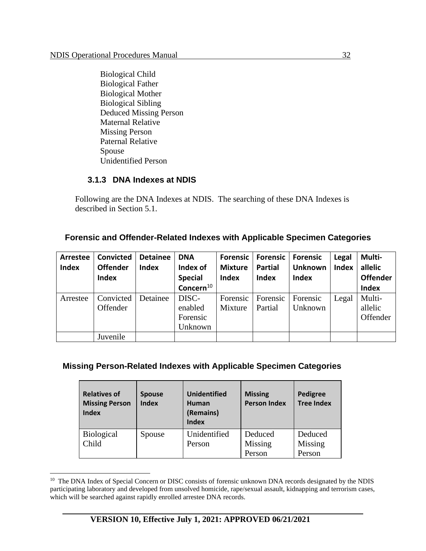Biological Child Biological Father Biological Mother Biological Sibling Deduced Missing Person Maternal Relative Missing Person Paternal Relative Spouse Unidentified Person

#### **3.1.3 DNA Indexes at NDIS**

Following are the DNA Indexes at NDIS. The searching of these DNA Indexes is described in Section 5.1.

#### **Forensic and Offender-Related Indexes with Applicable Specimen Categories**

| <b>Arrestee</b><br><b>Index</b> | <b>Convicted</b><br><b>Offender</b><br><b>Index</b> | <b>Detainee</b><br><b>Index</b> | <b>DNA</b><br>Index of<br><b>Special</b><br>Concern $^{10}$ | <b>Forensic</b><br><b>Mixture</b><br><b>Index</b> | <b>Forensic</b><br><b>Partial</b><br><b>Index</b> | <b>Forensic</b><br><b>Unknown</b><br><b>Index</b> | Legal<br><b>Index</b> | Multi-<br>allelic<br><b>Offender</b><br><b>Index</b> |
|---------------------------------|-----------------------------------------------------|---------------------------------|-------------------------------------------------------------|---------------------------------------------------|---------------------------------------------------|---------------------------------------------------|-----------------------|------------------------------------------------------|
| Arrestee                        | Convicted<br>Offender                               | Detainee                        | DISC-<br>enabled<br>Forensic<br>Unknown                     | Forensic<br>Mixture                               | Forensic<br>Partial                               | Forensic<br>Unknown                               | Legal                 | Multi-<br>allelic<br>Offender                        |
|                                 | Juvenile                                            |                                 |                                                             |                                                   |                                                   |                                                   |                       |                                                      |

#### **Missing Person-Related Indexes with Applicable Specimen Categories**

| <b>Relatives of</b><br><b>Missing Person</b><br><b>Index</b> | <b>Spouse</b><br><b>Index</b> | <b>Unidentified</b><br>Human<br>(Remains)<br>Index | <b>Missing</b><br><b>Person Index</b> | Pedigree<br><b>Tree Index</b> |
|--------------------------------------------------------------|-------------------------------|----------------------------------------------------|---------------------------------------|-------------------------------|
| <b>Biological</b><br>Child                                   | Spouse                        | Unidentified<br>Person                             | Deduced<br>Missing                    | Deduced<br>Missing            |
|                                                              |                               |                                                    | Person                                | Person                        |

<sup>&</sup>lt;sup>10</sup> The DNA Index of Special Concern or DISC consists of forensic unknown DNA records designated by the NDIS participating laboratory and developed from unsolved homicide, rape/sexual assault, kidnapping and terrorism cases, which will be searched against rapidly enrolled arrestee DNA records.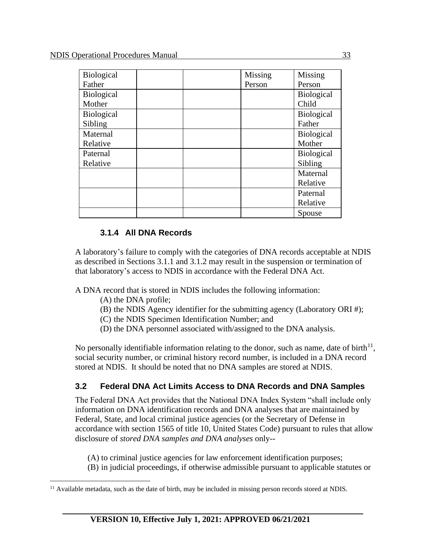| <b>Biological</b> |  | Missing | Missing           |
|-------------------|--|---------|-------------------|
| Father            |  | Person  | Person            |
| <b>Biological</b> |  |         | <b>Biological</b> |
| Mother            |  |         | Child             |
| <b>Biological</b> |  |         | <b>Biological</b> |
| Sibling           |  |         | Father            |
| Maternal          |  |         | <b>Biological</b> |
| Relative          |  |         | Mother            |
| Paternal          |  |         | <b>Biological</b> |
| Relative          |  |         | Sibling           |
|                   |  |         | Maternal          |
|                   |  |         | Relative          |
|                   |  |         | Paternal          |
|                   |  |         | Relative          |
|                   |  |         | Spouse            |

### **3.1.4 All DNA Records**

A laboratory's failure to comply with the categories of DNA records acceptable at NDIS as described in Sections 3.1.1 and 3.1.2 may result in the suspension or termination of that laboratory's access to NDIS in accordance with the Federal DNA Act.

A DNA record that is stored in NDIS includes the following information:

- (A) the DNA profile;
- (B) the NDIS Agency identifier for the submitting agency (Laboratory ORI #);
- (C) the NDIS Specimen Identification Number; and
- (D) the DNA personnel associated with/assigned to the DNA analysis.

No personally identifiable information relating to the donor, such as name, date of birth<sup>11</sup>, social security number, or criminal history record number, is included in a DNA record stored at NDIS. It should be noted that no DNA samples are stored at NDIS.

### **3.2 Federal DNA Act Limits Access to DNA Records and DNA Samples**

The Federal DNA Act provides that the National DNA Index System "shall include only information on DNA identification records and DNA analyses that are maintained by Federal, State, and local criminal justice agencies (or the Secretary of Defense in accordance with section 1565 of title 10, United States Code) pursuant to rules that allow disclosure of *stored DNA samples and DNA analyses* only--

(A) to criminal justice agencies for law enforcement identification purposes;

(B) in judicial proceedings, if otherwise admissible pursuant to applicable statutes or

<sup>&</sup>lt;sup>11</sup> Available metadata, such as the date of birth, may be included in missing person records stored at NDIS.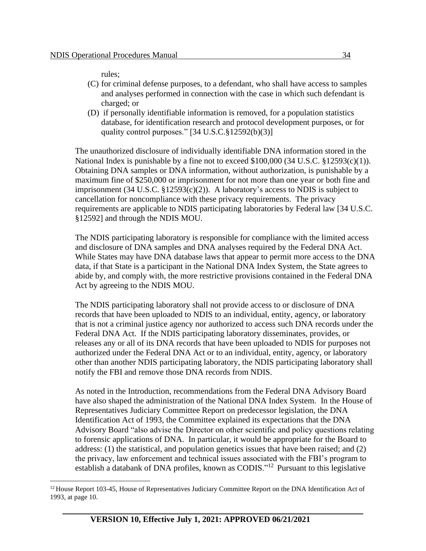rules;

- (C) for criminal defense purposes, to a defendant, who shall have access to samples and analyses performed in connection with the case in which such defendant is charged; or
- (D) if personally identifiable information is removed, for a population statistics database, for identification research and protocol development purposes, or for quality control purposes." [34 U.S.C.§12592(b)(3)]

The unauthorized disclosure of individually identifiable DNA information stored in the National Index is punishable by a fine not to exceed \$100,000 (34 U.S.C. §12593(c)(1)). Obtaining DNA samples or DNA information, without authorization, is punishable by a maximum fine of \$250,000 or imprisonment for not more than one year or both fine and imprisonment  $(34 \text{ U.S.C. } §12593(c)(2))$ . A laboratory's access to NDIS is subject to cancellation for noncompliance with these privacy requirements. The privacy requirements are applicable to NDIS participating laboratories by Federal law [34 U.S.C. §12592] and through the NDIS MOU.

The NDIS participating laboratory is responsible for compliance with the limited access and disclosure of DNA samples and DNA analyses required by the Federal DNA Act. While States may have DNA database laws that appear to permit more access to the DNA data, if that State is a participant in the National DNA Index System, the State agrees to abide by, and comply with, the more restrictive provisions contained in the Federal DNA Act by agreeing to the NDIS MOU.

The NDIS participating laboratory shall not provide access to or disclosure of DNA records that have been uploaded to NDIS to an individual, entity, agency, or laboratory that is not a criminal justice agency nor authorized to access such DNA records under the Federal DNA Act. If the NDIS participating laboratory disseminates, provides, or releases any or all of its DNA records that have been uploaded to NDIS for purposes not authorized under the Federal DNA Act or to an individual, entity, agency, or laboratory other than another NDIS participating laboratory, the NDIS participating laboratory shall notify the FBI and remove those DNA records from NDIS.

As noted in the Introduction, recommendations from the Federal DNA Advisory Board have also shaped the administration of the National DNA Index System. In the House of Representatives Judiciary Committee Report on predecessor legislation, the DNA Identification Act of 1993, the Committee explained its expectations that the DNA Advisory Board "also advise the Director on other scientific and policy questions relating to forensic applications of DNA. In particular, it would be appropriate for the Board to address: (1) the statistical, and population genetics issues that have been raised; and (2) the privacy, law enforcement and technical issues associated with the FBI's program to establish a databank of DNA profiles, known as CODIS."<sup>12</sup> Pursuant to this legislative

<sup>&</sup>lt;sup>12</sup> House Report 103-45, House of Representatives Judiciary Committee Report on the DNA Identification Act of 1993, at page 10.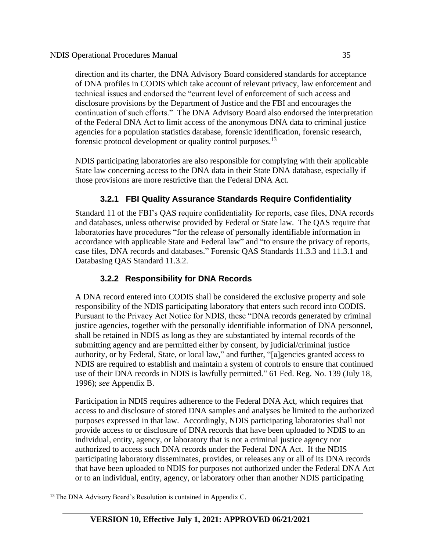direction and its charter, the DNA Advisory Board considered standards for acceptance of DNA profiles in CODIS which take account of relevant privacy, law enforcement and technical issues and endorsed the "current level of enforcement of such access and disclosure provisions by the Department of Justice and the FBI and encourages the continuation of such efforts." The DNA Advisory Board also endorsed the interpretation of the Federal DNA Act to limit access of the anonymous DNA data to criminal justice agencies for a population statistics database, forensic identification, forensic research, forensic protocol development or quality control purposes.<sup>13</sup>

NDIS participating laboratories are also responsible for complying with their applicable State law concerning access to the DNA data in their State DNA database, especially if those provisions are more restrictive than the Federal DNA Act.

### **3.2.1 FBI Quality Assurance Standards Require Confidentiality**

Standard 11 of the FBI's QAS require confidentiality for reports, case files, DNA records and databases, unless otherwise provided by Federal or State law. The QAS require that laboratories have procedures "for the release of personally identifiable information in accordance with applicable State and Federal law" and "to ensure the privacy of reports, case files, DNA records and databases." Forensic QAS Standards 11.3.3 and 11.3.1 and Databasing QAS Standard 11.3.2.

### **3.2.2 Responsibility for DNA Records**

A DNA record entered into CODIS shall be considered the exclusive property and sole responsibility of the NDIS participating laboratory that enters such record into CODIS. Pursuant to the Privacy Act Notice for NDIS, these "DNA records generated by criminal justice agencies, together with the personally identifiable information of DNA personnel, shall be retained in NDIS as long as they are substantiated by internal records of the submitting agency and are permitted either by consent, by judicial/criminal justice authority, or by Federal, State, or local law," and further, "[a]gencies granted access to NDIS are required to establish and maintain a system of controls to ensure that continued use of their DNA records in NDIS is lawfully permitted." 61 Fed. Reg. No. 139 (July 18, 1996); *see* Appendix B.

Participation in NDIS requires adherence to the Federal DNA Act, which requires that access to and disclosure of stored DNA samples and analyses be limited to the authorized purposes expressed in that law. Accordingly, NDIS participating laboratories shall not provide access to or disclosure of DNA records that have been uploaded to NDIS to an individual, entity, agency, or laboratory that is not a criminal justice agency nor authorized to access such DNA records under the Federal DNA Act. If the NDIS participating laboratory disseminates, provides, or releases any or all of its DNA records that have been uploaded to NDIS for purposes not authorized under the Federal DNA Act or to an individual, entity, agency, or laboratory other than another NDIS participating

<sup>&</sup>lt;sup>13</sup> The DNA Advisory Board's Resolution is contained in Appendix C.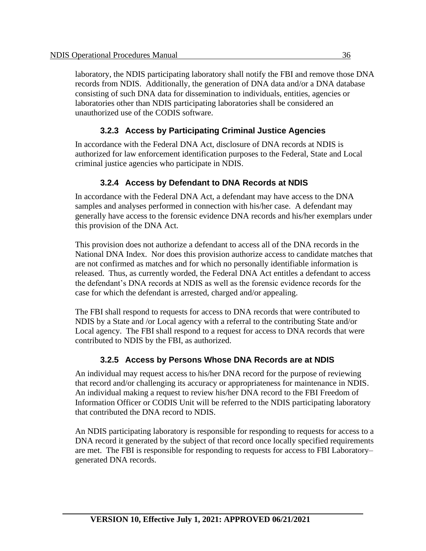laboratory, the NDIS participating laboratory shall notify the FBI and remove those DNA records from NDIS. Additionally, the generation of DNA data and/or a DNA database consisting of such DNA data for dissemination to individuals, entities, agencies or laboratories other than NDIS participating laboratories shall be considered an unauthorized use of the CODIS software.

### **3.2.3 Access by Participating Criminal Justice Agencies**

In accordance with the Federal DNA Act, disclosure of DNA records at NDIS is authorized for law enforcement identification purposes to the Federal, State and Local criminal justice agencies who participate in NDIS.

### **3.2.4 Access by Defendant to DNA Records at NDIS**

In accordance with the Federal DNA Act, a defendant may have access to the DNA samples and analyses performed in connection with his/her case. A defendant may generally have access to the forensic evidence DNA records and his/her exemplars under this provision of the DNA Act.

This provision does not authorize a defendant to access all of the DNA records in the National DNA Index. Nor does this provision authorize access to candidate matches that are not confirmed as matches and for which no personally identifiable information is released. Thus, as currently worded, the Federal DNA Act entitles a defendant to access the defendant's DNA records at NDIS as well as the forensic evidence records for the case for which the defendant is arrested, charged and/or appealing.

The FBI shall respond to requests for access to DNA records that were contributed to NDIS by a State and /or Local agency with a referral to the contributing State and/or Local agency. The FBI shall respond to a request for access to DNA records that were contributed to NDIS by the FBI, as authorized.

### **3.2.5 Access by Persons Whose DNA Records are at NDIS**

An individual may request access to his/her DNA record for the purpose of reviewing that record and/or challenging its accuracy or appropriateness for maintenance in NDIS. An individual making a request to review his/her DNA record to the FBI Freedom of Information Officer or CODIS Unit will be referred to the NDIS participating laboratory that contributed the DNA record to NDIS.

An NDIS participating laboratory is responsible for responding to requests for access to a DNA record it generated by the subject of that record once locally specified requirements are met. The FBI is responsible for responding to requests for access to FBI Laboratory– generated DNA records.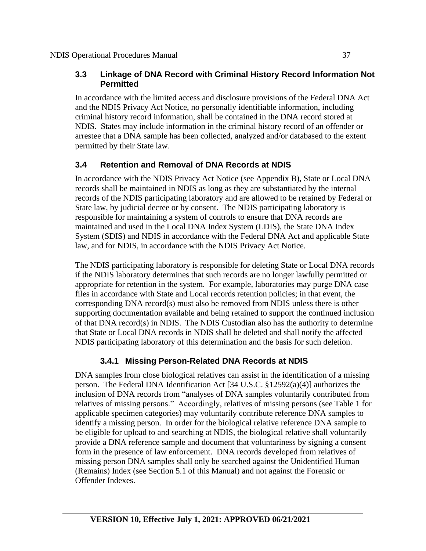#### **3.3 Linkage of DNA Record with Criminal History Record Information Not Permitted**

In accordance with the limited access and disclosure provisions of the Federal DNA Act and the NDIS Privacy Act Notice, no personally identifiable information, including criminal history record information, shall be contained in the DNA record stored at NDIS. States may include information in the criminal history record of an offender or arrestee that a DNA sample has been collected, analyzed and/or databased to the extent permitted by their State law.

# **3.4 Retention and Removal of DNA Records at NDIS**

In accordance with the NDIS Privacy Act Notice (see Appendix B), State or Local DNA records shall be maintained in NDIS as long as they are substantiated by the internal records of the NDIS participating laboratory and are allowed to be retained by Federal or State law, by judicial decree or by consent. The NDIS participating laboratory is responsible for maintaining a system of controls to ensure that DNA records are maintained and used in the Local DNA Index System (LDIS), the State DNA Index System (SDIS) and NDIS in accordance with the Federal DNA Act and applicable State law, and for NDIS, in accordance with the NDIS Privacy Act Notice.

The NDIS participating laboratory is responsible for deleting State or Local DNA records if the NDIS laboratory determines that such records are no longer lawfully permitted or appropriate for retention in the system. For example, laboratories may purge DNA case files in accordance with State and Local records retention policies; in that event, the corresponding DNA record(s) must also be removed from NDIS unless there is other supporting documentation available and being retained to support the continued inclusion of that DNA record(s) in NDIS. The NDIS Custodian also has the authority to determine that State or Local DNA records in NDIS shall be deleted and shall notify the affected NDIS participating laboratory of this determination and the basis for such deletion.

# **3.4.1 Missing Person-Related DNA Records at NDIS**

DNA samples from close biological relatives can assist in the identification of a missing person. The Federal DNA Identification Act [34 U.S.C. §12592(a)(4)] authorizes the inclusion of DNA records from "analyses of DNA samples voluntarily contributed from relatives of missing persons." Accordingly, relatives of missing persons (see Table 1 for applicable specimen categories) may voluntarily contribute reference DNA samples to identify a missing person. In order for the biological relative reference DNA sample to be eligible for upload to and searching at NDIS, the biological relative shall voluntarily provide a DNA reference sample and document that voluntariness by signing a consent form in the presence of law enforcement. DNA records developed from relatives of missing person DNA samples shall only be searched against the Unidentified Human (Remains) Index (see Section 5.1 of this Manual) and not against the Forensic or Offender Indexes.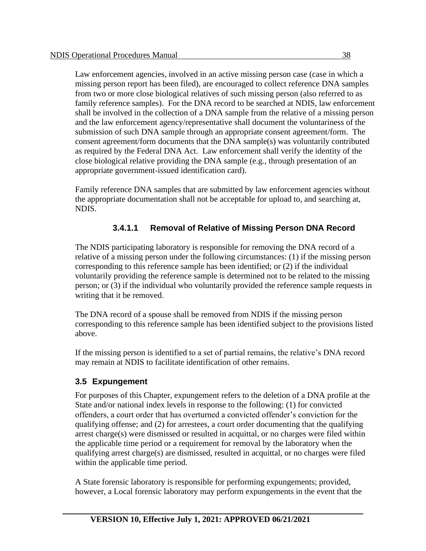Law enforcement agencies, involved in an active missing person case (case in which a missing person report has been filed), are encouraged to collect reference DNA samples from two or more close biological relatives of such missing person (also referred to as family reference samples). For the DNA record to be searched at NDIS, law enforcement shall be involved in the collection of a DNA sample from the relative of a missing person and the law enforcement agency/representative shall document the voluntariness of the submission of such DNA sample through an appropriate consent agreement/form. The consent agreement/form documents that the DNA sample(s) was voluntarily contributed as required by the Federal DNA Act. Law enforcement shall verify the identity of the close biological relative providing the DNA sample (e.g., through presentation of an appropriate government-issued identification card).

Family reference DNA samples that are submitted by law enforcement agencies without the appropriate documentation shall not be acceptable for upload to, and searching at, NDIS.

# **3.4.1.1 Removal of Relative of Missing Person DNA Record**

The NDIS participating laboratory is responsible for removing the DNA record of a relative of a missing person under the following circumstances: (1) if the missing person corresponding to this reference sample has been identified; or (2) if the individual voluntarily providing the reference sample is determined not to be related to the missing person; or (3) if the individual who voluntarily provided the reference sample requests in writing that it be removed.

The DNA record of a spouse shall be removed from NDIS if the missing person corresponding to this reference sample has been identified subject to the provisions listed above.

If the missing person is identified to a set of partial remains, the relative's DNA record may remain at NDIS to facilitate identification of other remains.

#### **3.5 Expungement**

For purposes of this Chapter, expungement refers to the deletion of a DNA profile at the State and/or national index levels in response to the following: (1) for convicted offenders, a court order that has overturned a convicted offender's conviction for the qualifying offense; and (2) for arrestees, a court order documenting that the qualifying arrest charge(s) were dismissed or resulted in acquittal, or no charges were filed within the applicable time period or a requirement for removal by the laboratory when the qualifying arrest charge(s) are dismissed, resulted in acquittal, or no charges were filed within the applicable time period.

A State forensic laboratory is responsible for performing expungements; provided, however, a Local forensic laboratory may perform expungements in the event that the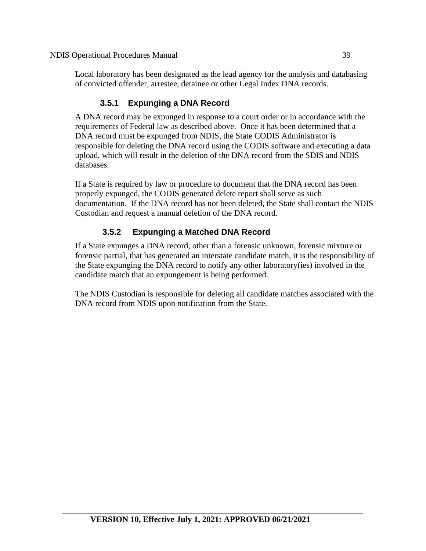Local laboratory has been designated as the lead agency for the analysis and databasing of convicted offender, arrestee, detainee or other Legal Index DNA records.

# **3.5.1 Expunging a DNA Record**

A DNA record may be expunged in response to a court order or in accordance with the requirements of Federal law as described above. Once it has been determined that a DNA record must be expunged from NDIS, the State CODIS Administrator is responsible for deleting the DNA record using the CODIS software and executing a data upload, which will result in the deletion of the DNA record from the SDIS and NDIS databases.

If a State is required by law or procedure to document that the DNA record has been properly expunged, the CODIS generated delete report shall serve as such documentation. If the DNA record has not been deleted, the State shall contact the NDIS Custodian and request a manual deletion of the DNA record.

# **3.5.2 Expunging a Matched DNA Record**

If a State expunges a DNA record, other than a forensic unknown, forensic mixture or forensic partial, that has generated an interstate candidate match, it is the responsibility of the State expunging the DNA record to notify any other laboratory(ies) involved in the candidate match that an expungement is being performed.

The NDIS Custodian is responsible for deleting all candidate matches associated with the DNA record from NDIS upon notification from the State.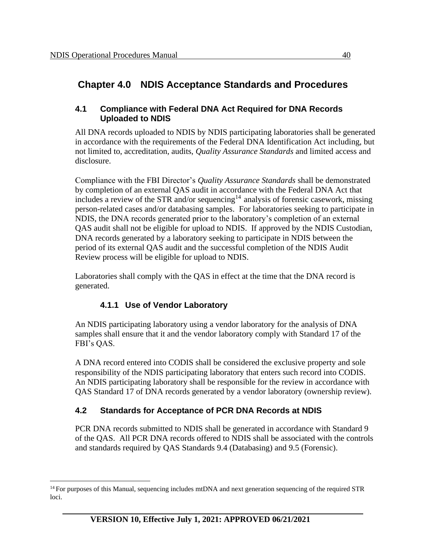# **Chapter 4.0 NDIS Acceptance Standards and Procedures**

#### **4.1 Compliance with Federal DNA Act Required for DNA Records Uploaded to NDIS**

All DNA records uploaded to NDIS by NDIS participating laboratories shall be generated in accordance with the requirements of the Federal DNA Identification Act including, but not limited to, accreditation, audits, *Quality Assurance Standards* and limited access and disclosure.

Compliance with the FBI Director's *Quality Assurance Standards* shall be demonstrated by completion of an external QAS audit in accordance with the Federal DNA Act that includes a review of the STR and/or sequencing<sup>14</sup> analysis of forensic casework, missing person-related cases and/or databasing samples. For laboratories seeking to participate in NDIS, the DNA records generated prior to the laboratory's completion of an external QAS audit shall not be eligible for upload to NDIS. If approved by the NDIS Custodian, DNA records generated by a laboratory seeking to participate in NDIS between the period of its external QAS audit and the successful completion of the NDIS Audit Review process will be eligible for upload to NDIS.

Laboratories shall comply with the QAS in effect at the time that the DNA record is generated.

## **4.1.1 Use of Vendor Laboratory**

An NDIS participating laboratory using a vendor laboratory for the analysis of DNA samples shall ensure that it and the vendor laboratory comply with Standard 17 of the FBI's QAS.

A DNA record entered into CODIS shall be considered the exclusive property and sole responsibility of the NDIS participating laboratory that enters such record into CODIS. An NDIS participating laboratory shall be responsible for the review in accordance with QAS Standard 17 of DNA records generated by a vendor laboratory (ownership review).

## **4.2 Standards for Acceptance of PCR DNA Records at NDIS**

PCR DNA records submitted to NDIS shall be generated in accordance with Standard 9 of the QAS. All PCR DNA records offered to NDIS shall be associated with the controls and standards required by QAS Standards 9.4 (Databasing) and 9.5 (Forensic).

<sup>&</sup>lt;sup>14</sup> For purposes of this Manual, sequencing includes mtDNA and next generation sequencing of the required STR loci.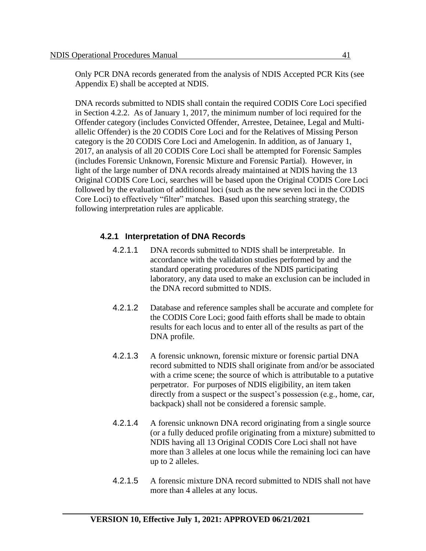Only PCR DNA records generated from the analysis of NDIS Accepted PCR Kits (see Appendix E) shall be accepted at NDIS.

DNA records submitted to NDIS shall contain the required CODIS Core Loci specified in Section 4.2.2. As of January 1, 2017, the minimum number of loci required for the Offender category (includes Convicted Offender, Arrestee, Detainee, Legal and Multiallelic Offender) is the 20 CODIS Core Loci and for the Relatives of Missing Person category is the 20 CODIS Core Loci and Amelogenin. In addition, as of January 1, 2017, an analysis of all 20 CODIS Core Loci shall be attempted for Forensic Samples (includes Forensic Unknown, Forensic Mixture and Forensic Partial). However, in light of the large number of DNA records already maintained at NDIS having the 13 Original CODIS Core Loci, searches will be based upon the Original CODIS Core Loci followed by the evaluation of additional loci (such as the new seven loci in the CODIS Core Loci) to effectively "filter" matches. Based upon this searching strategy, the following interpretation rules are applicable.

#### **4.2.1 Interpretation of DNA Records**

- 4.2.1.1 DNA records submitted to NDIS shall be interpretable. In accordance with the validation studies performed by and the standard operating procedures of the NDIS participating laboratory, any data used to make an exclusion can be included in the DNA record submitted to NDIS.
- 4.2.1.2 Database and reference samples shall be accurate and complete for the CODIS Core Loci; good faith efforts shall be made to obtain results for each locus and to enter all of the results as part of the DNA profile.
- 4.2.1.3 A forensic unknown, forensic mixture or forensic partial DNA record submitted to NDIS shall originate from and/or be associated with a crime scene; the source of which is attributable to a putative perpetrator. For purposes of NDIS eligibility, an item taken directly from a suspect or the suspect's possession (e.g., home, car, backpack) shall not be considered a forensic sample.
- 4.2.1.4 A forensic unknown DNA record originating from a single source (or a fully deduced profile originating from a mixture) submitted to NDIS having all 13 Original CODIS Core Loci shall not have more than 3 alleles at one locus while the remaining loci can have up to 2 alleles.
- 4.2.1.5 A forensic mixture DNA record submitted to NDIS shall not have more than 4 alleles at any locus.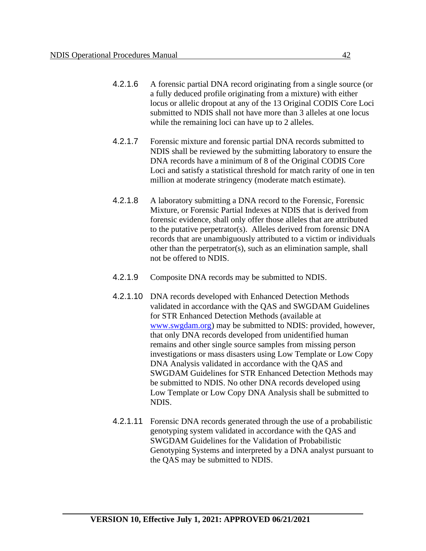- 4.2.1.6 A forensic partial DNA record originating from a single source (or a fully deduced profile originating from a mixture) with either locus or allelic dropout at any of the 13 Original CODIS Core Loci submitted to NDIS shall not have more than 3 alleles at one locus while the remaining loci can have up to 2 alleles.
- 4.2.1.7 Forensic mixture and forensic partial DNA records submitted to NDIS shall be reviewed by the submitting laboratory to ensure the DNA records have a minimum of 8 of the Original CODIS Core Loci and satisfy a statistical threshold for match rarity of one in ten million at moderate stringency (moderate match estimate).
- 4.2.1.8 A laboratory submitting a DNA record to the Forensic, Forensic Mixture, or Forensic Partial Indexes at NDIS that is derived from forensic evidence, shall only offer those alleles that are attributed to the putative perpetrator(s). Alleles derived from forensic DNA records that are unambiguously attributed to a victim or individuals other than the perpetrator(s), such as an elimination sample, shall not be offered to NDIS.
- 4.2.1.9 Composite DNA records may be submitted to NDIS.
- 4.2.1.10 DNA records developed with Enhanced Detection Methods validated in accordance with the QAS and SWGDAM Guidelines for STR Enhanced Detection Methods (available at [www.swgdam.org\)](http://www.swgdam.org/) may be submitted to NDIS: provided, however, that only DNA records developed from unidentified human remains and other single source samples from missing person investigations or mass disasters using Low Template or Low Copy DNA Analysis validated in accordance with the QAS and SWGDAM Guidelines for STR Enhanced Detection Methods may be submitted to NDIS. No other DNA records developed using Low Template or Low Copy DNA Analysis shall be submitted to NDIS.
- 4.2.1.11 Forensic DNA records generated through the use of a probabilistic genotyping system validated in accordance with the QAS and SWGDAM Guidelines for the Validation of Probabilistic Genotyping Systems and interpreted by a DNA analyst pursuant to the QAS may be submitted to NDIS.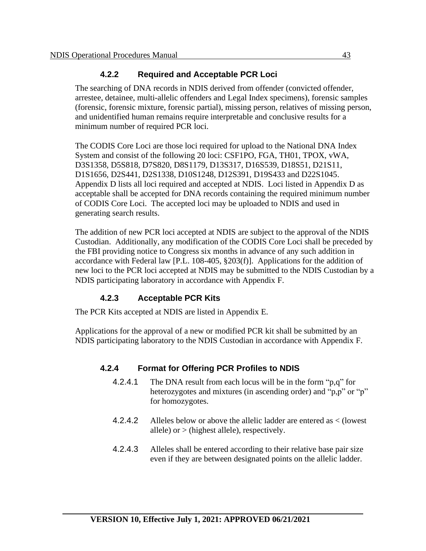#### **4.2.2 Required and Acceptable PCR Loci**

The searching of DNA records in NDIS derived from offender (convicted offender, arrestee, detainee, multi-allelic offenders and Legal Index specimens), forensic samples (forensic, forensic mixture, forensic partial), missing person, relatives of missing person, and unidentified human remains require interpretable and conclusive results for a minimum number of required PCR loci.

The CODIS Core Loci are those loci required for upload to the National DNA Index System and consist of the following 20 loci: CSF1PO, FGA, TH01, TPOX, vWA, D3S1358, D5S818, D7S820, D8S1179, D13S317, D16S539, D18S51, D21S11, D1S1656, D2S441, D2S1338, D10S1248, D12S391, D19S433 and D22S1045. Appendix D lists all loci required and accepted at NDIS. Loci listed in Appendix D as acceptable shall be accepted for DNA records containing the required minimum number of CODIS Core Loci. The accepted loci may be uploaded to NDIS and used in generating search results.

The addition of new PCR loci accepted at NDIS are subject to the approval of the NDIS Custodian. Additionally, any modification of the CODIS Core Loci shall be preceded by the FBI providing notice to Congress six months in advance of any such addition in accordance with Federal law [P.L. 108-405, §203(f)]. Applications for the addition of new loci to the PCR loci accepted at NDIS may be submitted to the NDIS Custodian by a NDIS participating laboratory in accordance with Appendix F.

## **4.2.3 Acceptable PCR Kits**

The PCR Kits accepted at NDIS are listed in Appendix E.

Applications for the approval of a new or modified PCR kit shall be submitted by an NDIS participating laboratory to the NDIS Custodian in accordance with Appendix F.

## **4.2.4 Format for Offering PCR Profiles to NDIS**

- 4.2.4.1 The DNA result from each locus will be in the form "p,q" for heterozygotes and mixtures (in ascending order) and "p,p" or "p" for homozygotes.
- 4.2.4.2 Alleles below or above the allelic ladder are entered as < (lowest allele) or  $>$  (highest allele), respectively.
- 4.2.4.3 Alleles shall be entered according to their relative base pair size even if they are between designated points on the allelic ladder.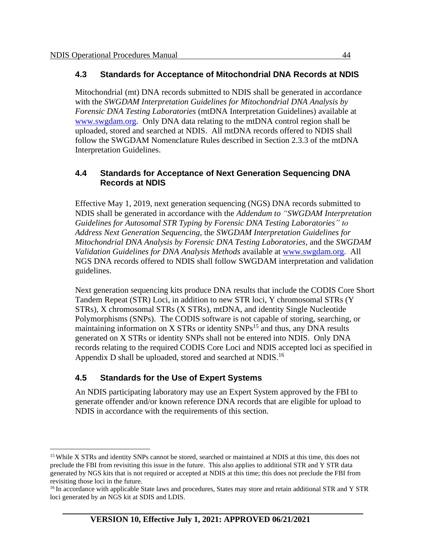#### **4.3 Standards for Acceptance of Mitochondrial DNA Records at NDIS**

Mitochondrial (mt) DNA records submitted to NDIS shall be generated in accordance with the *SWGDAM Interpretation Guidelines for Mitochondrial DNA Analysis by Forensic DNA Testing Laboratories* (mtDNA Interpretation Guidelines) available at [www.swgdam.org.](http://www.swgdam.org/) Only DNA data relating to the mtDNA control region shall be uploaded, stored and searched at NDIS. All mtDNA records offered to NDIS shall follow the SWGDAM Nomenclature Rules described in Section 2.3.3 of the mtDNA Interpretation Guidelines.

#### **4.4 Standards for Acceptance of Next Generation Sequencing DNA Records at NDIS**

Effective May 1, 2019, next generation sequencing (NGS) DNA records submitted to NDIS shall be generated in accordance with the *Addendum to "SWGDAM Interpretation Guidelines for Autosomal STR Typing by Forensic DNA Testing Laboratories" to Address Next Generation Sequencing,* the *SWGDAM Interpretation Guidelines for Mitochondrial DNA Analysis by Forensic DNA Testing Laboratories,* and the *SWGDAM Validation Guidelines for DNA Analysis Methods* available at [www.swgdam.org.](http://www.swgdam.org/) All NGS DNA records offered to NDIS shall follow SWGDAM interpretation and validation guidelines.

Next generation sequencing kits produce DNA results that include the CODIS Core Short Tandem Repeat (STR) Loci, in addition to new STR loci, Y chromosomal STRs (Y STRs), X chromosomal STRs (X STRs), mtDNA, and identity Single Nucleotide Polymorphisms (SNPs). The CODIS software is not capable of storing, searching, or maintaining information on X STRs or identity  $SNPs^{15}$  and thus, any DNA results generated on X STRs or identity SNPs shall not be entered into NDIS. Only DNA records relating to the required CODIS Core Loci and NDIS accepted loci as specified in Appendix D shall be uploaded, stored and searched at NDIS.<sup>16</sup>

# **4.5 Standards for the Use of Expert Systems**

An NDIS participating laboratory may use an Expert System approved by the FBI to generate offender and/or known reference DNA records that are eligible for upload to NDIS in accordance with the requirements of this section.

<sup>&</sup>lt;sup>15</sup> While X STRs and identity SNPs cannot be stored, searched or maintained at NDIS at this time, this does not preclude the FBI from revisiting this issue in the future. This also applies to additional STR and Y STR data generated by NGS kits that is not required or accepted at NDIS at this time; this does not preclude the FBI from revisiting those loci in the future.

<sup>&</sup>lt;sup>16</sup> In accordance with applicable State laws and procedures, States may store and retain additional STR and Y STR loci generated by an NGS kit at SDIS and LDIS.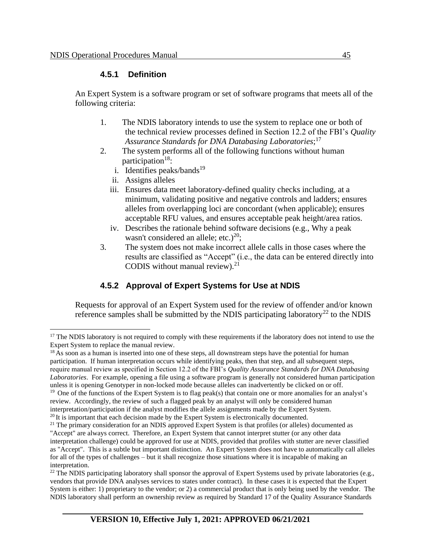#### **4.5.1 Definition**

An Expert System is a software program or set of software programs that meets all of the following criteria:

- 1. The NDIS laboratory intends to use the system to replace one or both of the technical review processes defined in Section 12.2 of the FBI's *Quality Assurance Standards for DNA Databasing Laboratories*; 17
- 2. The system performs all of the following functions without human participation<sup>18</sup>:
	- i. Identifies peaks/bands $19$
	- ii. Assigns alleles
	- iii. Ensures data meet laboratory-defined quality checks including, at a minimum, validating positive and negative controls and ladders; ensures alleles from overlapping loci are concordant (when applicable); ensures acceptable RFU values, and ensures acceptable peak height/area ratios.
	- iv. Describes the rationale behind software decisions (e.g., Why a peak wasn't considered an allele; etc.)<sup>20</sup>;
- 3. The system does not make incorrect allele calls in those cases where the results are classified as "Accept" (i.e., the data can be entered directly into CODIS without manual review). $21$

## **4.5.2 Approval of Expert Systems for Use at NDIS**

Requests for approval of an Expert System used for the review of offender and/or known reference samples shall be submitted by the NDIS participating laboratory<sup>22</sup> to the NDIS

<sup>18</sup> As soon as a human is inserted into one of these steps, all downstream steps have the potential for human participation. If human interpretation occurs while identifying peaks, then that step, and all subsequent steps, require manual review as specified in Section 12.2 of the FBI's *Quality Assurance Standards for DNA Databasing Laboratories*. For example, opening a file using a software program is generally not considered human participation unless it is opening Genotyper in non-locked mode because alleles can inadvertently be clicked on or off.

<sup>&</sup>lt;sup>17</sup> The NDIS laboratory is not required to comply with these requirements if the laboratory does not intend to use the Expert System to replace the manual review.

 $19$  One of the functions of the Expert System is to flag peak(s) that contain one or more anomalies for an analyst's review. Accordingly, the review of such a flagged peak by an analyst will only be considered human interpretation/participation if the analyst modifies the allele assignments made by the Expert System.

 $20$  It is important that each decision made by the Expert System is electronically documented.

<sup>&</sup>lt;sup>21</sup> The primary consideration for an NDIS approved Expert System is that profiles (or alleles) documented as

<sup>&</sup>quot;Accept" are always correct. Therefore, an Expert System that cannot interpret stutter (or any other data interpretation challenge) could be approved for use at NDIS, provided that profiles with stutter are never classified as "Accept". This is a subtle but important distinction. An Expert System does not have to automatically call alleles for all of the types of challenges – but it shall recognize those situations where it is incapable of making an interpretation.

<sup>&</sup>lt;sup>22</sup> The NDIS participating laboratory shall sponsor the approval of Expert Systems used by private laboratories (e.g., vendors that provide DNA analyses services to states under contract). In these cases it is expected that the Expert System is either: 1) proprietary to the vendor; or 2) a commercial product that is only being used by the vendor. The NDIS laboratory shall perform an ownership review as required by Standard 17 of the Quality Assurance Standards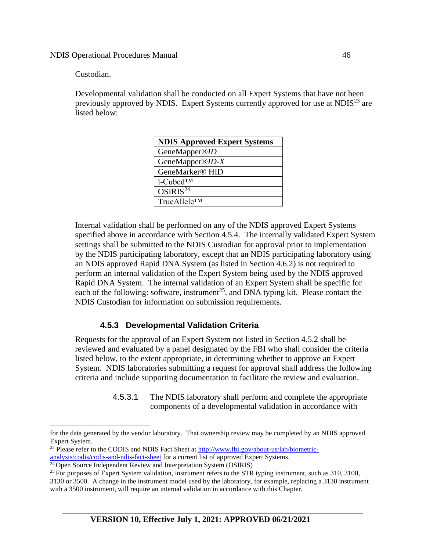Custodian.

Developmental validation shall be conducted on all Expert Systems that have not been previously approved by NDIS. Expert Systems currently approved for use at NDIS $^{23}$  are listed below:

| <b>NDIS Approved Expert Systems</b> |
|-------------------------------------|
| GeneMapper®ID                       |
| GeneMapper®ID- $X$                  |
| GeneMarker <sup>®</sup> HID         |
| i-Cubed™                            |
| OSIRIS <sup>24</sup>                |
| TrueAllele™                         |

Internal validation shall be performed on any of the NDIS approved Expert Systems specified above in accordance with Section 4.5.4. The internally validated Expert System settings shall be submitted to the NDIS Custodian for approval prior to implementation by the NDIS participating laboratory, except that an NDIS participating laboratory using an NDIS approved Rapid DNA System (as listed in Section 4.6.2) is not required to perform an internal validation of the Expert System being used by the NDIS approved Rapid DNA System. The internal validation of an Expert System shall be specific for each of the following: software, instrument<sup>25</sup>, and DNA typing kit. Please contact the NDIS Custodian for information on submission requirements.

#### **4.5.3 Developmental Validation Criteria**

Requests for the approval of an Expert System not listed in Section 4.5.2 shall be reviewed and evaluated by a panel designated by the FBI who shall consider the criteria listed below, to the extent appropriate, in determining whether to approve an Expert System. NDIS laboratories submitting a request for approval shall address the following criteria and include supporting documentation to facilitate the review and evaluation.

> 4.5.3.1 The NDIS laboratory shall perform and complete the appropriate components of a developmental validation in accordance with

for the data generated by the vendor laboratory. That ownership review may be completed by an NDIS approved Expert System.

<sup>&</sup>lt;sup>23</sup> Please refer to the CODIS and NDIS Fact Sheet at [http://www.fbi.gov/about-us/lab/biometric](http://www.fbi.gov/about-us/lab/biometric-analysis/codis/codis-and-ndis-fact-sheet)[analysis/codis/codis-and-ndis-fact-sheet](http://www.fbi.gov/about-us/lab/biometric-analysis/codis/codis-and-ndis-fact-sheet) for a current list of approved Expert Systems.

<sup>&</sup>lt;sup>24</sup> Open Source Independent Review and Interpretation System (OSIRIS)

<sup>&</sup>lt;sup>25</sup> For purposes of Expert System validation, instrument refers to the STR typing instrument, such as  $310, 3100$ ,

<sup>3130</sup> or 3500. A change in the instrument model used by the laboratory, for example, replacing a 3130 instrument with a 3500 instrument, will require an internal validation in accordance with this Chapter.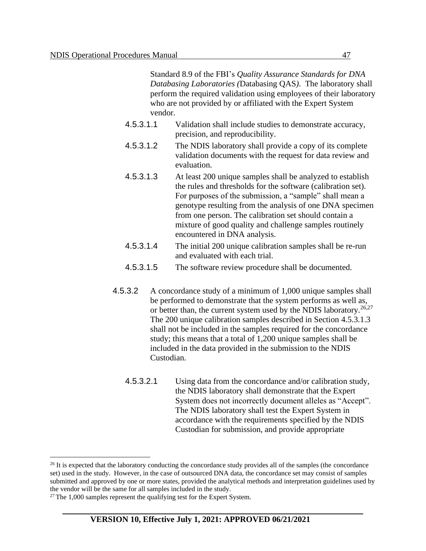Standard 8.9 of the FBI's *Quality Assurance Standards for DNA Databasing Laboratories (*Databasing QAS*)*. The laboratory shall perform the required validation using employees of their laboratory who are not provided by or affiliated with the Expert System vendor.

- 4.5.3.1.1 Validation shall include studies to demonstrate accuracy, precision, and reproducibility.
- 4.5.3.1.2 The NDIS laboratory shall provide a copy of its complete validation documents with the request for data review and evaluation.
- 4.5.3.1.3 At least 200 unique samples shall be analyzed to establish the rules and thresholds for the software (calibration set). For purposes of the submission, a "sample" shall mean a genotype resulting from the analysis of one DNA specimen from one person. The calibration set should contain a mixture of good quality and challenge samples routinely encountered in DNA analysis.
- 4.5.3.1.4 The initial 200 unique calibration samples shall be re-run and evaluated with each trial.
- 4.5.3.1.5 The software review procedure shall be documented.
- 4.5.3.2 A concordance study of a minimum of 1,000 unique samples shall be performed to demonstrate that the system performs as well as, or better than, the current system used by the NDIS laboratory.<sup>26,27</sup> The 200 unique calibration samples described in Section 4.5.3.1.3 shall not be included in the samples required for the concordance study; this means that a total of 1,200 unique samples shall be included in the data provided in the submission to the NDIS Custodian.
	- 4.5.3.2.1 Using data from the concordance and/or calibration study, the NDIS laboratory shall demonstrate that the Expert System does not incorrectly document alleles as "Accept". The NDIS laboratory shall test the Expert System in accordance with the requirements specified by the NDIS Custodian for submission, and provide appropriate

<sup>&</sup>lt;sup>26</sup> It is expected that the laboratory conducting the concordance study provides all of the samples (the concordance set) used in the study. However, in the case of outsourced DNA data, the concordance set may consist of samples submitted and approved by one or more states, provided the analytical methods and interpretation guidelines used by the vendor will be the same for all samples included in the study.

 $27$  The 1,000 samples represent the qualifying test for the Expert System.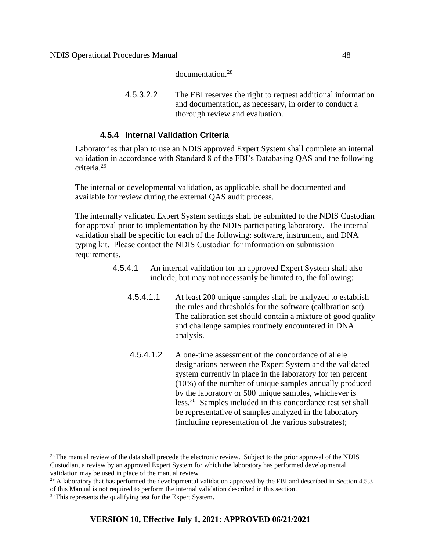documentation. 28

4.5.3.2.2 The FBI reserves the right to request additional information and documentation, as necessary, in order to conduct a thorough review and evaluation.

#### **4.5.4 Internal Validation Criteria**

Laboratories that plan to use an NDIS approved Expert System shall complete an internal validation in accordance with Standard 8 of the FBI's Databasing QAS and the following criteria.<sup>29</sup>

The internal or developmental validation, as applicable, shall be documented and available for review during the external QAS audit process.

The internally validated Expert System settings shall be submitted to the NDIS Custodian for approval prior to implementation by the NDIS participating laboratory. The internal validation shall be specific for each of the following: software, instrument, and DNA typing kit. Please contact the NDIS Custodian for information on submission requirements.

- 4.5.4.1 An internal validation for an approved Expert System shall also include, but may not necessarily be limited to, the following:
	- 4.5.4.1.1 At least 200 unique samples shall be analyzed to establish the rules and thresholds for the software (calibration set). The calibration set should contain a mixture of good quality and challenge samples routinely encountered in DNA analysis.
	- 4.5.4.1.2 A one-time assessment of the concordance of allele designations between the Expert System and the validated system currently in place in the laboratory for ten percent (10%) of the number of unique samples annually produced by the laboratory or 500 unique samples, whichever is less.<sup>30</sup> Samples included in this concordance test set shall be representative of samples analyzed in the laboratory (including representation of the various substrates);

<sup>&</sup>lt;sup>28</sup> The manual review of the data shall precede the electronic review. Subject to the prior approval of the NDIS Custodian, a review by an approved Expert System for which the laboratory has performed developmental validation may be used in place of the manual review

<sup>&</sup>lt;sup>29</sup> A laboratory that has performed the developmental validation approved by the FBI and described in Section 4.5.3 of this Manual is not required to perform the internal validation described in this section.

<sup>&</sup>lt;sup>30</sup> This represents the qualifying test for the Expert System.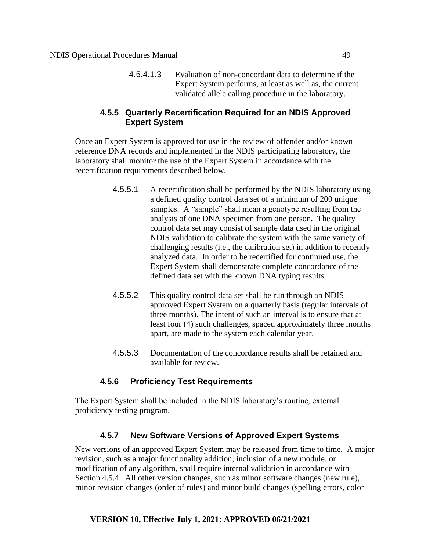4.5.4.1.3 Evaluation of non-concordant data to determine if the Expert System performs, at least as well as, the current validated allele calling procedure in the laboratory.

#### **4.5.5 Quarterly Recertification Required for an NDIS Approved Expert System**

Once an Expert System is approved for use in the review of offender and/or known reference DNA records and implemented in the NDIS participating laboratory, the laboratory shall monitor the use of the Expert System in accordance with the recertification requirements described below.

- 4.5.5.1 A recertification shall be performed by the NDIS laboratory using a defined quality control data set of a minimum of 200 unique samples. A "sample" shall mean a genotype resulting from the analysis of one DNA specimen from one person. The quality control data set may consist of sample data used in the original NDIS validation to calibrate the system with the same variety of challenging results (i.e., the calibration set) in addition to recently analyzed data. In order to be recertified for continued use, the Expert System shall demonstrate complete concordance of the defined data set with the known DNA typing results.
- 4.5.5.2 This quality control data set shall be run through an NDIS approved Expert System on a quarterly basis (regular intervals of three months). The intent of such an interval is to ensure that at least four (4) such challenges, spaced approximately three months apart, are made to the system each calendar year.
- 4.5.5.3 Documentation of the concordance results shall be retained and available for review.

## **4.5.6 Proficiency Test Requirements**

The Expert System shall be included in the NDIS laboratory's routine, external proficiency testing program.

## **4.5.7 New Software Versions of Approved Expert Systems**

New versions of an approved Expert System may be released from time to time. A major revision, such as a major functionality addition, inclusion of a new module, or modification of any algorithm, shall require internal validation in accordance with Section 4.5.4. All other version changes, such as minor software changes (new rule), minor revision changes (order of rules) and minor build changes (spelling errors, color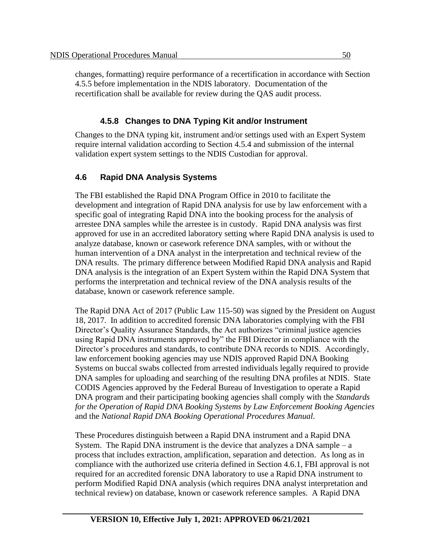changes, formatting) require performance of a recertification in accordance with Section 4.5.5 before implementation in the NDIS laboratory. Documentation of the recertification shall be available for review during the QAS audit process.

## **4.5.8 Changes to DNA Typing Kit and/or Instrument**

Changes to the DNA typing kit, instrument and/or settings used with an Expert System require internal validation according to Section 4.5.4 and submission of the internal validation expert system settings to the NDIS Custodian for approval.

## **4.6 Rapid DNA Analysis Systems**

The FBI established the Rapid DNA Program Office in 2010 to facilitate the development and integration of Rapid DNA analysis for use by law enforcement with a specific goal of integrating Rapid DNA into the booking process for the analysis of arrestee DNA samples while the arrestee is in custody. Rapid DNA analysis was first approved for use in an accredited laboratory setting where Rapid DNA analysis is used to analyze database, known or casework reference DNA samples, with or without the human intervention of a DNA analyst in the interpretation and technical review of the DNA results. The primary difference between Modified Rapid DNA analysis and Rapid DNA analysis is the integration of an Expert System within the Rapid DNA System that performs the interpretation and technical review of the DNA analysis results of the database, known or casework reference sample.

The Rapid DNA Act of 2017 (Public Law 115-50) was signed by the President on August 18, 2017. In addition to accredited forensic DNA laboratories complying with the FBI Director's Quality Assurance Standards, the Act authorizes "criminal justice agencies using Rapid DNA instruments approved by" the FBI Director in compliance with the Director's procedures and standards, to contribute DNA records to NDIS. Accordingly, law enforcement booking agencies may use NDIS approved Rapid DNA Booking Systems on buccal swabs collected from arrested individuals legally required to provide DNA samples for uploading and searching of the resulting DNA profiles at NDIS. State CODIS Agencies approved by the Federal Bureau of Investigation to operate a Rapid DNA program and their participating booking agencies shall comply with the *Standards for the Operation of Rapid DNA Booking Systems by Law Enforcement Booking Agencies* and the *National Rapid DNA Booking Operational Procedures Manual*.

These Procedures distinguish between a Rapid DNA instrument and a Rapid DNA System. The Rapid DNA instrument is the device that analyzes a DNA sample –  $a$ process that includes extraction, amplification, separation and detection. As long as in compliance with the authorized use criteria defined in Section 4.6.1, FBI approval is not required for an accredited forensic DNA laboratory to use a Rapid DNA instrument to perform Modified Rapid DNA analysis (which requires DNA analyst interpretation and technical review) on database, known or casework reference samples. A Rapid DNA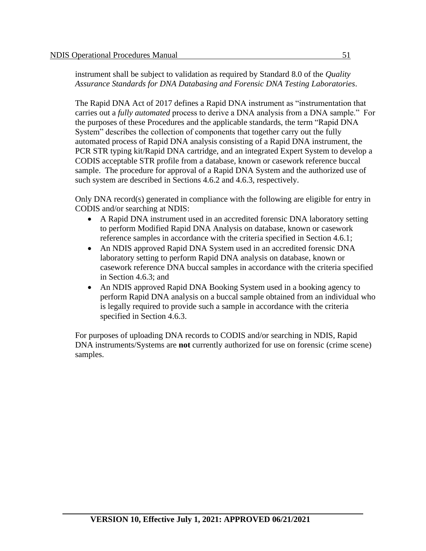instrument shall be subject to validation as required by Standard 8.0 of the *Quality Assurance Standards for DNA Databasing and Forensic DNA Testing Laboratories*.

The Rapid DNA Act of 2017 defines a Rapid DNA instrument as "instrumentation that carries out a *fully automated* process to derive a DNA analysis from a DNA sample." For the purposes of these Procedures and the applicable standards, the term "Rapid DNA System" describes the collection of components that together carry out the fully automated process of Rapid DNA analysis consisting of a Rapid DNA instrument, the PCR STR typing kit/Rapid DNA cartridge, and an integrated Expert System to develop a CODIS acceptable STR profile from a database, known or casework reference buccal sample. The procedure for approval of a Rapid DNA System and the authorized use of such system are described in Sections 4.6.2 and 4.6.3, respectively.

Only DNA record(s) generated in compliance with the following are eligible for entry in CODIS and/or searching at NDIS:

- A Rapid DNA instrument used in an accredited forensic DNA laboratory setting to perform Modified Rapid DNA Analysis on database, known or casework reference samples in accordance with the criteria specified in Section 4.6.1;
- An NDIS approved Rapid DNA System used in an accredited forensic DNA laboratory setting to perform Rapid DNA analysis on database, known or casework reference DNA buccal samples in accordance with the criteria specified in Section 4.6.3; and
- An NDIS approved Rapid DNA Booking System used in a booking agency to perform Rapid DNA analysis on a buccal sample obtained from an individual who is legally required to provide such a sample in accordance with the criteria specified in Section 4.6.3.

For purposes of uploading DNA records to CODIS and/or searching in NDIS, Rapid DNA instruments/Systems are **not** currently authorized for use on forensic (crime scene) samples.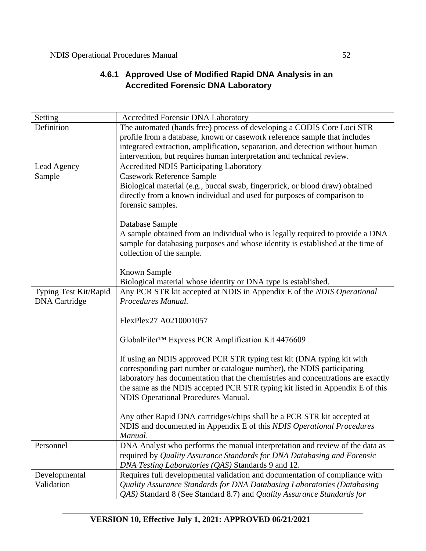# **4.6.1 Approved Use of Modified Rapid DNA Analysis in an Accredited Forensic DNA Laboratory**

| Setting               | <b>Accredited Forensic DNA Laboratory</b>                                                                                                               |  |  |  |
|-----------------------|---------------------------------------------------------------------------------------------------------------------------------------------------------|--|--|--|
| Definition            | The automated (hands free) process of developing a CODIS Core Loci STR                                                                                  |  |  |  |
|                       | profile from a database, known or casework reference sample that includes                                                                               |  |  |  |
|                       | integrated extraction, amplification, separation, and detection without human                                                                           |  |  |  |
|                       | intervention, but requires human interpretation and technical review.                                                                                   |  |  |  |
| Lead Agency           | <b>Accredited NDIS Participating Laboratory</b>                                                                                                         |  |  |  |
| Sample                | <b>Casework Reference Sample</b>                                                                                                                        |  |  |  |
|                       | Biological material (e.g., buccal swab, fingerprick, or blood draw) obtained                                                                            |  |  |  |
|                       | directly from a known individual and used for purposes of comparison to                                                                                 |  |  |  |
|                       | forensic samples.                                                                                                                                       |  |  |  |
|                       | Database Sample                                                                                                                                         |  |  |  |
|                       | A sample obtained from an individual who is legally required to provide a DNA                                                                           |  |  |  |
|                       | sample for databasing purposes and whose identity is established at the time of                                                                         |  |  |  |
|                       | collection of the sample.                                                                                                                               |  |  |  |
|                       |                                                                                                                                                         |  |  |  |
|                       | <b>Known Sample</b>                                                                                                                                     |  |  |  |
|                       | Biological material whose identity or DNA type is established.                                                                                          |  |  |  |
| Typing Test Kit/Rapid | Any PCR STR kit accepted at NDIS in Appendix E of the NDIS Operational                                                                                  |  |  |  |
| <b>DNA</b> Cartridge  | Procedures Manual.                                                                                                                                      |  |  |  |
|                       |                                                                                                                                                         |  |  |  |
|                       | FlexPlex27 A0210001057                                                                                                                                  |  |  |  |
|                       | GlobalFiler <sup>TM</sup> Express PCR Amplification Kit 4476609                                                                                         |  |  |  |
|                       |                                                                                                                                                         |  |  |  |
|                       | If using an NDIS approved PCR STR typing test kit (DNA typing kit with                                                                                  |  |  |  |
|                       | corresponding part number or catalogue number), the NDIS participating                                                                                  |  |  |  |
|                       | laboratory has documentation that the chemistries and concentrations are exactly                                                                        |  |  |  |
|                       | the same as the NDIS accepted PCR STR typing kit listed in Appendix E of this                                                                           |  |  |  |
|                       | <b>NDIS Operational Procedures Manual.</b>                                                                                                              |  |  |  |
|                       |                                                                                                                                                         |  |  |  |
|                       | Any other Rapid DNA cartridges/chips shall be a PCR STR kit accepted at                                                                                 |  |  |  |
|                       | NDIS and documented in Appendix E of this NDIS Operational Procedures                                                                                   |  |  |  |
|                       | Manual.                                                                                                                                                 |  |  |  |
| Personnel             | DNA Analyst who performs the manual interpretation and review of the data as<br>required by Quality Assurance Standards for DNA Databasing and Forensic |  |  |  |
|                       | DNA Testing Laboratories (QAS) Standards 9 and 12.                                                                                                      |  |  |  |
| Developmental         | Requires full developmental validation and documentation of compliance with                                                                             |  |  |  |
| Validation            | Quality Assurance Standards for DNA Databasing Laboratories (Databasing                                                                                 |  |  |  |
|                       | QAS) Standard 8 (See Standard 8.7) and Quality Assurance Standards for                                                                                  |  |  |  |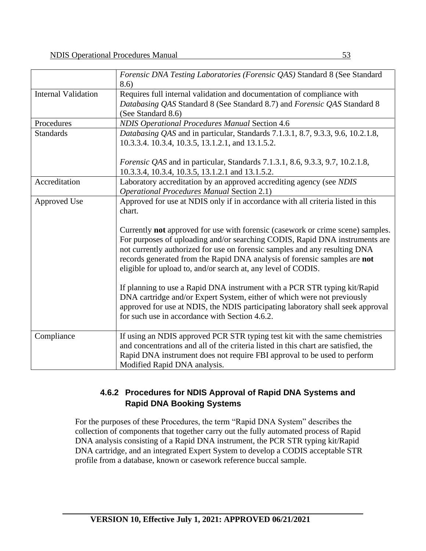|                            | Forensic DNA Testing Laboratories (Forensic QAS) Standard 8 (See Standard<br>8.6)                                                                                                                                                                                                                                                                                                                 |  |  |
|----------------------------|---------------------------------------------------------------------------------------------------------------------------------------------------------------------------------------------------------------------------------------------------------------------------------------------------------------------------------------------------------------------------------------------------|--|--|
| <b>Internal Validation</b> | Requires full internal validation and documentation of compliance with<br>Databasing QAS Standard 8 (See Standard 8.7) and Forensic QAS Standard 8                                                                                                                                                                                                                                                |  |  |
|                            | (See Standard 8.6)                                                                                                                                                                                                                                                                                                                                                                                |  |  |
| Procedures                 | <b>NDIS Operational Procedures Manual Section 4.6</b>                                                                                                                                                                                                                                                                                                                                             |  |  |
| <b>Standards</b>           | Databasing QAS and in particular, Standards 7.1.3.1, 8.7, 9.3.3, 9.6, 10.2.1.8,<br>10.3.3.4. 10.3.4, 10.3.5, 13.1.2.1, and 13.1.5.2.                                                                                                                                                                                                                                                              |  |  |
|                            | <i>Forensic QAS</i> and in particular, Standards 7.1.3.1, 8.6, 9.3.3, 9.7, 10.2.1.8,<br>10.3.3.4, 10.3.4, 10.3.5, 13.1.2.1 and 13.1.5.2.                                                                                                                                                                                                                                                          |  |  |
| Accreditation              | Laboratory accreditation by an approved accrediting agency (see NDIS<br><b>Operational Procedures Manual Section 2.1)</b>                                                                                                                                                                                                                                                                         |  |  |
| Approved Use               | Approved for use at NDIS only if in accordance with all criteria listed in this<br>chart.                                                                                                                                                                                                                                                                                                         |  |  |
|                            | Currently <b>not</b> approved for use with forensic (casework or crime scene) samples.<br>For purposes of uploading and/or searching CODIS, Rapid DNA instruments are<br>not currently authorized for use on forensic samples and any resulting DNA<br>records generated from the Rapid DNA analysis of forensic samples are not<br>eligible for upload to, and/or search at, any level of CODIS. |  |  |
|                            | If planning to use a Rapid DNA instrument with a PCR STR typing kit/Rapid<br>DNA cartridge and/or Expert System, either of which were not previously<br>approved for use at NDIS, the NDIS participating laboratory shall seek approval<br>for such use in accordance with Section 4.6.2.                                                                                                         |  |  |
| Compliance                 | If using an NDIS approved PCR STR typing test kit with the same chemistries<br>and concentrations and all of the criteria listed in this chart are satisfied, the<br>Rapid DNA instrument does not require FBI approval to be used to perform<br>Modified Rapid DNA analysis.                                                                                                                     |  |  |

## **4.6.2 Procedures for NDIS Approval of Rapid DNA Systems and Rapid DNA Booking Systems**

For the purposes of these Procedures, the term "Rapid DNA System" describes the collection of components that together carry out the fully automated process of Rapid DNA analysis consisting of a Rapid DNA instrument, the PCR STR typing kit/Rapid DNA cartridge, and an integrated Expert System to develop a CODIS acceptable STR profile from a database, known or casework reference buccal sample.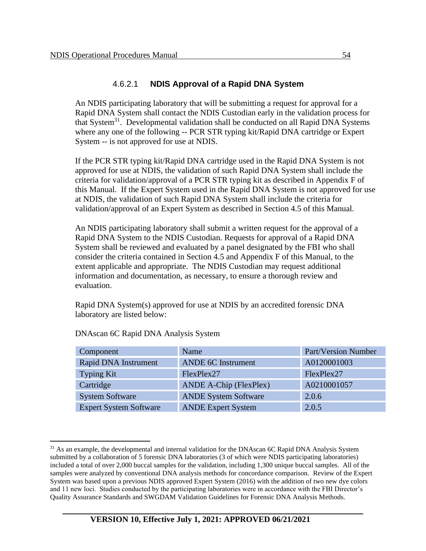#### 4.6.2.1 **NDIS Approval of a Rapid DNA System**

An NDIS participating laboratory that will be submitting a request for approval for a Rapid DNA System shall contact the NDIS Custodian early in the validation process for that System<sup>31</sup>. Developmental validation shall be conducted on all Rapid DNA Systems where any one of the following -- PCR STR typing kit/Rapid DNA cartridge or Expert System -- is not approved for use at NDIS.

If the PCR STR typing kit/Rapid DNA cartridge used in the Rapid DNA System is not approved for use at NDIS, the validation of such Rapid DNA System shall include the criteria for validation/approval of a PCR STR typing kit as described in Appendix F of this Manual. If the Expert System used in the Rapid DNA System is not approved for use at NDIS, the validation of such Rapid DNA System shall include the criteria for validation/approval of an Expert System as described in Section 4.5 of this Manual.

An NDIS participating laboratory shall submit a written request for the approval of a Rapid DNA System to the NDIS Custodian. Requests for approval of a Rapid DNA System shall be reviewed and evaluated by a panel designated by the FBI who shall consider the criteria contained in Section 4.5 and Appendix F of this Manual, to the extent applicable and appropriate. The NDIS Custodian may request additional information and documentation, as necessary, to ensure a thorough review and evaluation.

Rapid DNA System(s) approved for use at NDIS by an accredited forensic DNA laboratory are listed below:

| Component                     | Name                          | Part/Version Number |
|-------------------------------|-------------------------------|---------------------|
| Rapid DNA Instrument          | <b>ANDE 6C Instrument</b>     | A0120001003         |
| Typing Kit                    | FlexPlex27                    | FlexPlex27          |
| Cartridge                     | <b>ANDE A-Chip (FlexPlex)</b> | A0210001057         |
| <b>System Software</b>        | <b>ANDE System Software</b>   | 2.0.6               |
| <b>Expert System Software</b> | <b>ANDE Expert System</b>     | 2.0.5               |

#### DNAscan 6C Rapid DNA Analysis System

 $31$  As an example, the developmental and internal validation for the DNAscan 6C Rapid DNA Analysis System submitted by a collaboration of 5 forensic DNA laboratories (3 of which were NDIS participating laboratories) included a total of over 2,000 buccal samples for the validation, including 1,300 unique buccal samples. All of the samples were analyzed by conventional DNA analysis methods for concordance comparison. Review of the Expert System was based upon a previous NDIS approved Expert System (2016) with the addition of two new dye colors and 11 new loci. Studies conducted by the participating laboratories were in accordance with the FBI Director's Quality Assurance Standards and SWGDAM Validation Guidelines for Forensic DNA Analysis Methods.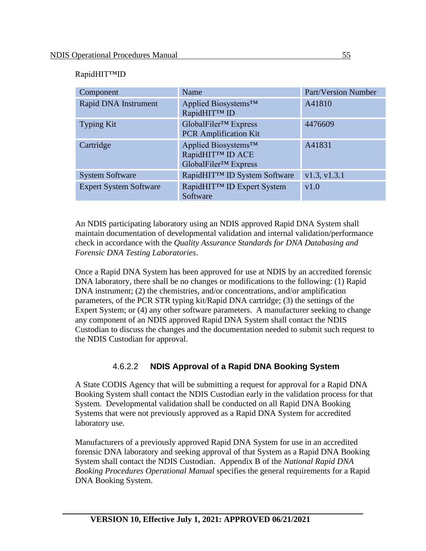#### RapidHIT™ID

| Component                     | Name                                                                                    | <b>Part/Version Number</b> |
|-------------------------------|-----------------------------------------------------------------------------------------|----------------------------|
| Rapid DNA Instrument          | Applied Biosystems <sup>™</sup><br>RapidHIT™ ID                                         | A41810                     |
| <b>Typing Kit</b>             | GlobalFiler <sup>™</sup> Express<br><b>PCR</b> Amplification Kit                        | 4476609                    |
| Cartridge                     | Applied Biosystems <sup>™</sup><br>RapidHIT™ ID ACE<br>GlobalFiler <sup>™</sup> Express | A41831                     |
| <b>System Software</b>        | RapidHIT™ ID System Software                                                            | v1.3, v1.3.1               |
| <b>Expert System Software</b> | RapidHIT™ ID Expert System<br>Software                                                  | v1.0                       |

An NDIS participating laboratory using an NDIS approved Rapid DNA System shall maintain documentation of developmental validation and internal validation/performance check in accordance with the *Quality Assurance Standards for DNA Databasing and Forensic DNA Testing Laboratories*.

Once a Rapid DNA System has been approved for use at NDIS by an accredited forensic DNA laboratory, there shall be no changes or modifications to the following: (1) Rapid DNA instrument; (2) the chemistries, and/or concentrations, and/or amplification parameters, of the PCR STR typing kit/Rapid DNA cartridge; (3) the settings of the Expert System; or (4) any other software parameters. A manufacturer seeking to change any component of an NDIS approved Rapid DNA System shall contact the NDIS Custodian to discuss the changes and the documentation needed to submit such request to the NDIS Custodian for approval.

#### 4.6.2.2 **NDIS Approval of a Rapid DNA Booking System**

A State CODIS Agency that will be submitting a request for approval for a Rapid DNA Booking System shall contact the NDIS Custodian early in the validation process for that System. Developmental validation shall be conducted on all Rapid DNA Booking Systems that were not previously approved as a Rapid DNA System for accredited laboratory use.

Manufacturers of a previously approved Rapid DNA System for use in an accredited forensic DNA laboratory and seeking approval of that System as a Rapid DNA Booking System shall contact the NDIS Custodian. Appendix B of the *National Rapid DNA Booking Procedures Operational Manual* specifies the general requirements for a Rapid DNA Booking System.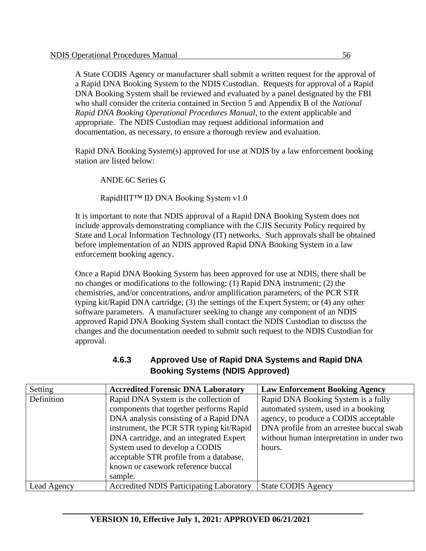A State CODIS Agency or manufacturer shall submit a written request for the approval of a Rapid DNA Booking System to the NDIS Custodian. Requests for approval of a Rapid DNA Booking System shall be reviewed and evaluated by a panel designated by the FBI who shall consider the criteria contained in Section 5 and Appendix B of the *National Rapid DNA Booking Operational Procedures Manual*, to the extent applicable and appropriate. The NDIS Custodian may request additional information and documentation, as necessary, to ensure a thorough review and evaluation.

Rapid DNA Booking System(s) approved for use at NDIS by a law enforcement booking station are listed below:

ANDE 6C Series G

RapidHIT™ ID DNA Booking System v1.0

It is important to note that NDIS approval of a Rapid DNA Booking System does not include approvals demonstrating compliance with the CJIS Security Policy required by State and Local Information Technology (IT) networks. Such approvals shall be obtained before implementation of an NDIS approved Rapid DNA Booking System in a law enforcement booking agency.

Once a Rapid DNA Booking System has been approved for use at NDIS, there shall be no changes or modifications to the following: (1) Rapid DNA instrument; (2) the chemistries, and/or concentrations, and/or amplification parameters, of the PCR STR typing kit/Rapid DNA cartridge; (3) the settings of the Expert System; or (4) any other software parameters. A manufacturer seeking to change any component of an NDIS approved Rapid DNA Booking System shall contact the NDIS Custodian to discuss the changes and the documentation needed to submit such request to the NDIS Custodian for approval.

#### **4.6.3 Approved Use of Rapid DNA Systems and Rapid DNA Booking Systems (NDIS Approved)**

| Setting     | <b>Accredited Forensic DNA Laboratory</b>       | <b>Law Enforcement Booking Agency</b>     |
|-------------|-------------------------------------------------|-------------------------------------------|
| Definition  | Rapid DNA System is the collection of           | Rapid DNA Booking System is a fully       |
|             | components that together performs Rapid         | automated system, used in a booking       |
|             | DNA analysis consisting of a Rapid DNA          | agency, to produce a CODIS acceptable     |
|             | instrument, the PCR STR typing kit/Rapid        | DNA profile from an arrestee buccal swab  |
|             | DNA cartridge, and an integrated Expert         | without human interpretation in under two |
|             | System used to develop a CODIS                  | hours.                                    |
|             | acceptable STR profile from a database,         |                                           |
|             | known or casework reference buccal              |                                           |
|             | sample.                                         |                                           |
| Lead Agency | <b>Accredited NDIS Participating Laboratory</b> | <b>State CODIS Agency</b>                 |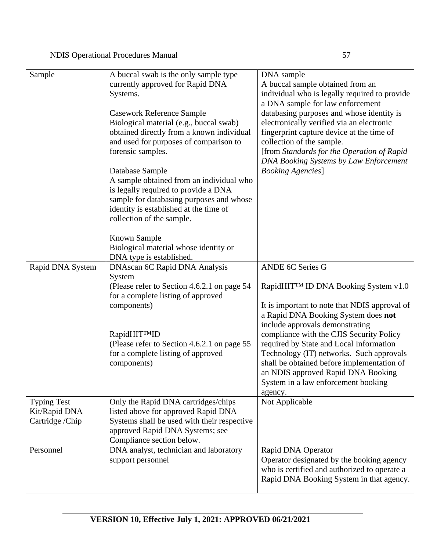| A buccal swab is the only sample type        | DNA sample                                    |
|----------------------------------------------|-----------------------------------------------|
| currently approved for Rapid DNA             | A buccal sample obtained from an              |
| Systems.                                     | individual who is legally required to provide |
|                                              | a DNA sample for law enforcement              |
| <b>Casework Reference Sample</b>             | databasing purposes and whose identity is     |
| Biological material (e.g., buccal swab)      | electronically verified via an electronic     |
| obtained directly from a known individual    | fingerprint capture device at the time of     |
| and used for purposes of comparison to       | collection of the sample.                     |
| forensic samples.                            | [from Standards for the Operation of Rapid    |
|                                              | DNA Booking Systems by Law Enforcement        |
| Database Sample                              | <b>Booking Agencies</b> ]                     |
| A sample obtained from an individual who     |                                               |
| is legally required to provide a DNA         |                                               |
| sample for databasing purposes and whose     |                                               |
| identity is established at the time of       |                                               |
| collection of the sample.                    |                                               |
|                                              |                                               |
| Known Sample                                 |                                               |
| Biological material whose identity or        |                                               |
| DNA type is established.                     |                                               |
| DNAscan 6C Rapid DNA Analysis                | ANDE 6C Series G                              |
| System                                       |                                               |
| (Please refer to Section 4.6.2.1 on page 54) | RapidHIT™ ID DNA Booking System v1.0          |
| for a complete listing of approved           |                                               |
| components)                                  | It is important to note that NDIS approval of |
|                                              |                                               |

|                                                        | components)                                                                                                                                                                               | It is important to note that NDIS approval of<br>a Rapid DNA Booking System does not                                                                                                                                                                                                          |
|--------------------------------------------------------|-------------------------------------------------------------------------------------------------------------------------------------------------------------------------------------------|-----------------------------------------------------------------------------------------------------------------------------------------------------------------------------------------------------------------------------------------------------------------------------------------------|
|                                                        | RapidHIT™ID<br>(Please refer to Section 4.6.2.1 on page 55)<br>for a complete listing of approved<br>components)                                                                          | include approvals demonstrating<br>compliance with the CJIS Security Policy<br>required by State and Local Information<br>Technology (IT) networks. Such approvals<br>shall be obtained before implementation of<br>an NDIS approved Rapid DNA Booking<br>System in a law enforcement booking |
| <b>Typing Test</b><br>Kit/Rapid DNA<br>Cartridge /Chip | Only the Rapid DNA cartridges/chips<br>listed above for approved Rapid DNA<br>Systems shall be used with their respective<br>approved Rapid DNA Systems; see<br>Compliance section below. | agency.<br>Not Applicable                                                                                                                                                                                                                                                                     |
| Personnel                                              | DNA analyst, technician and laboratory<br>support personnel                                                                                                                               | Rapid DNA Operator<br>Operator designated by the booking agency<br>who is certified and authorized to operate a<br>Rapid DNA Booking System in that agency.                                                                                                                                   |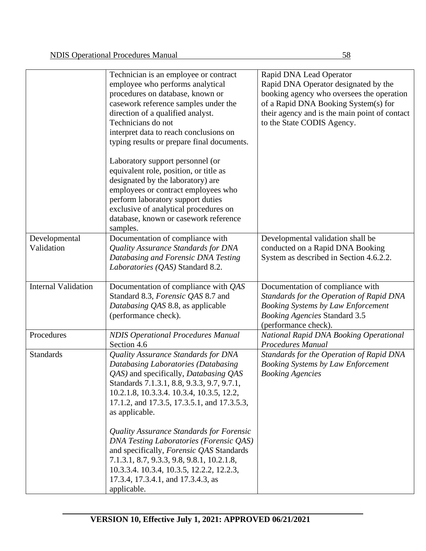|                             | Technician is an employee or contract<br>employee who performs analytical<br>procedures on database, known or<br>casework reference samples under the<br>direction of a qualified analyst.<br>Technicians do not<br>interpret data to reach conclusions on<br>typing results or prepare final documents.<br>Laboratory support personnel (or<br>equivalent role, position, or title as<br>designated by the laboratory) are<br>employees or contract employees who<br>perform laboratory support duties<br>exclusive of analytical procedures on<br>database, known or casework reference<br>samples. | Rapid DNA Lead Operator<br>Rapid DNA Operator designated by the<br>booking agency who oversees the operation<br>of a Rapid DNA Booking System(s) for<br>their agency and is the main point of contact<br>to the State CODIS Agency. |
|-----------------------------|-------------------------------------------------------------------------------------------------------------------------------------------------------------------------------------------------------------------------------------------------------------------------------------------------------------------------------------------------------------------------------------------------------------------------------------------------------------------------------------------------------------------------------------------------------------------------------------------------------|-------------------------------------------------------------------------------------------------------------------------------------------------------------------------------------------------------------------------------------|
| Developmental<br>Validation | Documentation of compliance with<br>Quality Assurance Standards for DNA<br>Databasing and Forensic DNA Testing<br>Laboratories (QAS) Standard 8.2.                                                                                                                                                                                                                                                                                                                                                                                                                                                    | Developmental validation shall be<br>conducted on a Rapid DNA Booking<br>System as described in Section 4.6.2.2.                                                                                                                    |
| <b>Internal Validation</b>  | Documentation of compliance with QAS<br>Standard 8.3, Forensic QAS 8.7 and<br>Databasing QAS 8.8, as applicable<br>(performance check).                                                                                                                                                                                                                                                                                                                                                                                                                                                               | Documentation of compliance with<br>Standards for the Operation of Rapid DNA<br><b>Booking Systems by Law Enforcement</b><br><b>Booking Agencies Standard 3.5</b><br>(performance check).                                           |
| Procedures                  | <b>NDIS Operational Procedures Manual</b><br>Section 4.6                                                                                                                                                                                                                                                                                                                                                                                                                                                                                                                                              | National Rapid DNA Booking Operational<br>Procedures Manual                                                                                                                                                                         |
| <b>Standards</b>            | Quality Assurance Standards for DNA<br>Databasing Laboratories (Databasing<br>QAS) and specifically, Databasing QAS<br>Standards 7.1.3.1, 8.8, 9.3.3, 9.7, 9.7.1,<br>10.2.1.8, 10.3.3.4. 10.3.4, 10.3.5, 12.2,<br>17.1.2, and 17.3.5, 17.3.5.1, and 17.3.5.3,<br>as applicable.<br>Quality Assurance Standards for Forensic<br><b>DNA Testing Laboratories (Forensic QAS)</b>                                                                                                                                                                                                                         | Standards for the Operation of Rapid DNA<br><b>Booking Systems by Law Enforcement</b><br><b>Booking Agencies</b>                                                                                                                    |
|                             | and specifically, <i>Forensic QAS</i> Standards<br>7.1.3.1, 8.7, 9.3.3, 9.8, 9.8.1, 10.2.1.8,<br>10.3.3.4. 10.3.4, 10.3.5, 12.2.2, 12.2.3,<br>17.3.4, 17.3.4.1, and 17.3.4.3, as<br>applicable.                                                                                                                                                                                                                                                                                                                                                                                                       |                                                                                                                                                                                                                                     |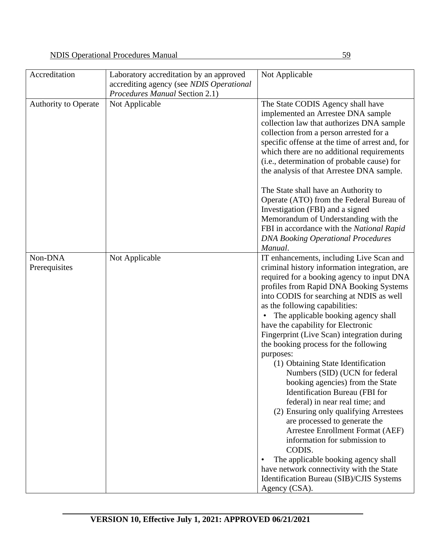| Accreditation               | Laboratory accreditation by an approved<br>accrediting agency (see NDIS Operational<br>Procedures Manual Section 2.1) | Not Applicable                                                                                                                                                                                                                                                                                                                                                                                                                                                                                                                                                                                                                                                                                                                                                                                                                                                                                                                                                                     |  |
|-----------------------------|-----------------------------------------------------------------------------------------------------------------------|------------------------------------------------------------------------------------------------------------------------------------------------------------------------------------------------------------------------------------------------------------------------------------------------------------------------------------------------------------------------------------------------------------------------------------------------------------------------------------------------------------------------------------------------------------------------------------------------------------------------------------------------------------------------------------------------------------------------------------------------------------------------------------------------------------------------------------------------------------------------------------------------------------------------------------------------------------------------------------|--|
| <b>Authority to Operate</b> | Not Applicable                                                                                                        | The State CODIS Agency shall have<br>implemented an Arrestee DNA sample<br>collection law that authorizes DNA sample<br>collection from a person arrested for a<br>specific offense at the time of arrest and, for<br>which there are no additional requirements<br>(i.e., determination of probable cause) for<br>the analysis of that Arrestee DNA sample.                                                                                                                                                                                                                                                                                                                                                                                                                                                                                                                                                                                                                       |  |
|                             |                                                                                                                       | The State shall have an Authority to<br>Operate (ATO) from the Federal Bureau of<br>Investigation (FBI) and a signed<br>Memorandum of Understanding with the<br>FBI in accordance with the National Rapid<br><b>DNA Booking Operational Procedures</b>                                                                                                                                                                                                                                                                                                                                                                                                                                                                                                                                                                                                                                                                                                                             |  |
| Non-DNA<br>Prerequisites    | Not Applicable                                                                                                        | Manual.<br>IT enhancements, including Live Scan and<br>criminal history information integration, are<br>required for a booking agency to input DNA<br>profiles from Rapid DNA Booking Systems<br>into CODIS for searching at NDIS as well<br>as the following capabilities:<br>The applicable booking agency shall<br>have the capability for Electronic<br>Fingerprint (Live Scan) integration during<br>the booking process for the following<br>purposes:<br>(1) Obtaining State Identification<br>Numbers (SID) (UCN for federal<br>booking agencies) from the State<br><b>Identification Bureau</b> (FBI for<br>federal) in near real time; and<br>(2) Ensuring only qualifying Arrestees<br>are processed to generate the<br><b>Arrestee Enrollment Format (AEF)</b><br>information for submission to<br>CODIS.<br>The applicable booking agency shall<br>$\bullet$<br>have network connectivity with the State<br>Identification Bureau (SIB)/CJIS Systems<br>Agency (CSA). |  |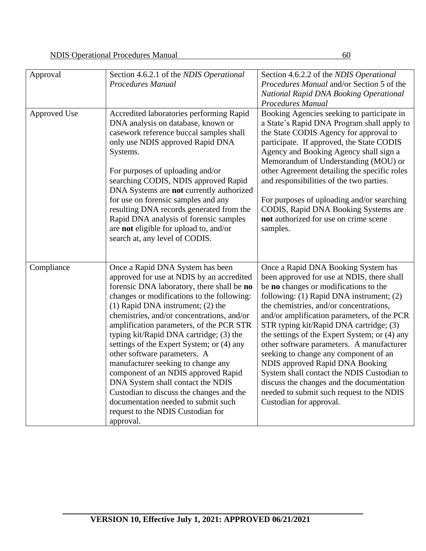| Approval     | Section 4.6.2.1 of the NDIS Operational<br>Procedures Manual                                                                                                                                                                                                                                                                                                                                                                                                                                                                                                                                                                                                                                | Section 4.6.2.2 of the NDIS Operational<br>Procedures Manual and/or Section 5 of the<br>National Rapid DNA Booking Operational<br>Procedures Manual                                                                                                                                                                                                                                                                                                                                                                                                                                                                                                      |
|--------------|---------------------------------------------------------------------------------------------------------------------------------------------------------------------------------------------------------------------------------------------------------------------------------------------------------------------------------------------------------------------------------------------------------------------------------------------------------------------------------------------------------------------------------------------------------------------------------------------------------------------------------------------------------------------------------------------|----------------------------------------------------------------------------------------------------------------------------------------------------------------------------------------------------------------------------------------------------------------------------------------------------------------------------------------------------------------------------------------------------------------------------------------------------------------------------------------------------------------------------------------------------------------------------------------------------------------------------------------------------------|
| Approved Use | Accredited laboratories performing Rapid<br>DNA analysis on database, known or<br>casework reference buccal samples shall<br>only use NDIS approved Rapid DNA<br>Systems.<br>For purposes of uploading and/or<br>searching CODIS, NDIS approved Rapid<br>DNA Systems are not currently authorized<br>for use on forensic samples and any<br>resulting DNA records generated from the<br>Rapid DNA analysis of forensic samples<br>are not eligible for upload to, and/or<br>search at, any level of CODIS.                                                                                                                                                                                  | Booking Agencies seeking to participate in<br>a State's Rapid DNA Program shall apply to<br>the State CODIS Agency for approval to<br>participate. If approved, the State CODIS<br>Agency and Booking Agency shall sign a<br>Memorandum of Understanding (MOU) or<br>other Agreement detailing the specific roles<br>and responsibilities of the two parties.<br>For purposes of uploading and/or searching<br>CODIS, Rapid DNA Booking Systems are<br>not authorized for use on crime scene<br>samples.                                                                                                                                                 |
| Compliance   | Once a Rapid DNA System has been<br>approved for use at NDIS by an accredited<br>forensic DNA laboratory, there shall be no<br>changes or modifications to the following:<br>$(1)$ Rapid DNA instrument; $(2)$ the<br>chemistries, and/or concentrations, and/or<br>amplification parameters, of the PCR STR<br>typing kit/Rapid DNA cartridge; (3) the<br>settings of the Expert System; or (4) any<br>other software parameters. A<br>manufacturer seeking to change any<br>component of an NDIS approved Rapid<br>DNA System shall contact the NDIS<br>Custodian to discuss the changes and the<br>documentation needed to submit such<br>request to the NDIS Custodian for<br>approval. | Once a Rapid DNA Booking System has<br>been approved for use at NDIS, there shall<br>be no changes or modifications to the<br>following: (1) Rapid DNA instrument; (2)<br>the chemistries, and/or concentrations,<br>and/or amplification parameters, of the PCR<br>STR typing kit/Rapid DNA cartridge; (3)<br>the settings of the Expert System; or (4) any<br>other software parameters. A manufacturer<br>seeking to change any component of an<br>NDIS approved Rapid DNA Booking<br>System shall contact the NDIS Custodian to<br>discuss the changes and the documentation<br>needed to submit such request to the NDIS<br>Custodian for approval. |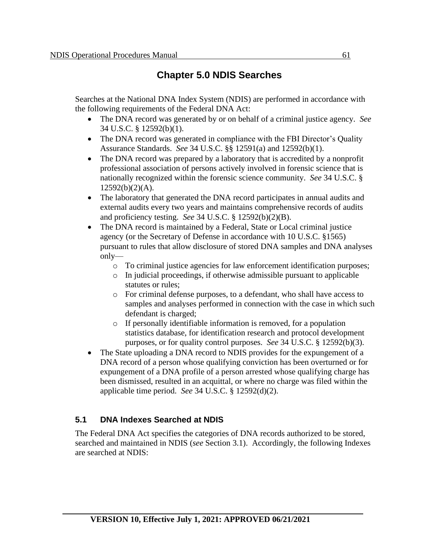# **Chapter 5.0 NDIS Searches**

Searches at the National DNA Index System (NDIS) are performed in accordance with the following requirements of the Federal DNA Act:

- The DNA record was generated by or on behalf of a criminal justice agency. *See* 34 U.S.C. § 12592(b)(1).
- The DNA record was generated in compliance with the FBI Director's Quality Assurance Standards. *See* 34 U.S.C. §§ 12591(a) and 12592(b)(1).
- The DNA record was prepared by a laboratory that is accredited by a nonprofit professional association of persons actively involved in forensic science that is nationally recognized within the forensic science community. *See* 34 U.S.C. §  $12592(b)(2)(A)$ .
- The laboratory that generated the DNA record participates in annual audits and external audits every two years and maintains comprehensive records of audits and proficiency testing. *See* 34 U.S.C. § 12592(b)(2)(B).
- The DNA record is maintained by a Federal, State or Local criminal justice agency (or the Secretary of Defense in accordance with 10 U.S.C. §1565) pursuant to rules that allow disclosure of stored DNA samples and DNA analyses only
	- o To criminal justice agencies for law enforcement identification purposes;
	- o In judicial proceedings, if otherwise admissible pursuant to applicable statutes or rules;
	- o For criminal defense purposes, to a defendant, who shall have access to samples and analyses performed in connection with the case in which such defendant is charged;
	- o If personally identifiable information is removed, for a population statistics database, for identification research and protocol development purposes, or for quality control purposes. *See* 34 U.S.C. § 12592(b)(3).
- The State uploading a DNA record to NDIS provides for the expungement of a DNA record of a person whose qualifying conviction has been overturned or for expungement of a DNA profile of a person arrested whose qualifying charge has been dismissed, resulted in an acquittal, or where no charge was filed within the applicable time period. *See* 34 U.S.C. § 12592(d)(2).

## **5.1 DNA Indexes Searched at NDIS**

The Federal DNA Act specifies the categories of DNA records authorized to be stored, searched and maintained in NDIS (*see* Section 3.1). Accordingly, the following Indexes are searched at NDIS: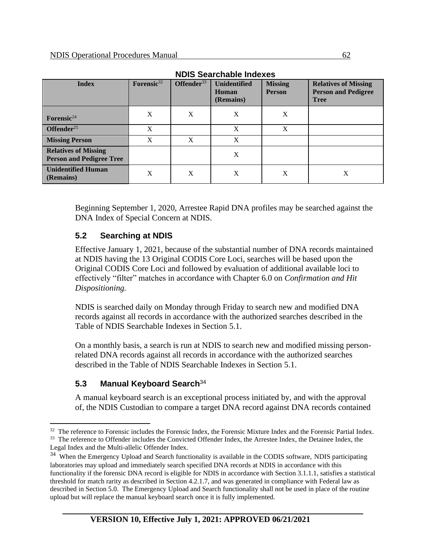| <b>Index</b>                                                   | Forensic <sup>32</sup> | Offender <sup>33</sup> | <b>Unidentified</b><br>Human<br>(Remains) | <b>Missing</b><br><b>Person</b> | <b>Relatives of Missing</b><br><b>Person and Pedigree</b><br><b>Tree</b> |
|----------------------------------------------------------------|------------------------|------------------------|-------------------------------------------|---------------------------------|--------------------------------------------------------------------------|
| Forensic <sup>24</sup>                                         | X                      | X                      | X                                         | X                               |                                                                          |
| Offender <sup>25</sup>                                         | X                      |                        | X                                         | X                               |                                                                          |
| <b>Missing Person</b>                                          | X                      | X                      | X                                         |                                 |                                                                          |
| <b>Relatives of Missing</b><br><b>Person and Pedigree Tree</b> |                        |                        | X                                         |                                 |                                                                          |
| <b>Unidentified Human</b><br>(Remains)                         | X                      | X                      | X                                         | X                               | X                                                                        |

Beginning September 1, 2020, Arrestee Rapid DNA profiles may be searched against the DNA Index of Special Concern at NDIS.

#### **5.2 Searching at NDIS**

Effective January 1, 2021, because of the substantial number of DNA records maintained at NDIS having the 13 Original CODIS Core Loci, searches will be based upon the Original CODIS Core Loci and followed by evaluation of additional available loci to effectively "filter" matches in accordance with Chapter 6.0 on *Confirmation and Hit Dispositioning.*

NDIS is searched daily on Monday through Friday to search new and modified DNA records against all records in accordance with the authorized searches described in the Table of NDIS Searchable Indexes in Section 5.1.

On a monthly basis, a search is run at NDIS to search new and modified missing personrelated DNA records against all records in accordance with the authorized searches described in the Table of NDIS Searchable Indexes in Section 5.1.

## **5.3 Manual Keyboard Search**<sup>34</sup>

A manual keyboard search is an exceptional process initiated by, and with the approval of, the NDIS Custodian to compare a target DNA record against DNA records contained

<sup>&</sup>lt;sup>32</sup> The reference to Forensic includes the Forensic Index, the Forensic Mixture Index and the Forensic Partial Index. <sup>33</sup> The reference to Offender includes the Convicted Offender Index, the Arrestee Index, the Detainee Index, the Legal Index and the Multi-allelic Offender Index.

<sup>&</sup>lt;sup>34</sup> When the Emergency Upload and Search functionality is available in the CODIS software, NDIS participating laboratories may upload and immediately search specified DNA records at NDIS in accordance with this functionality if the forensic DNA record is eligible for NDIS in accordance with Section 3.1.1.1, satisfies a statistical threshold for match rarity as described in Section 4.2.1.7, and was generated in compliance with Federal law as described in Section 5.0. The Emergency Upload and Search functionality shall not be used in place of the routine upload but will replace the manual keyboard search once it is fully implemented.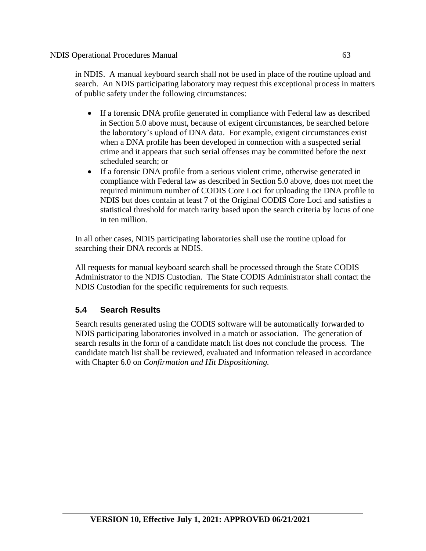in NDIS. A manual keyboard search shall not be used in place of the routine upload and search. An NDIS participating laboratory may request this exceptional process in matters of public safety under the following circumstances:

- If a forensic DNA profile generated in compliance with Federal law as described in Section 5.0 above must, because of exigent circumstances, be searched before the laboratory's upload of DNA data. For example, exigent circumstances exist when a DNA profile has been developed in connection with a suspected serial crime and it appears that such serial offenses may be committed before the next scheduled search; or
- If a forensic DNA profile from a serious violent crime, otherwise generated in compliance with Federal law as described in Section 5.0 above, does not meet the required minimum number of CODIS Core Loci for uploading the DNA profile to NDIS but does contain at least 7 of the Original CODIS Core Loci and satisfies a statistical threshold for match rarity based upon the search criteria by locus of one in ten million.

In all other cases, NDIS participating laboratories shall use the routine upload for searching their DNA records at NDIS.

All requests for manual keyboard search shall be processed through the State CODIS Administrator to the NDIS Custodian. The State CODIS Administrator shall contact the NDIS Custodian for the specific requirements for such requests.

## **5.4 Search Results**

Search results generated using the CODIS software will be automatically forwarded to NDIS participating laboratories involved in a match or association. The generation of search results in the form of a candidate match list does not conclude the process. The candidate match list shall be reviewed, evaluated and information released in accordance with Chapter 6.0 on *Confirmation and Hit Dispositioning.*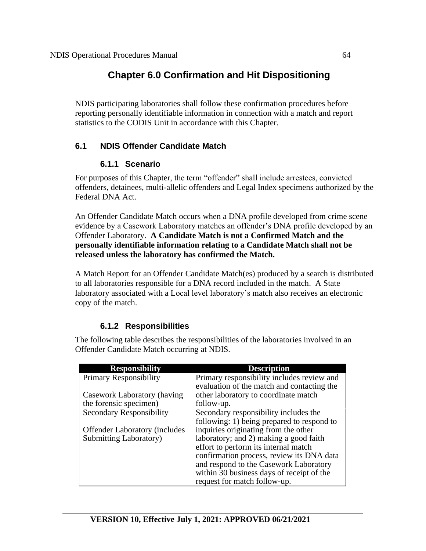# **Chapter 6.0 Confirmation and Hit Dispositioning**

NDIS participating laboratories shall follow these confirmation procedures before reporting personally identifiable information in connection with a match and report statistics to the CODIS Unit in accordance with this Chapter.

## **6.1 NDIS Offender Candidate Match**

#### **6.1.1 Scenario**

For purposes of this Chapter, the term "offender" shall include arrestees, convicted offenders, detainees, multi-allelic offenders and Legal Index specimens authorized by the Federal DNA Act.

An Offender Candidate Match occurs when a DNA profile developed from crime scene evidence by a Casework Laboratory matches an offender's DNA profile developed by an Offender Laboratory. **A Candidate Match is not a Confirmed Match and the personally identifiable information relating to a Candidate Match shall not be released unless the laboratory has confirmed the Match.** 

A Match Report for an Offender Candidate Match(es) produced by a search is distributed to all laboratories responsible for a DNA record included in the match. A State laboratory associated with a Local level laboratory's match also receives an electronic copy of the match.

## **6.1.2 Responsibilities**

The following table describes the responsibilities of the laboratories involved in an Offender Candidate Match occurring at NDIS.

| <b>Responsibility</b>                 | <b>Description</b>                         |
|---------------------------------------|--------------------------------------------|
| Primary Responsibility                | Primary responsibility includes review and |
|                                       | evaluation of the match and contacting the |
| Casework Laboratory (having           | other laboratory to coordinate match       |
| the forensic specimen)                | follow-up.                                 |
| <b>Secondary Responsibility</b>       | Secondary responsibility includes the      |
|                                       | following: 1) being prepared to respond to |
| <b>Offender Laboratory (includes)</b> | inquiries originating from the other       |
| Submitting Laboratory)                | laboratory; and 2) making a good faith     |
|                                       | effort to perform its internal match       |
|                                       | confirmation process, review its DNA data  |
|                                       | and respond to the Casework Laboratory     |
|                                       | within 30 business days of receipt of the  |
|                                       | request for match follow-up.               |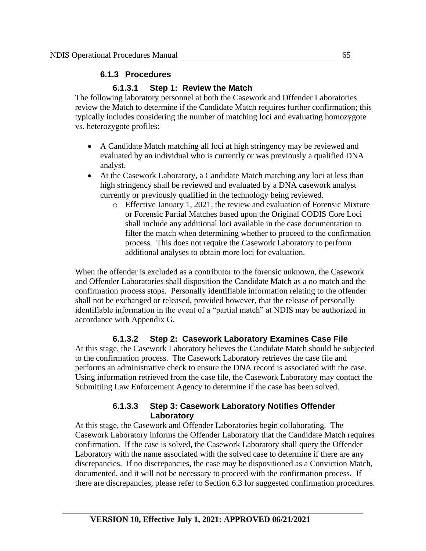#### **6.1.3 Procedures**

#### **6.1.3.1 Step 1: Review the Match**

The following laboratory personnel at both the Casework and Offender Laboratories review the Match to determine if the Candidate Match requires further confirmation; this typically includes considering the number of matching loci and evaluating homozygote vs. heterozygote profiles:

- A Candidate Match matching all loci at high stringency may be reviewed and evaluated by an individual who is currently or was previously a qualified DNA analyst.
- At the Casework Laboratory, a Candidate Match matching any loci at less than high stringency shall be reviewed and evaluated by a DNA casework analyst currently or previously qualified in the technology being reviewed.
	- o Effective January 1, 2021, the review and evaluation of Forensic Mixture or Forensic Partial Matches based upon the Original CODIS Core Loci shall include any additional loci available in the case documentation to filter the match when determining whether to proceed to the confirmation process. This does not require the Casework Laboratory to perform additional analyses to obtain more loci for evaluation.

When the offender is excluded as a contributor to the forensic unknown, the Casework and Offender Laboratories shall disposition the Candidate Match as a no match and the confirmation process stops. Personally identifiable information relating to the offender shall not be exchanged or released, provided however, that the release of personally identifiable information in the event of a "partial match" at NDIS may be authorized in accordance with Appendix G.

#### **6.1.3.2 Step 2: Casework Laboratory Examines Case File**

At this stage, the Casework Laboratory believes the Candidate Match should be subjected to the confirmation process. The Casework Laboratory retrieves the case file and performs an administrative check to ensure the DNA record is associated with the case. Using information retrieved from the case file, the Casework Laboratory may contact the Submitting Law Enforcement Agency to determine if the case has been solved.

#### **6.1.3.3 Step 3: Casework Laboratory Notifies Offender Laboratory**

At this stage, the Casework and Offender Laboratories begin collaborating. The Casework Laboratory informs the Offender Laboratory that the Candidate Match requires confirmation. If the case is solved, the Casework Laboratory shall query the Offender Laboratory with the name associated with the solved case to determine if there are any discrepancies. If no discrepancies, the case may be dispositioned as a Conviction Match, documented, and it will not be necessary to proceed with the confirmation process. If there are discrepancies, please refer to Section 6.3 for suggested confirmation procedures.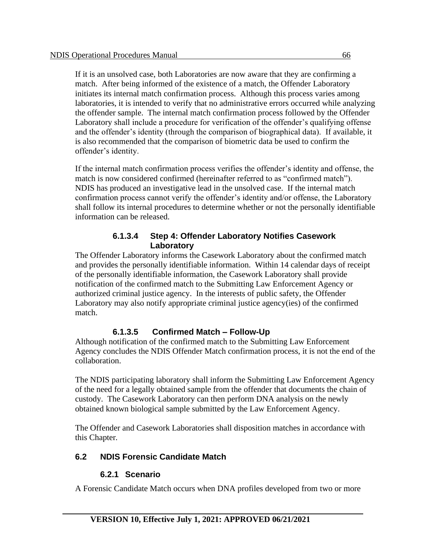If it is an unsolved case, both Laboratories are now aware that they are confirming a match. After being informed of the existence of a match, the Offender Laboratory initiates its internal match confirmation process. Although this process varies among laboratories, it is intended to verify that no administrative errors occurred while analyzing the offender sample. The internal match confirmation process followed by the Offender Laboratory shall include a procedure for verification of the offender's qualifying offense and the offender's identity (through the comparison of biographical data). If available, it is also recommended that the comparison of biometric data be used to confirm the offender's identity.

If the internal match confirmation process verifies the offender's identity and offense, the match is now considered confirmed (hereinafter referred to as "confirmed match"). NDIS has produced an investigative lead in the unsolved case. If the internal match confirmation process cannot verify the offender's identity and/or offense, the Laboratory shall follow its internal procedures to determine whether or not the personally identifiable information can be released.

#### **6.1.3.4 Step 4: Offender Laboratory Notifies Casework Laboratory**

The Offender Laboratory informs the Casework Laboratory about the confirmed match and provides the personally identifiable information. Within 14 calendar days of receipt of the personally identifiable information, the Casework Laboratory shall provide notification of the confirmed match to the Submitting Law Enforcement Agency or authorized criminal justice agency. In the interests of public safety, the Offender Laboratory may also notify appropriate criminal justice agency(ies) of the confirmed match.

## **6.1.3.5 Confirmed Match – Follow-Up**

Although notification of the confirmed match to the Submitting Law Enforcement Agency concludes the NDIS Offender Match confirmation process, it is not the end of the collaboration.

The NDIS participating laboratory shall inform the Submitting Law Enforcement Agency of the need for a legally obtained sample from the offender that documents the chain of custody. The Casework Laboratory can then perform DNA analysis on the newly obtained known biological sample submitted by the Law Enforcement Agency.

The Offender and Casework Laboratories shall disposition matches in accordance with this Chapter*.*

## **6.2 NDIS Forensic Candidate Match**

## **6.2.1 Scenario**

A Forensic Candidate Match occurs when DNA profiles developed from two or more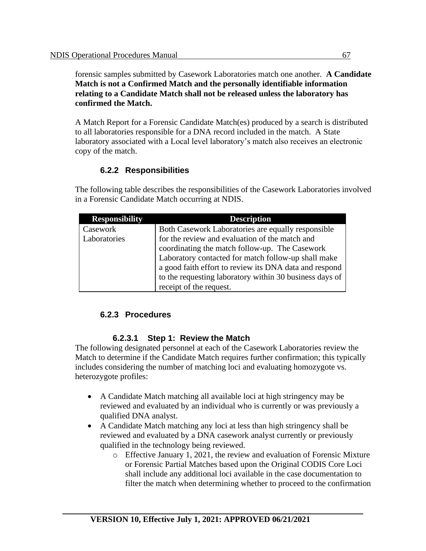forensic samples submitted by Casework Laboratories match one another. **A Candidate Match is not a Confirmed Match and the personally identifiable information relating to a Candidate Match shall not be released unless the laboratory has confirmed the Match.** 

A Match Report for a Forensic Candidate Match(es) produced by a search is distributed to all laboratories responsible for a DNA record included in the match. A State laboratory associated with a Local level laboratory's match also receives an electronic copy of the match.

# **6.2.2 Responsibilities**

The following table describes the responsibilities of the Casework Laboratories involved in a Forensic Candidate Match occurring at NDIS.

| <b>Responsibility</b> | <b>Description</b>                                      |
|-----------------------|---------------------------------------------------------|
| Casework              | Both Casework Laboratories are equally responsible      |
| Laboratories          | for the review and evaluation of the match and          |
|                       | coordinating the match follow-up. The Casework          |
|                       | Laboratory contacted for match follow-up shall make     |
|                       | a good faith effort to review its DNA data and respond  |
|                       | to the requesting laboratory within 30 business days of |
|                       | receipt of the request.                                 |

## **6.2.3 Procedures**

#### **6.2.3.1 Step 1: Review the Match**

The following designated personnel at each of the Casework Laboratories review the Match to determine if the Candidate Match requires further confirmation; this typically includes considering the number of matching loci and evaluating homozygote vs. heterozygote profiles:

- A Candidate Match matching all available loci at high stringency may be reviewed and evaluated by an individual who is currently or was previously a qualified DNA analyst.
- A Candidate Match matching any loci at less than high stringency shall be reviewed and evaluated by a DNA casework analyst currently or previously qualified in the technology being reviewed.
	- o Effective January 1, 2021, the review and evaluation of Forensic Mixture or Forensic Partial Matches based upon the Original CODIS Core Loci shall include any additional loci available in the case documentation to filter the match when determining whether to proceed to the confirmation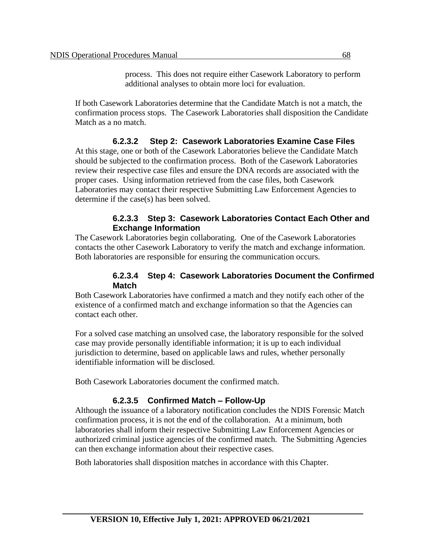process. This does not require either Casework Laboratory to perform additional analyses to obtain more loci for evaluation.

If both Casework Laboratories determine that the Candidate Match is not a match, the confirmation process stops. The Casework Laboratories shall disposition the Candidate Match as a no match.

#### **6.2.3.2 Step 2: Casework Laboratories Examine Case Files**

At this stage, one or both of the Casework Laboratories believe the Candidate Match should be subjected to the confirmation process. Both of the Casework Laboratories review their respective case files and ensure the DNA records are associated with the proper cases. Using information retrieved from the case files, both Casework Laboratories may contact their respective Submitting Law Enforcement Agencies to determine if the case(s) has been solved.

#### **6.2.3.3 Step 3: Casework Laboratories Contact Each Other and Exchange Information**

The Casework Laboratories begin collaborating. One of the Casework Laboratories contacts the other Casework Laboratory to verify the match and exchange information. Both laboratories are responsible for ensuring the communication occurs.

#### **6.2.3.4 Step 4: Casework Laboratories Document the Confirmed Match**

Both Casework Laboratories have confirmed a match and they notify each other of the existence of a confirmed match and exchange information so that the Agencies can contact each other.

For a solved case matching an unsolved case, the laboratory responsible for the solved case may provide personally identifiable information; it is up to each individual jurisdiction to determine, based on applicable laws and rules, whether personally identifiable information will be disclosed.

Both Casework Laboratories document the confirmed match.

#### **6.2.3.5 Confirmed Match – Follow-Up**

Although the issuance of a laboratory notification concludes the NDIS Forensic Match confirmation process, it is not the end of the collaboration. At a minimum, both laboratories shall inform their respective Submitting Law Enforcement Agencies or authorized criminal justice agencies of the confirmed match. The Submitting Agencies can then exchange information about their respective cases.

Both laboratories shall disposition matches in accordance with this Chapter*.*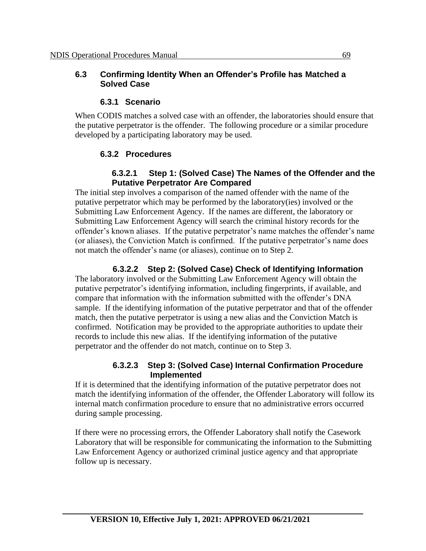#### **6.3 Confirming Identity When an Offender's Profile has Matched a Solved Case**

#### **6.3.1 Scenario**

When CODIS matches a solved case with an offender, the laboratories should ensure that the putative perpetrator is the offender. The following procedure or a similar procedure developed by a participating laboratory may be used.

## **6.3.2 Procedures**

#### **6.3.2.1 Step 1: (Solved Case) The Names of the Offender and the Putative Perpetrator Are Compared**

The initial step involves a comparison of the named offender with the name of the putative perpetrator which may be performed by the laboratory(ies) involved or the Submitting Law Enforcement Agency. If the names are different, the laboratory or Submitting Law Enforcement Agency will search the criminal history records for the offender's known aliases. If the putative perpetrator's name matches the offender's name (or aliases), the Conviction Match is confirmed. If the putative perpetrator's name does not match the offender's name (or aliases), continue on to Step 2.

## **6.3.2.2 Step 2: (Solved Case) Check of Identifying Information**

The laboratory involved or the Submitting Law Enforcement Agency will obtain the putative perpetrator's identifying information, including fingerprints, if available, and compare that information with the information submitted with the offender's DNA sample. If the identifying information of the putative perpetrator and that of the offender match, then the putative perpetrator is using a new alias and the Conviction Match is confirmed. Notification may be provided to the appropriate authorities to update their records to include this new alias. If the identifying information of the putative perpetrator and the offender do not match, continue on to Step 3.

#### **6.3.2.3 Step 3: (Solved Case) Internal Confirmation Procedure Implemented**

If it is determined that the identifying information of the putative perpetrator does not match the identifying information of the offender, the Offender Laboratory will follow its internal match confirmation procedure to ensure that no administrative errors occurred during sample processing.

If there were no processing errors, the Offender Laboratory shall notify the Casework Laboratory that will be responsible for communicating the information to the Submitting Law Enforcement Agency or authorized criminal justice agency and that appropriate follow up is necessary.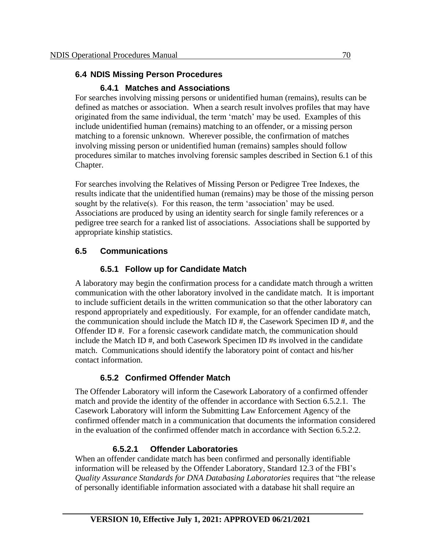#### **6.4 NDIS Missing Person Procedures**

## **6.4.1 Matches and Associations**

For searches involving missing persons or unidentified human (remains), results can be defined as matches or association. When a search result involves profiles that may have originated from the same individual, the term 'match' may be used. Examples of this include unidentified human (remains) matching to an offender, or a missing person matching to a forensic unknown. Wherever possible, the confirmation of matches involving missing person or unidentified human (remains) samples should follow procedures similar to matches involving forensic samples described in Section 6.1 of this Chapter.

For searches involving the Relatives of Missing Person or Pedigree Tree Indexes, the results indicate that the unidentified human (remains) may be those of the missing person sought by the relative(s). For this reason, the term 'association' may be used. Associations are produced by using an identity search for single family references or a pedigree tree search for a ranked list of associations. Associations shall be supported by appropriate kinship statistics.

## **6.5 Communications**

# **6.5.1 Follow up for Candidate Match**

A laboratory may begin the confirmation process for a candidate match through a written communication with the other laboratory involved in the candidate match. It is important to include sufficient details in the written communication so that the other laboratory can respond appropriately and expeditiously. For example, for an offender candidate match, the communication should include the Match ID #, the Casework Specimen ID #, and the Offender ID #. For a forensic casework candidate match, the communication should include the Match ID #, and both Casework Specimen ID #s involved in the candidate match. Communications should identify the laboratory point of contact and his/her contact information.

# **6.5.2 Confirmed Offender Match**

The Offender Laboratory will inform the Casework Laboratory of a confirmed offender match and provide the identity of the offender in accordance with Section 6.5.2.1. The Casework Laboratory will inform the Submitting Law Enforcement Agency of the confirmed offender match in a communication that documents the information considered in the evaluation of the confirmed offender match in accordance with Section  $6.5.2.2$ .

## **6.5.2.1 Offender Laboratories**

When an offender candidate match has been confirmed and personally identifiable information will be released by the Offender Laboratory, Standard 12.3 of the FBI's *Quality Assurance Standards for DNA Databasing Laboratories* requires that "the release of personally identifiable information associated with a database hit shall require an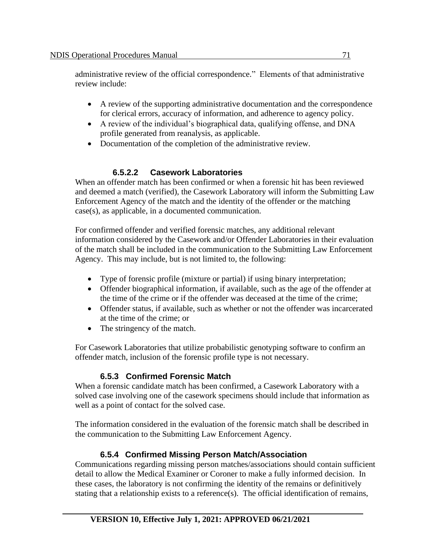administrative review of the official correspondence." Elements of that administrative review include:

- A review of the supporting administrative documentation and the correspondence for clerical errors, accuracy of information, and adherence to agency policy.
- A review of the individual's biographical data, qualifying offense, and DNA profile generated from reanalysis, as applicable.
- Documentation of the completion of the administrative review.

# **6.5.2.2 Casework Laboratories**

When an offender match has been confirmed or when a forensic hit has been reviewed and deemed a match (verified), the Casework Laboratory will inform the Submitting Law Enforcement Agency of the match and the identity of the offender or the matching case(s), as applicable, in a documented communication.

For confirmed offender and verified forensic matches, any additional relevant information considered by the Casework and/or Offender Laboratories in their evaluation of the match shall be included in the communication to the Submitting Law Enforcement Agency. This may include, but is not limited to, the following:

- Type of forensic profile (mixture or partial) if using binary interpretation;
- Offender biographical information, if available, such as the age of the offender at the time of the crime or if the offender was deceased at the time of the crime;
- Offender status, if available, such as whether or not the offender was incarcerated at the time of the crime; or
- The stringency of the match.

For Casework Laboratories that utilize probabilistic genotyping software to confirm an offender match, inclusion of the forensic profile type is not necessary.

## **6.5.3 Confirmed Forensic Match**

When a forensic candidate match has been confirmed, a Casework Laboratory with a solved case involving one of the casework specimens should include that information as well as a point of contact for the solved case.

The information considered in the evaluation of the forensic match shall be described in the communication to the Submitting Law Enforcement Agency.

# **6.5.4 Confirmed Missing Person Match/Association**

Communications regarding missing person matches/associations should contain sufficient detail to allow the Medical Examiner or Coroner to make a fully informed decision. In these cases, the laboratory is not confirming the identity of the remains or definitively stating that a relationship exists to a reference(s). The official identification of remains,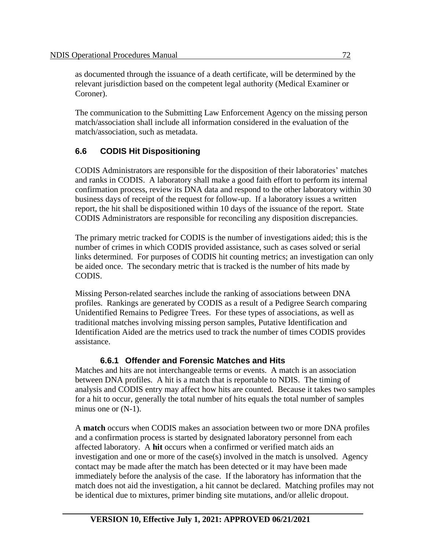as documented through the issuance of a death certificate, will be determined by the relevant jurisdiction based on the competent legal authority (Medical Examiner or Coroner).

The communication to the Submitting Law Enforcement Agency on the missing person match/association shall include all information considered in the evaluation of the match/association, such as metadata.

# **6.6 CODIS Hit Dispositioning**

CODIS Administrators are responsible for the disposition of their laboratories' matches and ranks in CODIS. A laboratory shall make a good faith effort to perform its internal confirmation process, review its DNA data and respond to the other laboratory within 30 business days of receipt of the request for follow-up. If a laboratory issues a written report, the hit shall be dispositioned within 10 days of the issuance of the report. State CODIS Administrators are responsible for reconciling any disposition discrepancies.

The primary metric tracked for CODIS is the number of investigations aided; this is the number of crimes in which CODIS provided assistance, such as cases solved or serial links determined. For purposes of CODIS hit counting metrics; an investigation can only be aided once. The secondary metric that is tracked is the number of hits made by CODIS.

Missing Person-related searches include the ranking of associations between DNA profiles. Rankings are generated by CODIS as a result of a Pedigree Search comparing Unidentified Remains to Pedigree Trees. For these types of associations, as well as traditional matches involving missing person samples, Putative Identification and Identification Aided are the metrics used to track the number of times CODIS provides assistance.

#### **6.6.1 Offender and Forensic Matches and Hits**

Matches and hits are not interchangeable terms or events. A match is an association between DNA profiles. A hit is a match that is reportable to NDIS. The timing of analysis and CODIS entry may affect how hits are counted. Because it takes two samples for a hit to occur, generally the total number of hits equals the total number of samples minus one or  $(N-1)$ .

A **match** occurs when CODIS makes an association between two or more DNA profiles and a confirmation process is started by designated laboratory personnel from each affected laboratory. A **hit** occurs when a confirmed or verified match aids an investigation and one or more of the case(s) involved in the match is unsolved. Agency contact may be made after the match has been detected or it may have been made immediately before the analysis of the case. If the laboratory has information that the match does not aid the investigation, a hit cannot be declared. Matching profiles may not be identical due to mixtures, primer binding site mutations, and/or allelic dropout.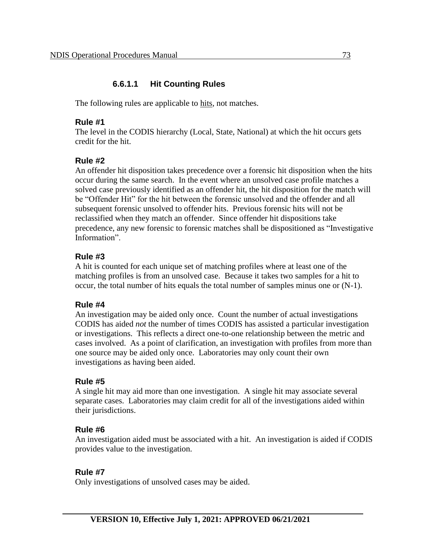### **6.6.1.1 Hit Counting Rules**

The following rules are applicable to hits, not matches.

#### **Rule #1**

The level in the CODIS hierarchy (Local, State, National) at which the hit occurs gets credit for the hit.

#### **Rule #2**

An offender hit disposition takes precedence over a forensic hit disposition when the hits occur during the same search.In the event where an unsolved case profile matches a solved case previously identified as an offender hit, the hit disposition for the match will be "Offender Hit" for the hit between the forensic unsolved and the offender and all subsequent forensic unsolved to offender hits. Previous forensic hits will not be reclassified when they match an offender. Since offender hit dispositions take precedence, any new forensic to forensic matches shall be dispositioned as "Investigative Information".

#### **Rule #3**

A hit is counted for each unique set of matching profiles where at least one of the matching profiles is from an unsolved case. Because it takes two samples for a hit to occur, the total number of hits equals the total number of samples minus one or (N-1).

#### **Rule #4**

An investigation may be aided only once. Count the number of actual investigations CODIS has aided *not* the number of times CODIS has assisted a particular investigation or investigations. This reflects a direct one-to-one relationship between the metric and cases involved. As a point of clarification, an investigation with profiles from more than one source may be aided only once. Laboratories may only count their own investigations as having been aided.

#### **Rule #5**

A single hit may aid more than one investigation.A single hit may associate several separate cases. Laboratories may claim credit for all of the investigations aided within their jurisdictions.

#### **Rule #6**

An investigation aided must be associated with a hit. An investigation is aided if CODIS provides value to the investigation.

#### **Rule #7**

Only investigations of unsolved cases may be aided.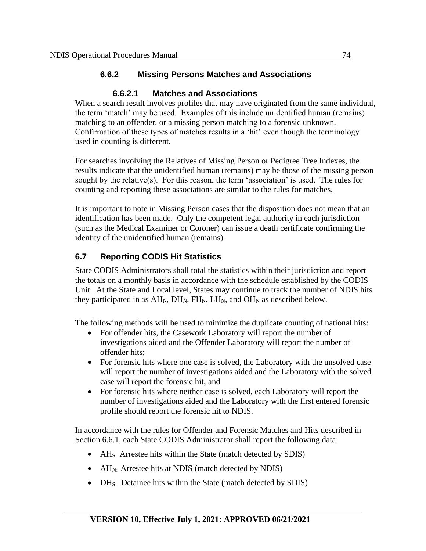### **6.6.2 Missing Persons Matches and Associations**

#### **6.6.2.1 Matches and Associations**

When a search result involves profiles that may have originated from the same individual, the term 'match' may be used. Examples of this include unidentified human (remains) matching to an offender, or a missing person matching to a forensic unknown. Confirmation of these types of matches results in a 'hit' even though the terminology used in counting is different.

For searches involving the Relatives of Missing Person or Pedigree Tree Indexes, the results indicate that the unidentified human (remains) may be those of the missing person sought by the relative(s). For this reason, the term 'association' is used. The rules for counting and reporting these associations are similar to the rules for matches.

It is important to note in Missing Person cases that the disposition does not mean that an identification has been made. Only the competent legal authority in each jurisdiction (such as the Medical Examiner or Coroner) can issue a death certificate confirming the identity of the unidentified human (remains).

### **6.7 Reporting CODIS Hit Statistics**

State CODIS Administrators shall total the statistics within their jurisdiction and report the totals on a monthly basis in accordance with the schedule established by the CODIS Unit. At the State and Local level, States may continue to track the number of NDIS hits they participated in as  $AH_N$ ,  $DH_N$ ,  $FH_N$ ,  $LH_N$ , and  $OH_N$  as described below.

The following methods will be used to minimize the duplicate counting of national hits:

- For offender hits, the Casework Laboratory will report the number of investigations aided and the Offender Laboratory will report the number of offender hits;
- For forensic hits where one case is solved, the Laboratory with the unsolved case will report the number of investigations aided and the Laboratory with the solved case will report the forensic hit; and
- For forensic hits where neither case is solved, each Laboratory will report the number of investigations aided and the Laboratory with the first entered forensic profile should report the forensic hit to NDIS.

In accordance with the rules for Offender and Forensic Matches and Hits described in Section 6.6.1, each State CODIS Administrator shall report the following data:

- AH<sub>S:</sub> Arrestee hits within the State (match detected by SDIS)
- AH<sub>N:</sub> Arrestee hits at NDIS (match detected by NDIS)
- $DH_{S_i}$ : Detainee hits within the State (match detected by SDIS)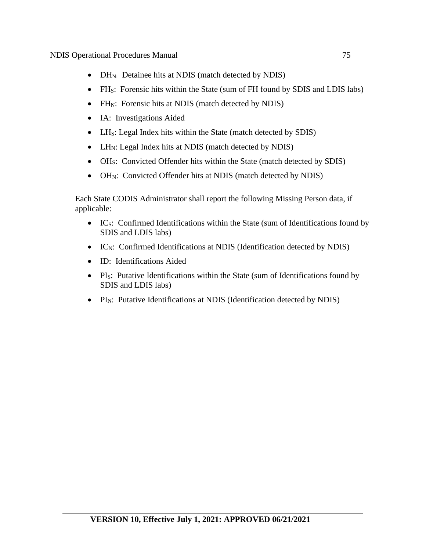- DH<sub>N:</sub> Detainee hits at NDIS (match detected by NDIS)
- FH<sub>S</sub>: Forensic hits within the State (sum of FH found by SDIS and LDIS labs)
- FH<sub>N</sub>: Forensic hits at NDIS (match detected by NDIS)
- IA: Investigations Aided
- LH<sub>S</sub>: Legal Index hits within the State (match detected by SDIS)
- LH<sub>N</sub>: Legal Index hits at NDIS (match detected by NDIS)
- OH<sub>S</sub>: Convicted Offender hits within the State (match detected by SDIS)
- OH<sub>N</sub>: Convicted Offender hits at NDIS (match detected by NDIS)

Each State CODIS Administrator shall report the following Missing Person data, if applicable:

- IC<sub>S</sub>: Confirmed Identifications within the State (sum of Identifications found by SDIS and LDIS labs)
- IC<sub>N</sub>: Confirmed Identifications at NDIS (Identification detected by NDIS)
- ID: Identifications Aided
- PI<sub>S</sub>: Putative Identifications within the State (sum of Identifications found by SDIS and LDIS labs)
- PI<sub>N</sub>: Putative Identifications at NDIS (Identification detected by NDIS)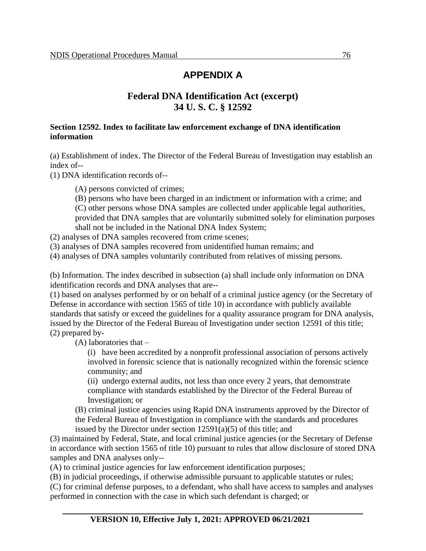### **APPENDIX A**

### **Federal DNA Identification Act (excerpt) 34 U. S. C. § 12592**

#### **Section 12592. Index to facilitate law enforcement exchange of DNA identification information**

(a) Establishment of index. The Director of the Federal Bureau of Investigation may establish an index of--

(1) DNA identification records of--

(A) persons convicted of crimes;

(B) persons who have been charged in an indictment or information with a crime; and (C) other persons whose DNA samples are collected under applicable legal authorities, provided that DNA samples that are voluntarily submitted solely for elimination purposes shall not be included in the National DNA Index System;

(2) analyses of DNA samples recovered from crime scenes;

(3) analyses of DNA samples recovered from unidentified human remains; and

(4) analyses of DNA samples voluntarily contributed from relatives of missing persons.

(b) Information. The index described in subsection (a) shall include only information on DNA identification records and DNA analyses that are--

(1) based on analyses performed by or on behalf of a criminal justice agency (or the Secretary of Defense in accordance with section 1565 of title 10) in accordance with publicly available standards that satisfy or exceed the guidelines for a quality assurance program for DNA analysis, issued by the Director of the Federal Bureau of Investigation under section 12591 of this title; (2) prepared by-

(A) laboratories that –

(i) have been accredited by a nonprofit professional association of persons actively involved in forensic science that is nationally recognized within the forensic science community; and

(ii) undergo external audits, not less than once every 2 years, that demonstrate compliance with standards established by the Director of the Federal Bureau of Investigation; or

(B) criminal justice agencies using Rapid DNA instruments approved by the Director of the Federal Bureau of Investigation in compliance with the standards and procedures issued by the Director under section 12591(a)(5) of this title; and

(3) maintained by Federal, State, and local criminal justice agencies (or the Secretary of Defense in accordance with section 1565 of title 10) pursuant to rules that allow disclosure of stored DNA samples and DNA analyses only--

(A) to criminal justice agencies for law enforcement identification purposes;

(B) in judicial proceedings, if otherwise admissible pursuant to applicable statutes or rules;

(C) for criminal defense purposes, to a defendant, who shall have access to samples and analyses performed in connection with the case in which such defendant is charged; or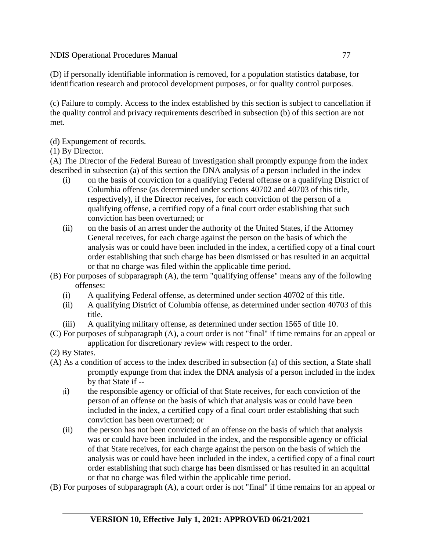(D) if personally identifiable information is removed, for a population statistics database, for identification research and protocol development purposes, or for quality control purposes.

(c) Failure to comply. Access to the index established by this section is subject to cancellation if the quality control and privacy requirements described in subsection (b) of this section are not met.

- (d) Expungement of records.
- (1) By Director.

(A) The Director of the Federal Bureau of Investigation shall promptly expunge from the index described in subsection (a) of this section the DNA analysis of a person included in the index—

- (i) on the basis of conviction for a qualifying Federal offense or a qualifying District of Columbia offense (as determined under sections 40702 and 40703 of this title, respectively), if the Director receives, for each conviction of the person of a qualifying offense, a certified copy of a final court order establishing that such conviction has been overturned; or
- (ii) on the basis of an arrest under the authority of the United States, if the Attorney General receives, for each charge against the person on the basis of which the analysis was or could have been included in the index, a certified copy of a final court order establishing that such charge has been dismissed or has resulted in an acquittal or that no charge was filed within the applicable time period.
- (B) For purposes of subparagraph (A), the term "qualifying offense" means any of the following offenses:
	- (i) A qualifying Federal offense, as determined under section 40702 of this title.
	- (ii) A qualifying District of Columbia offense, as determined under section 40703 of this title.
	- (iii) A qualifying military offense, as determined under section 1565 of title 10.
- (C) For purposes of subparagraph (A), a court order is not "final" if time remains for an appeal or application for discretionary review with respect to the order.
- (2) By States.
- (A) As a condition of access to the index described in subsection (a) of this section, a State shall promptly expunge from that index the DNA analysis of a person included in the index by that State if --
	- (i) the responsible agency or official of that State receives, for each conviction of the person of an offense on the basis of which that analysis was or could have been included in the index, a certified copy of a final court order establishing that such conviction has been overturned; or
	- (ii) the person has not been convicted of an offense on the basis of which that analysis was or could have been included in the index, and the responsible agency or official of that State receives, for each charge against the person on the basis of which the analysis was or could have been included in the index, a certified copy of a final court order establishing that such charge has been dismissed or has resulted in an acquittal or that no charge was filed within the applicable time period.
- (B) For purposes of subparagraph (A), a court order is not "final" if time remains for an appeal or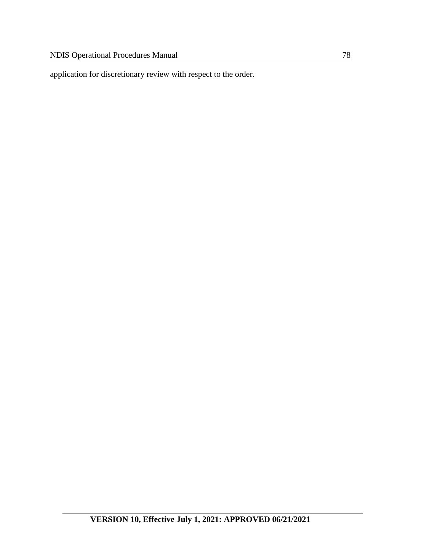application for discretionary review with respect to the order.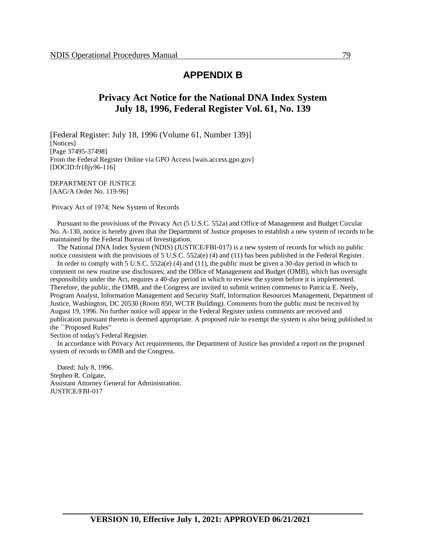#### **APPENDIX B**

### **Privacy Act Notice for the National DNA Index System July 18, 1996, Federal Register Vol. 61, No. 139**

[Federal Register: July 18, 1996 (Volume 61, Number 139)] [Notices] [Page 37495-37498] From the Federal Register Online via GPO Access [wais.access.gpo.gov] [DOCID:fr18jy96-116]

DEPARTMENT OF JUSTICE [AAG/A Order No. 119-96]

Privacy Act of 1974; New System of Records

 Pursuant to the provisions of the Privacy Act (5 U.S.C. 552a) and Office of Management and Budget Circular No. A-130, notice is hereby given that the Department of Justice proposes to establish a new system of records to be maintained by the Federal Bureau of Investigation.

 The National DNA Index System (NDIS) (JUSTICE/FBI-017) is a new system of records for which no public notice consistent with the provisions of 5 U.S.C. 552a(e) (4) and (11) has been published in the Federal Register.

In order to comply with 5 U.S.C. 552a(e) (4) and (11), the public must be given a 30-day period in which to comment on new routine use disclosures; and the Office of Management and Budget (OMB), which has oversight responsibility under the Act, requires a 40-day period in which to review the system before it is implemented. Therefore, the public, the OMB, and the Congress are invited to submit written comments to Patricia E. Neely, Program Analyst, Information Management and Security Staff, Information Resources Management, Department of Justice, Washington, DC 20530 (Room 850, WCTR Building). Comments from the public must be received by August 19, 1996. No further notice will appear in the Federal Register unless comments are received and publication pursuant thereto is deemed appropriate. A proposed rule to exempt the system is also being published in the ``Proposed Rules''

Section of today's Federal Register.

 In accordance with Privacy Act requirements, the Department of Justice has provided a report on the proposed system of records to OMB and the Congress.

 Dated: July 8, 1996. Stephen R. Colgate, Assistant Attorney General for Administration. JUSTICE/FBI-017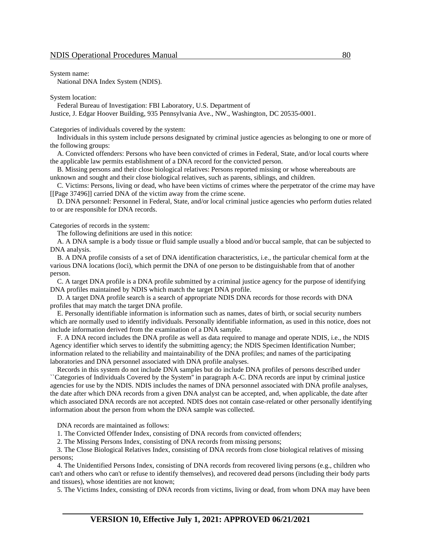System name:

National DNA Index System (NDIS).

System location:

Federal Bureau of Investigation: FBI Laboratory, U.S. Department of

Justice, J. Edgar Hoover Building, 935 Pennsylvania Ave., NW., Washington, DC 20535-0001.

Categories of individuals covered by the system:

 Individuals in this system include persons designated by criminal justice agencies as belonging to one or more of the following groups:

 A. Convicted offenders: Persons who have been convicted of crimes in Federal, State, and/or local courts where the applicable law permits establishment of a DNA record for the convicted person.

 B. Missing persons and their close biological relatives: Persons reported missing or whose whereabouts are unknown and sought and their close biological relatives, such as parents, siblings, and children.

 C. Victims: Persons, living or dead, who have been victims of crimes where the perpetrator of the crime may have [[Page 37496]] carried DNA of the victim away from the crime scene.

 D. DNA personnel: Personnel in Federal, State, and/or local criminal justice agencies who perform duties related to or are responsible for DNA records.

Categories of records in the system:

The following definitions are used in this notice:

 A. A DNA sample is a body tissue or fluid sample usually a blood and/or buccal sample, that can be subjected to DNA analysis.

 B. A DNA profile consists of a set of DNA identification characteristics, i.e., the particular chemical form at the various DNA locations (loci), which permit the DNA of one person to be distinguishable from that of another person.

 C. A target DNA profile is a DNA profile submitted by a criminal justice agency for the purpose of identifying DNA profiles maintained by NDIS which match the target DNA profile.

 D. A target DNA profile search is a search of appropriate NDIS DNA records for those records with DNA profiles that may match the target DNA profile.

 E. Personally identifiable information is information such as names, dates of birth, or social security numbers which are normally used to identify individuals. Personally identifiable information, as used in this notice, does not include information derived from the examination of a DNA sample.

 F. A DNA record includes the DNA profile as well as data required to manage and operate NDIS, i.e., the NDIS Agency identifier which serves to identify the submitting agency; the NDIS Specimen Identification Number; information related to the reliability and maintainability of the DNA profiles; and names of the participating laboratories and DNA personnel associated with DNA profile analyses.

 Records in this system do not include DNA samples but do include DNA profiles of persons described under ``Categories of Individuals Covered by the System'' in paragraph A-C. DNA records are input by criminal justice agencies for use by the NDIS. NDIS includes the names of DNA personnel associated with DNA profile analyses, the date after which DNA records from a given DNA analyst can be accepted, and, when applicable, the date after which associated DNA records are not accepted. NDIS does not contain case-related or other personally identifying information about the person from whom the DNA sample was collected.

DNA records are maintained as follows:

1. The Convicted Offender Index, consisting of DNA records from convicted offenders;

2. The Missing Persons Index, consisting of DNA records from missing persons;

 3. The Close Biological Relatives Index, consisting of DNA records from close biological relatives of missing persons;

 4. The Unidentified Persons Index, consisting of DNA records from recovered living persons (e.g., children who can't and others who can't or refuse to identify themselves), and recovered dead persons (including their body parts and tissues), whose identities are not known;

5. The Victims Index, consisting of DNA records from victims, living or dead, from whom DNA may have been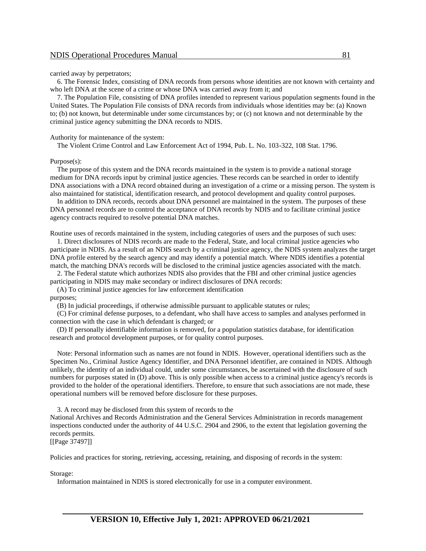carried away by perpetrators;

 6. The Forensic Index, consisting of DNA records from persons whose identities are not known with certainty and who left DNA at the scene of a crime or whose DNA was carried away from it; and

 7. The Population File, consisting of DNA profiles intended to represent various population segments found in the United States. The Population File consists of DNA records from individuals whose identities may be: (a) Known to; (b) not known, but determinable under some circumstances by; or (c) not known and not determinable by the criminal justice agency submitting the DNA records to NDIS.

Authority for maintenance of the system:

The Violent Crime Control and Law Enforcement Act of 1994, Pub. L. No. 103-322, 108 Stat. 1796.

Purpose(s):

 The purpose of this system and the DNA records maintained in the system is to provide a national storage medium for DNA records input by criminal justice agencies. These records can be searched in order to identify DNA associations with a DNA record obtained during an investigation of a crime or a missing person. The system is also maintained for statistical, identification research, and protocol development and quality control purposes.

 In addition to DNA records, records about DNA personnel are maintained in the system. The purposes of these DNA personnel records are to control the acceptance of DNA records by NDIS and to facilitate criminal justice agency contracts required to resolve potential DNA matches.

Routine uses of records maintained in the system, including categories of users and the purposes of such uses:

 1. Direct disclosures of NDIS records are made to the Federal, State, and local criminal justice agencies who participate in NDIS. As a result of an NDIS search by a criminal justice agency, the NDIS system analyzes the target DNA profile entered by the search agency and may identify a potential match. Where NDIS identifies a potential match, the matching DNA's records will be disclosed to the criminal justice agencies associated with the match.

 2. The Federal statute which authorizes NDIS also provides that the FBI and other criminal justice agencies participating in NDIS may make secondary or indirect disclosures of DNA records:

(A) To criminal justice agencies for law enforcement identification

purposes;

(B) In judicial proceedings, if otherwise admissible pursuant to applicable statutes or rules;

 (C) For criminal defense purposes, to a defendant, who shall have access to samples and analyses performed in connection with the case in which defendant is charged; or

 (D) If personally identifiable information is removed, for a population statistics database, for identification research and protocol development purposes, or for quality control purposes.

 Note: Personal information such as names are not found in NDIS. However, operational identifiers such as the Specimen No., Criminal Justice Agency Identifier, and DNA Personnel identifier, are contained in NDIS. Although unlikely, the identity of an individual could, under some circumstances, be ascertained with the disclosure of such numbers for purposes stated in (D) above. This is only possible when access to a criminal justice agency's records is provided to the holder of the operational identifiers. Therefore, to ensure that such associations are not made, these operational numbers will be removed before disclosure for these purposes.

 3. A record may be disclosed from this system of records to the National Archives and Records Administration and the General Services Administration in records management inspections conducted under the authority of 44 U.S.C. 2904 and 2906, to the extent that legislation governing the records permits.

[[Page 37497]]

Policies and practices for storing, retrieving, accessing, retaining, and disposing of records in the system:

Storage:

Information maintained in NDIS is stored electronically for use in a computer environment.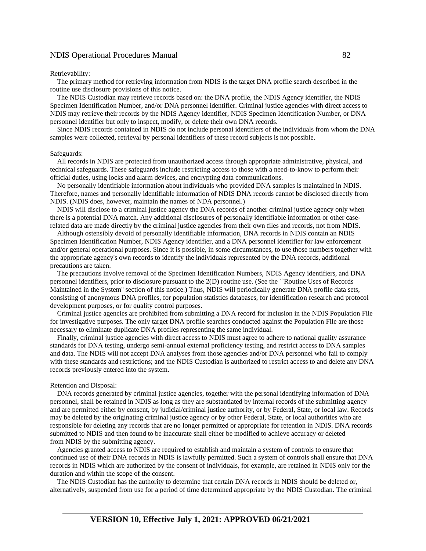#### Retrievability:

 The primary method for retrieving information from NDIS is the target DNA profile search described in the routine use disclosure provisions of this notice.

 The NDIS Custodian may retrieve records based on: the DNA profile, the NDIS Agency identifier, the NDIS Specimen Identification Number, and/or DNA personnel identifier. Criminal justice agencies with direct access to NDIS may retrieve their records by the NDIS Agency identifier, NDIS Specimen Identification Number, or DNA personnel identifier but only to inspect, modify, or delete their own DNA records.

 Since NDIS records contained in NDIS do not include personal identifiers of the individuals from whom the DNA samples were collected, retrieval by personal identifiers of these record subjects is not possible.

#### Safeguards:

 All records in NDIS are protected from unauthorized access through appropriate administrative, physical, and technical safeguards. These safeguards include restricting access to those with a need-to-know to perform their official duties, using locks and alarm devices, and encrypting data communications.

 No personally identifiable information about individuals who provided DNA samples is maintained in NDIS. Therefore, names and personally identifiable information of NDIS DNA records cannot be disclosed directly from NDIS. (NDIS does, however, maintain the names of NDA personnel.)

 NDIS will disclose to a criminal justice agency the DNA records of another criminal justice agency only when there is a potential DNA match. Any additional disclosures of personally identifiable information or other caserelated data are made directly by the criminal justice agencies from their own files and records, not from NDIS.

 Although ostensibly devoid of personally identifiable information, DNA records in NDIS contain an NDIS Specimen Identification Number, NDIS Agency identifier, and a DNA personnel identifier for law enforcement and/or general operational purposes. Since it is possible, in some circumstances, to use those numbers together with the appropriate agency's own records to identify the individuals represented by the DNA records, additional precautions are taken.

 The precautions involve removal of the Specimen Identification Numbers, NDIS Agency identifiers, and DNA personnel identifiers, prior to disclosure pursuant to the 2(D) routine use. (See the ``Routine Uses of Records Maintained in the System'' section of this notice.) Thus, NDIS will periodically generate DNA profile data sets, consisting of anonymous DNA profiles, for population statistics databases, for identification research and protocol development purposes, or for quality control purposes.

 Criminal justice agencies are prohibited from submitting a DNA record for inclusion in the NDIS Population File for investigative purposes. The only target DNA profile searches conducted against the Population File are those necessary to eliminate duplicate DNA profiles representing the same individual.

 Finally, criminal justice agencies with direct access to NDIS must agree to adhere to national quality assurance standards for DNA testing, undergo semi-annual external proficiency testing, and restrict access to DNA samples and data. The NDIS will not accept DNA analyses from those agencies and/or DNA personnel who fail to comply with these standards and restrictions; and the NDIS Custodian is authorized to restrict access to and delete any DNA records previously entered into the system.

#### Retention and Disposal:

 DNA records generated by criminal justice agencies, together with the personal identifying information of DNA personnel, shall be retained in NDIS as long as they are substantiated by internal records of the submitting agency and are permitted either by consent, by judicial/criminal justice authority, or by Federal, State, or local law. Records may be deleted by the originating criminal justice agency or by other Federal, State, or local authorities who are responsible for deleting any records that are no longer permitted or appropriate for retention in NDIS. DNA records submitted to NDIS and then found to be inaccurate shall either be modified to achieve accuracy or deleted from NDIS by the submitting agency.

 Agencies granted access to NDIS are required to establish and maintain a system of controls to ensure that continued use of their DNA records in NDIS is lawfully permitted. Such a system of controls shall ensure that DNA records in NDIS which are authorized by the consent of individuals, for example, are retained in NDIS only for the duration and within the scope of the consent.

 The NDIS Custodian has the authority to determine that certain DNA records in NDIS should be deleted or, alternatively, suspended from use for a period of time determined appropriate by the NDIS Custodian. The criminal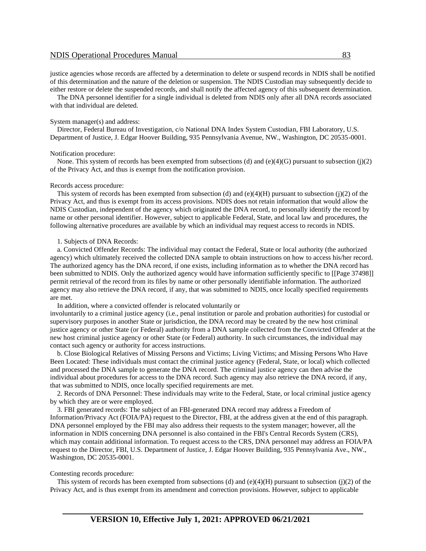justice agencies whose records are affected by a determination to delete or suspend records in NDIS shall be notified of this determination and the nature of the deletion or suspension. The NDIS Custodian may subsequently decide to either restore or delete the suspended records, and shall notify the affected agency of this subsequent determination.

 The DNA personnel identifier for a single individual is deleted from NDIS only after all DNA records associated with that individual are deleted.

#### System manager(s) and address:

 Director, Federal Bureau of Investigation, c/o National DNA Index System Custodian, FBI Laboratory, U.S. Department of Justice, J. Edgar Hoover Building, 935 Pennsylvania Avenue, NW., Washington, DC 20535-0001.

#### Notification procedure:

None. This system of records has been exempted from subsections (d) and (e)(4)(G) pursuant to subsection (j)(2) of the Privacy Act, and thus is exempt from the notification provision.

#### Records access procedure:

This system of records has been exempted from subsection (d) and  $(e)(4)(H)$  pursuant to subsection (j)(2) of the Privacy Act, and thus is exempt from its access provisions. NDIS does not retain information that would allow the NDIS Custodian, independent of the agency which originated the DNA record, to personally identify the record by name or other personal identifier. However, subject to applicable Federal, State, and local law and procedures, the following alternative procedures are available by which an individual may request access to records in NDIS.

#### 1. Subjects of DNA Records:

 a. Convicted Offender Records: The individual may contact the Federal, State or local authority (the authorized agency) which ultimately received the collected DNA sample to obtain instructions on how to access his/her record. The authorized agency has the DNA record, if one exists, including information as to whether the DNA record has been submitted to NDIS. Only the authorized agency would have information sufficiently specific to [[Page 37498]] permit retrieval of the record from its files by name or other personally identifiable information. The authorized agency may also retrieve the DNA record, if any, that was submitted to NDIS, once locally specified requirements are met.

In addition, where a convicted offender is relocated voluntarily or

involuntarily to a criminal justice agency (i.e., penal institution or parole and probation authorities) for custodial or supervisory purposes in another State or jurisdiction, the DNA record may be created by the new host criminal justice agency or other State (or Federal) authority from a DNA sample collected from the Convicted Offender at the new host criminal justice agency or other State (or Federal) authority. In such circumstances, the individual may contact such agency or authority for access instructions.

 b. Close Biological Relatives of Missing Persons and Victims; Living Victims; and Missing Persons Who Have Been Located: These individuals must contact the criminal justice agency (Federal, State, or local) which collected and processed the DNA sample to generate the DNA record. The criminal justice agency can then advise the individual about procedures for access to the DNA record. Such agency may also retrieve the DNA record, if any, that was submitted to NDIS, once locally specified requirements are met.

 2. Records of DNA Personnel: These individuals may write to the Federal, State, or local criminal justice agency by which they are or were employed.

 3. FBI generated records: The subject of an FBI-generated DNA record may address a Freedom of Information/Privacy Act (FOIA/PA) request to the Director, FBI, at the address given at the end of this paragraph. DNA personnel employed by the FBI may also address their requests to the system manager; however, all the information in NDIS concerning DNA personnel is also contained in the FBI's Central Records System (CRS), which may contain additional information. To request access to the CRS, DNA personnel may address an FOIA/PA request to the Director, FBI, U.S. Department of Justice, J. Edgar Hoover Building, 935 Pennsylvania Ave., NW., Washington, DC 20535-0001.

#### Contesting records procedure:

This system of records has been exempted from subsections (d) and  $(e)(4)(H)$  pursuant to subsection (j)(2) of the Privacy Act, and is thus exempt from its amendment and correction provisions. However, subject to applicable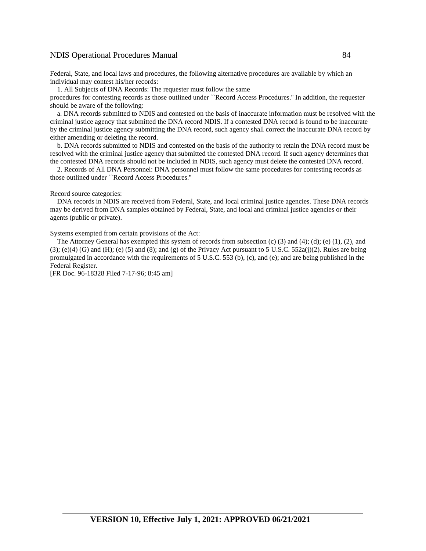Federal, State, and local laws and procedures, the following alternative procedures are available by which an individual may contest his/her records:

1. All Subjects of DNA Records: The requester must follow the same

procedures for contesting records as those outlined under ``Record Access Procedures.'' In addition, the requester should be aware of the following:

 a. DNA records submitted to NDIS and contested on the basis of inaccurate information must be resolved with the criminal justice agency that submitted the DNA record NDIS. If a contested DNA record is found to be inaccurate by the criminal justice agency submitting the DNA record, such agency shall correct the inaccurate DNA record by either amending or deleting the record.

 b. DNA records submitted to NDIS and contested on the basis of the authority to retain the DNA record must be resolved with the criminal justice agency that submitted the contested DNA record. If such agency determines that the contested DNA records should not be included in NDIS, such agency must delete the contested DNA record.

 2. Records of All DNA Personnel: DNA personnel must follow the same procedures for contesting records as those outlined under ``Record Access Procedures.''

#### Record source categories:

 DNA records in NDIS are received from Federal, State, and local criminal justice agencies. These DNA records may be derived from DNA samples obtained by Federal, State, and local and criminal justice agencies or their agents (public or private).

Systems exempted from certain provisions of the Act:

 The Attorney General has exempted this system of records from subsection (c) (3) and (4); (d); (e) (1), (2), and  $(3)$ ; (e)(4) (G) and (H); (e) (5) and (8); and (g) of the Privacy Act pursuant to 5 U.S.C. 552a(j)(2). Rules are being promulgated in accordance with the requirements of 5 U.S.C. 553 (b), (c), and (e); and are being published in the Federal Register.

[FR Doc. 96-18328 Filed 7-17-96; 8:45 am]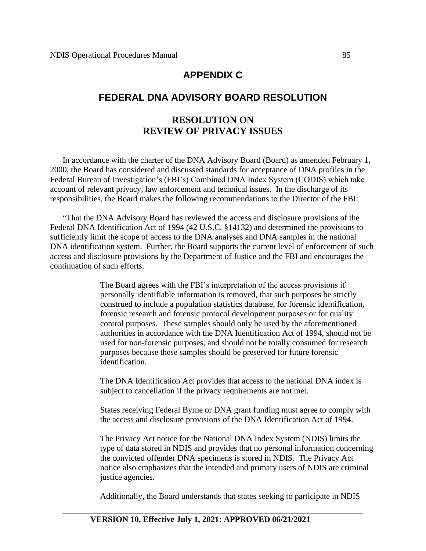#### **APPENDIX C**

#### **FEDERAL DNA ADVISORY BOARD RESOLUTION**

### **RESOLUTION ON REVIEW OF PRIVACY ISSUES**

In accordance with the charter of the DNA Advisory Board (Board) as amended February 1, 2000, the Board has considered and discussed standards for acceptance of DNA profiles in the Federal Bureau of Investigation's (FBI's) Combined DNA Index System (CODIS) which take account of relevant privacy, law enforcement and technical issues. In the discharge of its responsibilities, the Board makes the following recommendations to the Director of the FBI:

"That the DNA Advisory Board has reviewed the access and disclosure provisions of the Federal DNA Identification Act of 1994 (42 U.S.C. §14132) and determined the provisions to sufficiently limit the scope of access to the DNA analyses and DNA samples in the national DNA identification system. Further, the Board supports the current level of enforcement of such access and disclosure provisions by the Department of Justice and the FBI and encourages the continuation of such efforts.

> The Board agrees with the FBI's interpretation of the access provisions if personally identifiable information is removed, that such purposes be strictly construed to include a population statistics database, for forensic identification, forensic research and forensic protocol development purposes or for quality control purposes. These samples should only be used by the aforementioned authorities in accordance with the DNA Identification Act of 1994, should not be used for non-forensic purposes, and should not be totally consumed for research purposes because these samples should be preserved for future forensic identification.

The DNA Identification Act provides that access to the national DNA index is subject to cancellation if the privacy requirements are not met.

States receiving Federal Byrne or DNA grant funding must agree to comply with the access and disclosure provisions of the DNA Identification Act of 1994.

The Privacy Act notice for the National DNA Index System (NDIS) limits the type of data stored in NDIS and provides that no personal information concerning the convicted offender DNA specimens is stored in NDIS. The Privacy Act notice also emphasizes that the intended and primary users of NDIS are criminal justice agencies.

Additionally, the Board understands that states seeking to participate in NDIS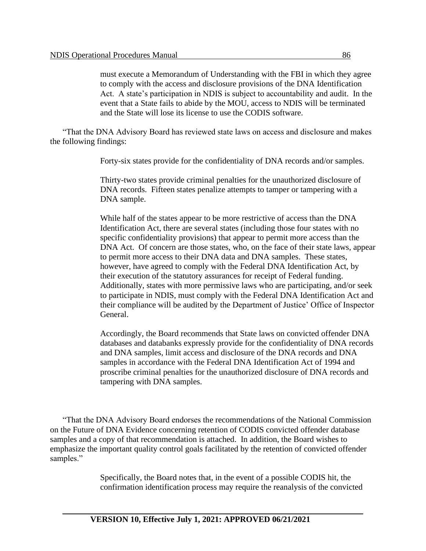must execute a Memorandum of Understanding with the FBI in which they agree to comply with the access and disclosure provisions of the DNA Identification Act. A state's participation in NDIS is subject to accountability and audit. In the event that a State fails to abide by the MOU, access to NDIS will be terminated and the State will lose its license to use the CODIS software.

"That the DNA Advisory Board has reviewed state laws on access and disclosure and makes the following findings:

Forty-six states provide for the confidentiality of DNA records and/or samples.

Thirty-two states provide criminal penalties for the unauthorized disclosure of DNA records. Fifteen states penalize attempts to tamper or tampering with a DNA sample.

While half of the states appear to be more restrictive of access than the DNA Identification Act, there are several states (including those four states with no specific confidentiality provisions) that appear to permit more access than the DNA Act. Of concern are those states, who, on the face of their state laws, appear to permit more access to their DNA data and DNA samples. These states, however, have agreed to comply with the Federal DNA Identification Act, by their execution of the statutory assurances for receipt of Federal funding. Additionally, states with more permissive laws who are participating, and/or seek to participate in NDIS, must comply with the Federal DNA Identification Act and their compliance will be audited by the Department of Justice' Office of Inspector General.

Accordingly, the Board recommends that State laws on convicted offender DNA databases and databanks expressly provide for the confidentiality of DNA records and DNA samples, limit access and disclosure of the DNA records and DNA samples in accordance with the Federal DNA Identification Act of 1994 and proscribe criminal penalties for the unauthorized disclosure of DNA records and tampering with DNA samples.

"That the DNA Advisory Board endorses the recommendations of the National Commission on the Future of DNA Evidence concerning retention of CODIS convicted offender database samples and a copy of that recommendation is attached. In addition, the Board wishes to emphasize the important quality control goals facilitated by the retention of convicted offender samples."

> Specifically, the Board notes that, in the event of a possible CODIS hit, the confirmation identification process may require the reanalysis of the convicted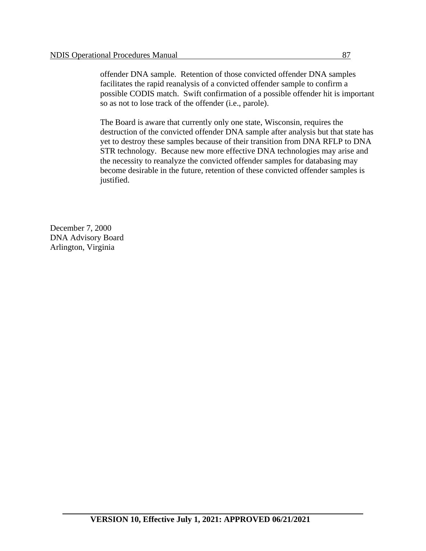offender DNA sample. Retention of those convicted offender DNA samples facilitates the rapid reanalysis of a convicted offender sample to confirm a possible CODIS match. Swift confirmation of a possible offender hit is important so as not to lose track of the offender (i.e., parole).

The Board is aware that currently only one state, Wisconsin, requires the destruction of the convicted offender DNA sample after analysis but that state has yet to destroy these samples because of their transition from DNA RFLP to DNA STR technology. Because new more effective DNA technologies may arise and the necessity to reanalyze the convicted offender samples for databasing may become desirable in the future, retention of these convicted offender samples is justified.

December 7, 2000 DNA Advisory Board Arlington, Virginia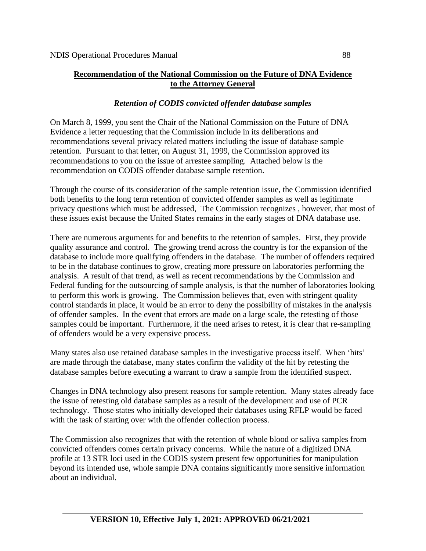#### **Recommendation of the National Commission on the Future of DNA Evidence to the Attorney General**

#### *Retention of CODIS convicted offender database samples*

On March 8, 1999, you sent the Chair of the National Commission on the Future of DNA Evidence a letter requesting that the Commission include in its deliberations and recommendations several privacy related matters including the issue of database sample retention. Pursuant to that letter, on August 31, 1999, the Commission approved its recommendations to you on the issue of arrestee sampling. Attached below is the recommendation on CODIS offender database sample retention.

Through the course of its consideration of the sample retention issue, the Commission identified both benefits to the long term retention of convicted offender samples as well as legitimate privacy questions which must be addressed, The Commission recognizes , however, that most of these issues exist because the United States remains in the early stages of DNA database use.

There are numerous arguments for and benefits to the retention of samples. First, they provide quality assurance and control. The growing trend across the country is for the expansion of the database to include more qualifying offenders in the database. The number of offenders required to be in the database continues to grow, creating more pressure on laboratories performing the analysis. A result of that trend, as well as recent recommendations by the Commission and Federal funding for the outsourcing of sample analysis, is that the number of laboratories looking to perform this work is growing. The Commission believes that, even with stringent quality control standards in place, it would be an error to deny the possibility of mistakes in the analysis of offender samples. In the event that errors are made on a large scale, the retesting of those samples could be important. Furthermore, if the need arises to retest, it is clear that re-sampling of offenders would be a very expensive process.

Many states also use retained database samples in the investigative process itself. When 'hits' are made through the database, many states confirm the validity of the hit by retesting the database samples before executing a warrant to draw a sample from the identified suspect.

Changes in DNA technology also present reasons for sample retention. Many states already face the issue of retesting old database samples as a result of the development and use of PCR technology. Those states who initially developed their databases using RFLP would be faced with the task of starting over with the offender collection process.

The Commission also recognizes that with the retention of whole blood or saliva samples from convicted offenders comes certain privacy concerns. While the nature of a digitized DNA profile at 13 STR loci used in the CODIS system present few opportunities for manipulation beyond its intended use, whole sample DNA contains significantly more sensitive information about an individual.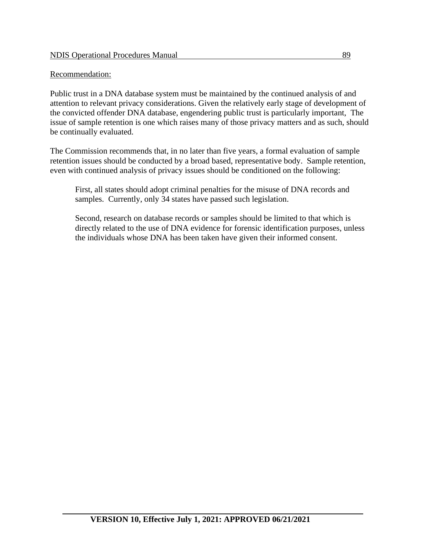#### Recommendation:

Public trust in a DNA database system must be maintained by the continued analysis of and attention to relevant privacy considerations. Given the relatively early stage of development of the convicted offender DNA database, engendering public trust is particularly important, The issue of sample retention is one which raises many of those privacy matters and as such, should be continually evaluated.

The Commission recommends that, in no later than five years, a formal evaluation of sample retention issues should be conducted by a broad based, representative body. Sample retention, even with continued analysis of privacy issues should be conditioned on the following:

First, all states should adopt criminal penalties for the misuse of DNA records and samples. Currently, only 34 states have passed such legislation.

Second, research on database records or samples should be limited to that which is directly related to the use of DNA evidence for forensic identification purposes, unless the individuals whose DNA has been taken have given their informed consent.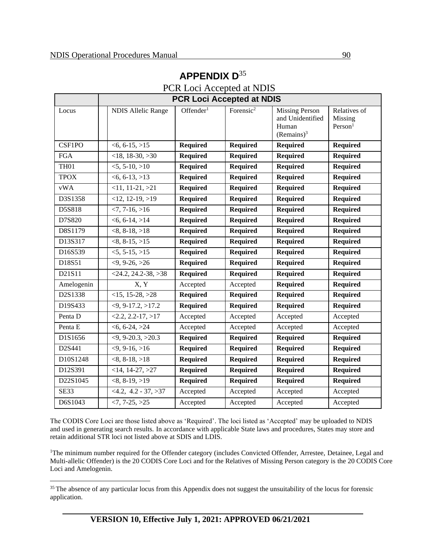|             | <b>PCR Loci Accepted at NDIS</b> |                       |                       |                                                                     |                                                |
|-------------|----------------------------------|-----------------------|-----------------------|---------------------------------------------------------------------|------------------------------------------------|
| Locus       | <b>NDIS Allelic Range</b>        | Offender <sup>1</sup> | Forensic <sup>2</sup> | <b>Missing Person</b><br>and Unidentified<br>Human<br>$(Remains)^3$ | Relatives of<br>Missing<br>Person <sup>1</sup> |
| CSF1PO      | $<6, 6-15, >15$                  | <b>Required</b>       | <b>Required</b>       | <b>Required</b>                                                     | <b>Required</b>                                |
| <b>FGA</b>  | $<$ 18, 18-30, $>$ 30            | <b>Required</b>       | <b>Required</b>       | <b>Required</b>                                                     | <b>Required</b>                                |
| <b>TH01</b> | $\overline{5, 5 \cdot 10, 510}$  | <b>Required</b>       | <b>Required</b>       | <b>Required</b>                                                     | <b>Required</b>                                |
| <b>TPOX</b> | $<6, 6-13, >13$                  | <b>Required</b>       | <b>Required</b>       | <b>Required</b>                                                     | <b>Required</b>                                |
| vWA         | $<11, 11-21, >21$                | <b>Required</b>       | Required              | <b>Required</b>                                                     | <b>Required</b>                                |
| D3S1358     | $<12$ , 12-19, $>19$             | <b>Required</b>       | <b>Required</b>       | Required                                                            | <b>Required</b>                                |
| D5S818      | $< 7, 7 - 16, > 16$              | <b>Required</b>       | <b>Required</b>       | <b>Required</b>                                                     | <b>Required</b>                                |
| D7S820      | $<6, 6-14, >14$                  | <b>Required</b>       | <b>Required</b>       | <b>Required</b>                                                     | <b>Required</b>                                |
| D8S1179     | $<8, 8-18, >18$                  | <b>Required</b>       | <b>Required</b>       | <b>Required</b>                                                     | <b>Required</b>                                |
| D13S317     | $<8, 8-15, >15$                  | Required              | <b>Required</b>       | <b>Required</b>                                                     | <b>Required</b>                                |
| D16S539     | $<5, 5-15, >15$                  | <b>Required</b>       | <b>Required</b>       | <b>Required</b>                                                     | <b>Required</b>                                |
| D18S51      | $<9, 9-26, >26$                  | <b>Required</b>       | <b>Required</b>       | <b>Required</b>                                                     | <b>Required</b>                                |
| D21S11      | $<$ 24.2, 24.2-38, >38           | <b>Required</b>       | <b>Required</b>       | <b>Required</b>                                                     | <b>Required</b>                                |
| Amelogenin  | $\overline{X}$ , $\overline{Y}$  | Accepted              | Accepted              | <b>Required</b>                                                     | <b>Required</b>                                |
| D2S1338     | $<15, 15-28, >28$                | <b>Required</b>       | <b>Required</b>       | <b>Required</b>                                                     | <b>Required</b>                                |
| D19S433     | $\overline{59, 9.17.2, 517.2}$   | <b>Required</b>       | <b>Required</b>       | <b>Required</b>                                                     | <b>Required</b>                                |
| Penta D     | $<2.2$ , 2.2-17, $>17$           | Accepted              | Accepted              | Accepted                                                            | Accepted                                       |
| Penta E     | $<$ 6, 6-24, $>$ 24              | Accepted              | Accepted              | Accepted                                                            | Accepted                                       |
| D1S1656     | $\overline{<9, 9}$ -20.3, >20.3  | <b>Required</b>       | <b>Required</b>       | <b>Required</b>                                                     | <b>Required</b>                                |
| D2S441      | $<9, 9-16, >16$                  | <b>Required</b>       | <b>Required</b>       | <b>Required</b>                                                     | <b>Required</b>                                |
| D10S1248    | $<8, 8-18, >18$                  | <b>Required</b>       | <b>Required</b>       | <b>Required</b>                                                     | <b>Required</b>                                |
| D12S391     | $<$ 14, 14-27, $>$ 27            | <b>Required</b>       | <b>Required</b>       | <b>Required</b>                                                     | <b>Required</b>                                |
| D22S1045    | $<8, 8-19, >19$                  | <b>Required</b>       | <b>Required</b>       | <b>Required</b>                                                     | <b>Required</b>                                |
| SE33        | $<4.2, 4.2 - 37, >37$            | Accepted              | Accepted              | Accepted                                                            | Accepted                                       |
| D6S1043     | $\overline{27}$ , 7-25, >25      | Accepted              | Accepted              | Accepted                                                            | Accepted                                       |

# **APPENDIX D**<sup>35</sup>

PCR Loci Accepted at NDIS

The CODIS Core Loci are those listed above as 'Required'. The loci listed as 'Accepted' may be uploaded to NDIS and used in generating search results. In accordance with applicable State laws and procedures, States may store and retain additional STR loci not listed above at SDIS and LDIS.

<sup>1</sup>The minimum number required for the Offender category (includes Convicted Offender, Arrestee, Detainee, Legal and Multi-allelic Offender) is the 20 CODIS Core Loci and for the Relatives of Missing Person category is the 20 CODIS Core Loci and Amelogenin.

<sup>&</sup>lt;sup>35</sup> The absence of any particular locus from this Appendix does not suggest the unsuitability of the locus for forensic application.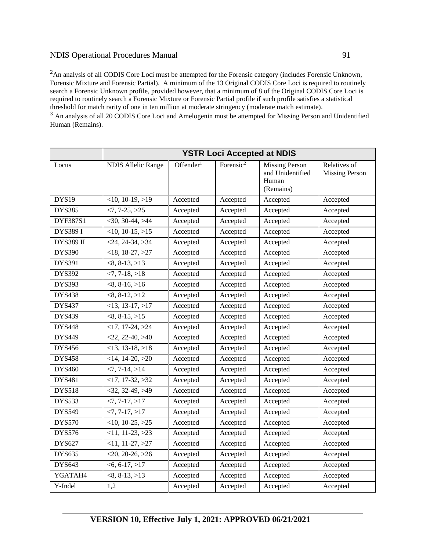<sup>2</sup>An analysis of all CODIS Core Loci must be attempted for the Forensic category (includes Forensic Unknown, Forensic Mixture and Forensic Partial). A minimum of the 13 Original CODIS Core Loci is required to routinely search a Forensic Unknown profile, provided however, that a minimum of 8 of the Original CODIS Core Loci is required to routinely search a Forensic Mixture or Forensic Partial profile if such profile satisfies a statistical threshold for match rarity of one in ten million at moderate stringency (moderate match estimate).

<sup>3</sup> An analysis of all 20 CODIS Core Loci and Amelogenin must be attempted for Missing Person and Unidentified Human (Remains).

|                  | <b>YSTR Loci Accepted at NDIS</b> |                       |                       |                                                                 |                                       |
|------------------|-----------------------------------|-----------------------|-----------------------|-----------------------------------------------------------------|---------------------------------------|
| Locus            | <b>NDIS Allelic Range</b>         | Offender <sup>1</sup> | Forensic <sup>2</sup> | <b>Missing Person</b><br>and Unidentified<br>Human<br>(Remains) | Relatives of<br><b>Missing Person</b> |
| <b>DYS19</b>     | $<10$ , 10-19, $>19$              | Accepted              | Accepted              | Accepted                                                        | Accepted                              |
| <b>DYS385</b>    | $<7, 7-25, >25$                   | Accepted              | Accepted              | Accepted                                                        | Accepted                              |
| DYF387S1         | $<$ 30, 30-44, >44                | Accepted              | Accepted              | Accepted                                                        | Accepted                              |
| DYS389 I         | $<10$ , 10-15, $>15$              | Accepted              | Accepted              | Accepted                                                        | Accepted                              |
| <b>DYS389 II</b> | $\overline{<}24, 24 - 34, >34$    | Accepted              | Accepted              | Accepted                                                        | Accepted                              |
| <b>DYS390</b>    | $<$ 18, 18-27, $>$ 27             | Accepted              | Accepted              | Accepted                                                        | Accepted                              |
| DYS391           | $<8, 8-13, >13$                   | Accepted              | Accepted              | Accepted                                                        | Accepted                              |
| <b>DYS392</b>    | $-7, 7-18, >18$                   | Accepted              | Accepted              | Accepted                                                        | Accepted                              |
| <b>DYS393</b>    | $<8, 8-16, >16$                   | Accepted              | Accepted              | Accepted                                                        | Accepted                              |
| <b>DYS438</b>    | $<8, 8-12, >12$                   | Accepted              | Accepted              | Accepted                                                        | Accepted                              |
| <b>DYS437</b>    | $<$ 13, 13-17, $>$ 17             | Accepted              | Accepted              | Accepted                                                        | Accepted                              |
| <b>DYS439</b>    | $<8, 8-15, >15$                   | Accepted              | Accepted              | Accepted                                                        | Accepted                              |
| <b>DYS448</b>    | $<$ 17, 17-24, $>$ 24             | Accepted              | Accepted              | Accepted                                                        | Accepted                              |
| <b>DYS449</b>    | $<$ 22, 22-40, $>40$              | Accepted              | Accepted              | Accepted                                                        | Accepted                              |
| <b>DYS456</b>    | $<$ 13, 13-18, >18                | Accepted              | Accepted              | Accepted                                                        | Accepted                              |
| <b>DYS458</b>    | $<$ 14, 14-20, $>$ 20             | Accepted              | Accepted              | Accepted                                                        | Accepted                              |
| <b>DYS460</b>    | $< 7, 7 - 14, > 14$               | Accepted              | Accepted              | Accepted                                                        | Accepted                              |
| <b>DYS481</b>    | $<$ 17, 17-32, $>$ 32             | Accepted              | Accepted              | Accepted                                                        | Accepted                              |
| <b>DYS518</b>    | $<$ 32, 32-49, >49                | Accepted              | Accepted              | Accepted                                                        | Accepted                              |
| <b>DYS533</b>    | $<7, 7-17, >17$                   | Accepted              | Accepted              | Accepted                                                        | Accepted                              |
| <b>DYS549</b>    | $<7, 7-17, >17$                   | Accepted              | Accepted              | Accepted                                                        | Accepted                              |
| <b>DYS570</b>    | $<$ 10, 10-25, $>$ 25             | Accepted              | Accepted              | Accepted                                                        | Accepted                              |
| <b>DYS576</b>    | $<$ 11, 11-23, $>$ 23             | Accepted              | Accepted              | Accepted                                                        | Accepted                              |
| <b>DYS627</b>    | $<$ 11, 11-27, $>$ 27             | Accepted              | Accepted              | Accepted                                                        | Accepted                              |
| <b>DYS635</b>    | $<$ 20, 20-26, $>$ 26             | Accepted              | Accepted              | Accepted                                                        | Accepted                              |
| <b>DYS643</b>    | $<$ 6, 6-17, $>$ 17               | Accepted              | Accepted              | Accepted                                                        | Accepted                              |
| YGATAH4          | $<8, 8-13, >13$                   | Accepted              | Accepted              | Accepted                                                        | Accepted                              |
| Y-Indel          | 1,2                               | Accepted              | Accepted              | Accepted                                                        | Accepted                              |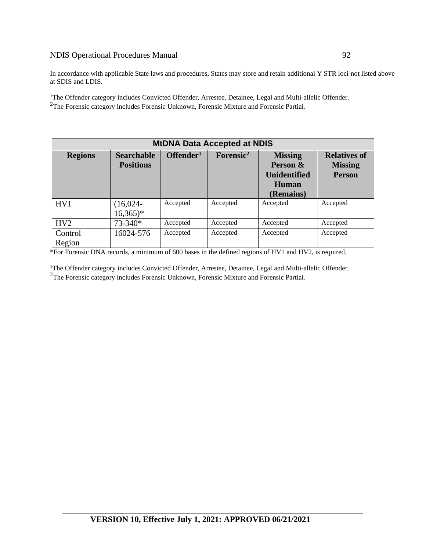In accordance with applicable State laws and procedures, States may store and retain additional Y STR loci not listed above at SDIS and LDIS.

<sup>1</sup>The Offender category includes Convicted Offender, Arrestee, Detainee, Legal and Multi-allelic Offender. <sup>2</sup>The Forensic category includes Forensic Unknown, Forensic Mixture and Forensic Partial.

| <b>MtDNA Data Accepted at NDIS</b> |                                       |                       |                       |                                                                                |                                                        |
|------------------------------------|---------------------------------------|-----------------------|-----------------------|--------------------------------------------------------------------------------|--------------------------------------------------------|
| <b>Regions</b>                     | <b>Searchable</b><br><b>Positions</b> | Offender <sup>1</sup> | Forensic <sup>2</sup> | <b>Missing</b><br>Person &<br><b>Unidentified</b><br><b>Human</b><br>(Remains) | <b>Relatives of</b><br><b>Missing</b><br><b>Person</b> |
| HV1                                | $(16,024 -$<br>$16,365$ <sup>*</sup>  | Accepted              | Accepted              | Accepted                                                                       | Accepted                                               |
| HV <sub>2</sub>                    | 73-340*                               | Accepted              | Accepted              | Accepted                                                                       | Accepted                                               |
| Control<br>Region                  | 16024-576                             | Accepted              | Accepted              | Accepted                                                                       | Accepted                                               |

\*For Forensic DNA records, a minimum of 600 bases in the defined regions of HV1 and HV2, is required.

<sup>1</sup>The Offender category includes Convicted Offender, Arrestee, Detainee, Legal and Multi-allelic Offender. <sup>2</sup>The Forensic category includes Forensic Unknown, Forensic Mixture and Forensic Partial.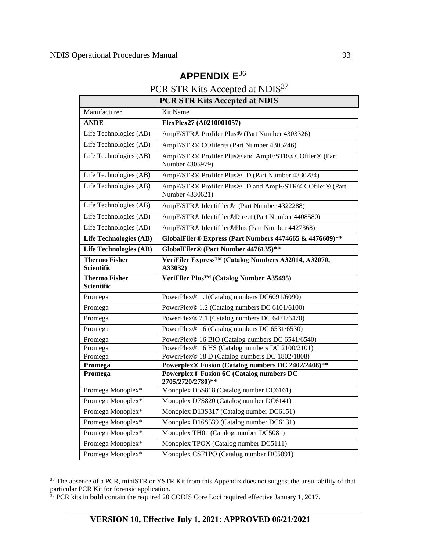## **APPENDIX E**<sup>36</sup>

## PCR STR Kits Accepted at NDIS<sup>37</sup>

| <b>PCR STR Kits Accepted at NDIS</b>      |                                                                             |  |  |
|-------------------------------------------|-----------------------------------------------------------------------------|--|--|
| Manufacturer                              | Kit Name                                                                    |  |  |
| <b>ANDE</b>                               | FlexPlex27 (A0210001057)                                                    |  |  |
| Life Technologies (AB)                    | AmpF/STR® Profiler Plus® (Part Number 4303326)                              |  |  |
| Life Technologies (AB)                    | AmpF/STR® COfiler® (Part Number 4305246)                                    |  |  |
| Life Technologies (AB)                    | AmpF/STR® Profiler Plus® and AmpF/STR® COfiler® (Part<br>Number 4305979)    |  |  |
| Life Technologies (AB)                    | AmpF/STR® Profiler Plus® ID (Part Number 4330284)                           |  |  |
| Life Technologies (AB)                    | AmpF/STR® Profiler Plus® ID and AmpF/STR® COfiler® (Part<br>Number 4330621) |  |  |
| Life Technologies (AB)                    | AmpF/STR® Identifiler® (Part Number 4322288)                                |  |  |
| Life Technologies (AB)                    | AmpF/STR® Identifiler®Direct (Part Number 4408580)                          |  |  |
| Life Technologies (AB)                    | AmpF/STR® Identifiler®Plus (Part Number 4427368)                            |  |  |
| <b>Life Technologies (AB)</b>             | GlobalFiler® Express (Part Numbers 4474665 & 4476609)**                     |  |  |
| <b>Life Technologies (AB)</b>             | GlobalFiler® (Part Number 4476135)**                                        |  |  |
| <b>Thermo Fisher</b><br>Scientific        | VeriFiler Express <sup>TM</sup> (Catalog Numbers A32014, A32070,<br>A33032) |  |  |
| <b>Thermo Fisher</b><br><b>Scientific</b> | VeriFiler Plus <sup>™</sup> (Catalog Number A35495)                         |  |  |
| Promega                                   | PowerPlex® 1.1(Catalog numbers DC6091/6090)                                 |  |  |
| Promega                                   | PowerPlex® 1.2 (Catalog numbers DC 6101/6100)                               |  |  |
| Promega                                   | PowerPlex® 2.1 (Catalog numbers DC 6471/6470)                               |  |  |
| Promega                                   | PowerPlex® 16 (Catalog numbers DC 6531/6530)                                |  |  |
| Promega                                   | PowerPlex® 16 BIO (Catalog numbers DC 6541/6540)                            |  |  |
| Promega                                   | PowerPlex® 16 HS (Catalog numbers DC 2100/2101)                             |  |  |
| Promega                                   | PowerPlex® 18 D (Catalog numbers DC 1802/1808)                              |  |  |
| Promega                                   | Powerplex® Fusion (Catalog numbers DC 2402/2408)**                          |  |  |
| Promega                                   | <b>Powerplex® Fusion 6C (Catalog numbers DC</b><br>2705/2720/2780)**        |  |  |
| Promega Monoplex*                         | Monoplex D5S818 (Catalog number DC6161)                                     |  |  |
| Promega Monoplex*                         | Monoplex D7S820 (Catalog number DC6141)                                     |  |  |
| Promega Monoplex*                         | Monoplex D13S317 (Catalog number DC6151)                                    |  |  |
| Promega Monoplex*                         | Monoplex D16S539 (Catalog number DC6131)                                    |  |  |
| Promega Monoplex*                         | Monoplex TH01 (Catalog number DC5081)                                       |  |  |
| Promega Monoplex*                         | Monoplex TPOX (Catalog number DC5111)                                       |  |  |
| Promega Monoplex*                         | Monoplex CSF1PO (Catalog number DC5091)                                     |  |  |

<sup>&</sup>lt;sup>36</sup> The absence of a PCR, miniSTR or YSTR Kit from this Appendix does not suggest the unsuitability of that particular PCR Kit for forensic application.

<sup>37</sup> PCR kits in **bold** contain the required 20 CODIS Core Loci required effective January 1, 2017.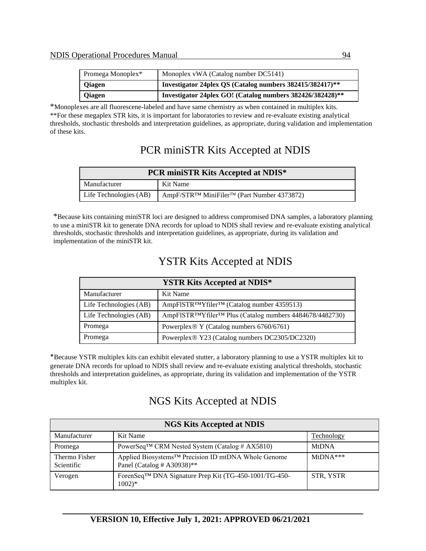| Promega Monoplex* | Monoplex vWA (Catalog number DC5141)                      |
|-------------------|-----------------------------------------------------------|
| <b>Qiagen</b>     | Investigator 24plex QS (Catalog numbers 382415/382417)**  |
| <b>Qiagen</b>     | Investigator 24plex GO! (Catalog numbers 382426/382428)** |

\*Monoplexes are all fluorescene-labeled and have same chemistry as when contained in multiplex kits. \*\*For these megaplex STR kits, it is important for laboratories to review and re-evaluate existing analytical thresholds, stochastic thresholds and interpretation guidelines, as appropriate, during validation and implementation of these kits.

## PCR miniSTR Kits Accepted at NDIS

| <b>PCR miniSTR Kits Accepted at NDIS*</b> |                                            |  |
|-------------------------------------------|--------------------------------------------|--|
| Manufacturer                              | Kit Name                                   |  |
| Life Technologies (AB)                    | AmpF/STR™ MiniFiler™ (Part Number 4373872) |  |

\*Because kits containing miniSTR loci are designed to address compromised DNA samples, a laboratory planning to use a miniSTR kit to generate DNA records for upload to NDIS shall review and re-evaluate existing analytical thresholds, stochastic thresholds and interpretation guidelines, as appropriate, during its validation and implementation of the miniSTR kit.

## YSTR Kits Accepted at NDIS

| <b>YSTR Kits Accepted at NDIS*</b> |                                                         |  |  |
|------------------------------------|---------------------------------------------------------|--|--|
| Manufacturer                       | Kit Name                                                |  |  |
| Life Technologies (AB)             | AmpFISTR™Yfiler™ (Catalog number 4359513)               |  |  |
| Life Technologies (AB)             | AmpFISTR™Yfiler™ Plus (Catalog numbers 4484678/4482730) |  |  |
| Promega                            | Powerplex® Y (Catalog numbers 6760/6761)                |  |  |
| Promega                            | Powerplex® Y23 (Catalog numbers DC2305/DC2320)          |  |  |

\*Because YSTR multiplex kits can exhibit elevated stutter, a laboratory planning to use a YSTR multiplex kit to generate DNA records for upload to NDIS shall review and re-evaluate existing analytical thresholds, stochastic thresholds and interpretation guidelines, as appropriate, during its validation and implementation of the YSTR multiplex kit.

## NGS Kits Accepted at NDIS

| <b>NGS Kits Accepted at NDIS</b> |                                                                                          |              |  |  |
|----------------------------------|------------------------------------------------------------------------------------------|--------------|--|--|
| Manufacturer                     | Kit Name                                                                                 | Technology   |  |  |
| Promega                          | PowerSeq™ CRM Nested System (Catalog # AX5810)                                           | <b>MtDNA</b> |  |  |
| Thermo Fisher<br>Scientific      | Applied Biosystems™ Precision ID mtDNA Whole Genome<br>Panel (Catalog # A30938)**        | $MtDNA***$   |  |  |
| Verogen                          | ForenSeq <sup>™</sup> DNA Signature Prep Kit (TG-450-1001/TG-450-<br>$1002$ <sup>*</sup> | STR, YSTR    |  |  |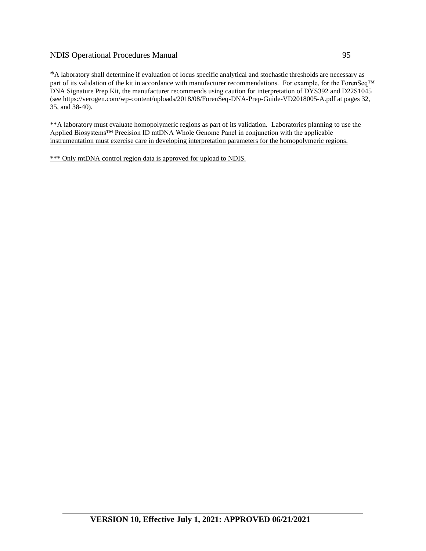\*A laboratory shall determine if evaluation of locus specific analytical and stochastic thresholds are necessary as part of its validation of the kit in accordance with manufacturer recommendations. For example, for the ForenSeq™ DNA Signature Prep Kit, the manufacturer recommends using caution for interpretation of DYS392 and D22S1045 (see https://verogen.com/wp-content/uploads/2018/08/ForenSeq-DNA-Prep-Guide-VD2018005-A.pdf at pages 32, 35, and 38-40).

\*\*A laboratory must evaluate homopolymeric regions as part of its validation. Laboratories planning to use the Applied Biosystems™ Precision ID mtDNA Whole Genome Panel in conjunction with the applicable instrumentation must exercise care in developing interpretation parameters for the homopolymeric regions.

\*\*\* Only mtDNA control region data is approved for upload to NDIS.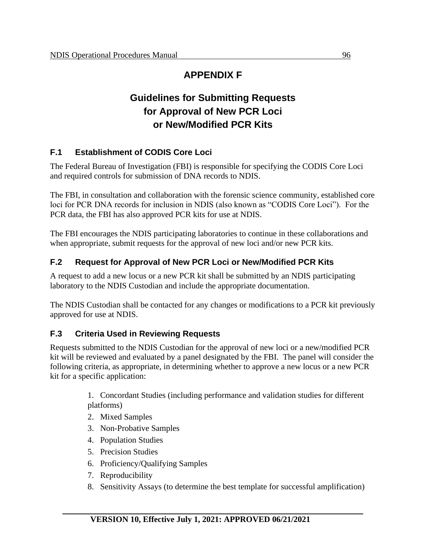## **APPENDIX F**

## **Guidelines for Submitting Requests for Approval of New PCR Loci or New/Modified PCR Kits**

### **F.1 Establishment of CODIS Core Loci**

The Federal Bureau of Investigation (FBI) is responsible for specifying the CODIS Core Loci and required controls for submission of DNA records to NDIS.

The FBI, in consultation and collaboration with the forensic science community, established core loci for PCR DNA records for inclusion in NDIS (also known as "CODIS Core Loci"). For the PCR data, the FBI has also approved PCR kits for use at NDIS.

The FBI encourages the NDIS participating laboratories to continue in these collaborations and when appropriate, submit requests for the approval of new loci and/or new PCR kits.

### **F.2 Request for Approval of New PCR Loci or New/Modified PCR Kits**

A request to add a new locus or a new PCR kit shall be submitted by an NDIS participating laboratory to the NDIS Custodian and include the appropriate documentation.

The NDIS Custodian shall be contacted for any changes or modifications to a PCR kit previously approved for use at NDIS.

#### **F.3 Criteria Used in Reviewing Requests**

Requests submitted to the NDIS Custodian for the approval of new loci or a new/modified PCR kit will be reviewed and evaluated by a panel designated by the FBI. The panel will consider the following criteria, as appropriate, in determining whether to approve a new locus or a new PCR kit for a specific application:

> 1. Concordant Studies (including performance and validation studies for different platforms)

- 2. Mixed Samples
- 3. Non-Probative Samples
- 4. Population Studies
- 5. Precision Studies
- 6. Proficiency/Qualifying Samples
- 7. Reproducibility
- 8. Sensitivity Assays (to determine the best template for successful amplification)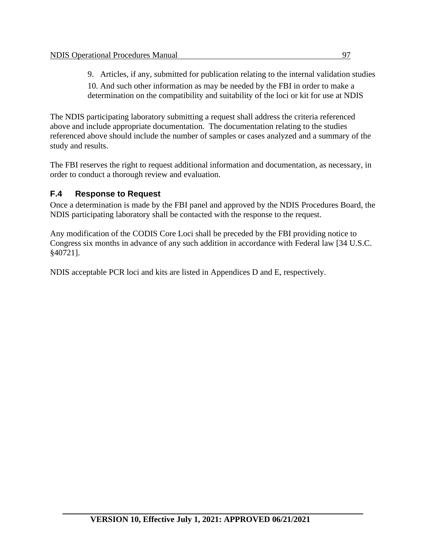9. Articles, if any, submitted for publication relating to the internal validation studies 10. And such other information as may be needed by the FBI in order to make a determination on the compatibility and suitability of the loci or kit for use at NDIS

The NDIS participating laboratory submitting a request shall address the criteria referenced above and include appropriate documentation. The documentation relating to the studies referenced above should include the number of samples or cases analyzed and a summary of the study and results.

The FBI reserves the right to request additional information and documentation, as necessary, in order to conduct a thorough review and evaluation.

### **F.4 Response to Request**

Once a determination is made by the FBI panel and approved by the NDIS Procedures Board, the NDIS participating laboratory shall be contacted with the response to the request.

Any modification of the CODIS Core Loci shall be preceded by the FBI providing notice to Congress six months in advance of any such addition in accordance with Federal law [34 U.S.C. §40721].

NDIS acceptable PCR loci and kits are listed in Appendices D and E, respectively.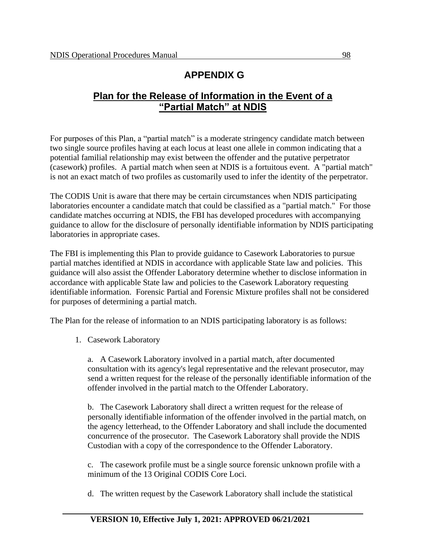## **APPENDIX G**

### **Plan for the Release of Information in the Event of a "Partial Match" at NDIS**

For purposes of this Plan, a "partial match" is a moderate stringency candidate match between two single source profiles having at each locus at least one allele in common indicating that a potential familial relationship may exist between the offender and the putative perpetrator (casework) profiles. A partial match when seen at NDIS is a fortuitous event. A "partial match" is not an exact match of two profiles as customarily used to infer the identity of the perpetrator.

The CODIS Unit is aware that there may be certain circumstances when NDIS participating laboratories encounter a candidate match that could be classified as a "partial match." For those candidate matches occurring at NDIS, the FBI has developed procedures with accompanying guidance to allow for the disclosure of personally identifiable information by NDIS participating laboratories in appropriate cases.

The FBI is implementing this Plan to provide guidance to Casework Laboratories to pursue partial matches identified at NDIS in accordance with applicable State law and policies. This guidance will also assist the Offender Laboratory determine whether to disclose information in accordance with applicable State law and policies to the Casework Laboratory requesting identifiable information. Forensic Partial and Forensic Mixture profiles shall not be considered for purposes of determining a partial match.

The Plan for the release of information to an NDIS participating laboratory is as follows:

1. Casework Laboratory

a. A Casework Laboratory involved in a partial match, after documented consultation with its agency's legal representative and the relevant prosecutor, may send a written request for the release of the personally identifiable information of the offender involved in the partial match to the Offender Laboratory.

b. The Casework Laboratory shall direct a written request for the release of personally identifiable information of the offender involved in the partial match, on the agency letterhead, to the Offender Laboratory and shall include the documented concurrence of the prosecutor. The Casework Laboratory shall provide the NDIS Custodian with a copy of the correspondence to the Offender Laboratory.

c. The casework profile must be a single source forensic unknown profile with a minimum of the 13 Original CODIS Core Loci.

d. The written request by the Casework Laboratory shall include the statistical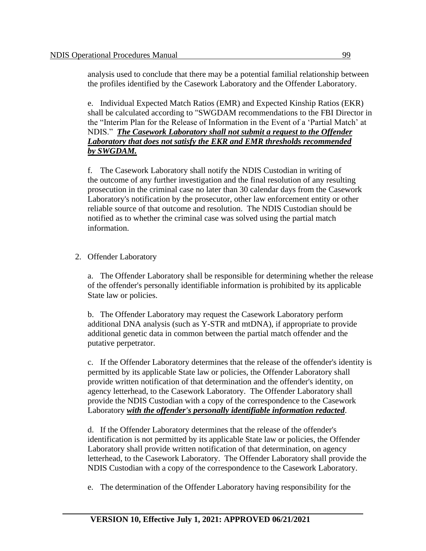analysis used to conclude that there may be a potential familial relationship between the profiles identified by the Casework Laboratory and the Offender Laboratory.

e. Individual Expected Match Ratios (EMR) and Expected Kinship Ratios (EKR) shall be calculated according to "SWGDAM recommendations to the FBI Director in the "Interim Plan for the Release of Information in the Event of a 'Partial Match' at NDIS." *The Casework Laboratory shall not submit a request to the Offender Laboratory that does not satisfy the EKR and EMR thresholds recommended by SWGDAM.*

f. The Casework Laboratory shall notify the NDIS Custodian in writing of the outcome of any further investigation and the final resolution of any resulting prosecution in the criminal case no later than 30 calendar days from the Casework Laboratory's notification by the prosecutor, other law enforcement entity or other reliable source of that outcome and resolution. The NDIS Custodian should be notified as to whether the criminal case was solved using the partial match information.

2. Offender Laboratory

a. The Offender Laboratory shall be responsible for determining whether the release of the offender's personally identifiable information is prohibited by its applicable State law or policies.

b. The Offender Laboratory may request the Casework Laboratory perform additional DNA analysis (such as Y-STR and mtDNA), if appropriate to provide additional genetic data in common between the partial match offender and the putative perpetrator.

c. If the Offender Laboratory determines that the release of the offender's identity is permitted by its applicable State law or policies, the Offender Laboratory shall provide written notification of that determination and the offender's identity, on agency letterhead, to the Casework Laboratory. The Offender Laboratory shall provide the NDIS Custodian with a copy of the correspondence to the Casework Laboratory *with the offender's personally identifiable information redacted*.

d. If the Offender Laboratory determines that the release of the offender's identification is not permitted by its applicable State law or policies, the Offender Laboratory shall provide written notification of that determination, on agency letterhead, to the Casework Laboratory. The Offender Laboratory shall provide the NDIS Custodian with a copy of the correspondence to the Casework Laboratory.

e. The determination of the Offender Laboratory having responsibility for the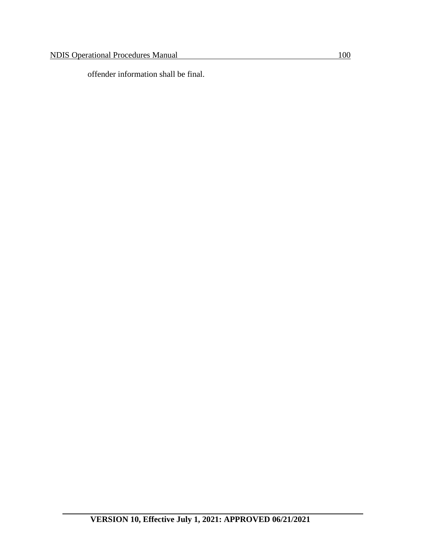offender information shall be final.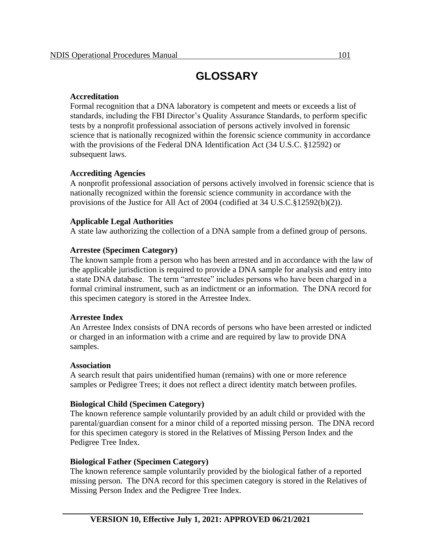## **GLOSSARY**

#### **Accreditation**

Formal recognition that a DNA laboratory is competent and meets or exceeds a list of standards, including the FBI Director's Quality Assurance Standards, to perform specific tests by a nonprofit professional association of persons actively involved in forensic science that is nationally recognized within the forensic science community in accordance with the provisions of the Federal DNA Identification Act (34 U.S.C. §12592) or subsequent laws.

#### **Accrediting Agencies**

A nonprofit professional association of persons actively involved in forensic science that is nationally recognized within the forensic science community in accordance with the provisions of the Justice for All Act of 2004 (codified at 34 U.S.C.§12592(b)(2)).

#### **Applicable Legal Authorities**

A state law authorizing the collection of a DNA sample from a defined group of persons.

#### **Arrestee (Specimen Category)**

The known sample from a person who has been arrested and in accordance with the law of the applicable jurisdiction is required to provide a DNA sample for analysis and entry into a state DNA database. The term "arrestee" includes persons who have been charged in a formal criminal instrument, such as an indictment or an information. The DNA record for this specimen category is stored in the Arrestee Index.

#### **Arrestee Index**

An Arrestee Index consists of DNA records of persons who have been arrested or indicted or charged in an information with a crime and are required by law to provide DNA samples.

#### **Association**

A search result that pairs unidentified human (remains) with one or more reference samples or Pedigree Trees; it does not reflect a direct identity match between profiles.

#### **Biological Child (Specimen Category)**

The known reference sample voluntarily provided by an adult child or provided with the parental/guardian consent for a minor child of a reported missing person. The DNA record for this specimen category is stored in the Relatives of Missing Person Index and the Pedigree Tree Index.

#### **Biological Father (Specimen Category)**

The known reference sample voluntarily provided by the biological father of a reported missing person. The DNA record for this specimen category is stored in the Relatives of Missing Person Index and the Pedigree Tree Index.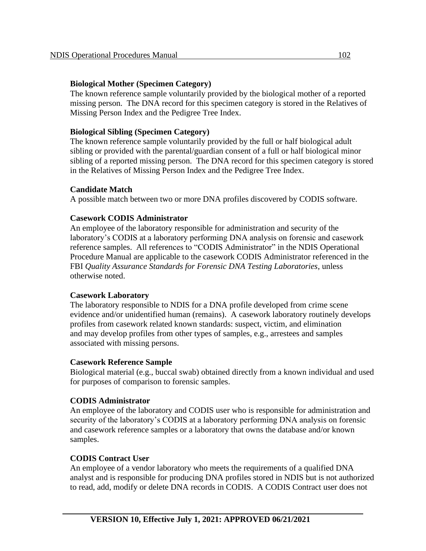#### **Biological Mother (Specimen Category)**

The known reference sample voluntarily provided by the biological mother of a reported missing person. The DNA record for this specimen category is stored in the Relatives of Missing Person Index and the Pedigree Tree Index.

#### **Biological Sibling (Specimen Category)**

The known reference sample voluntarily provided by the full or half biological adult sibling or provided with the parental/guardian consent of a full or half biological minor sibling of a reported missing person. The DNA record for this specimen category is stored in the Relatives of Missing Person Index and the Pedigree Tree Index.

#### **Candidate Match**

A possible match between two or more DNA profiles discovered by CODIS software.

#### **Casework CODIS Administrator**

An employee of the laboratory responsible for administration and security of the laboratory's CODIS at a laboratory performing DNA analysis on forensic and casework reference samples. All references to "CODIS Administrator" in the NDIS Operational Procedure Manual are applicable to the casework CODIS Administrator referenced in the FBI *Quality Assurance Standards for Forensic DNA Testing Laboratories*, unless otherwise noted.

#### **Casework Laboratory**

The laboratory responsible to NDIS for a DNA profile developed from crime scene evidence and/or unidentified human (remains). A casework laboratory routinely develops profiles from casework related known standards: suspect, victim, and elimination and may develop profiles from other types of samples, e.g., arrestees and samples associated with missing persons.

#### **Casework Reference Sample**

Biological material (e.g., buccal swab) obtained directly from a known individual and used for purposes of comparison to forensic samples.

#### **CODIS Administrator**

An employee of the laboratory and CODIS user who is responsible for administration and security of the laboratory's CODIS at a laboratory performing DNA analysis on forensic and casework reference samples or a laboratory that owns the database and/or known samples.

#### **CODIS Contract User**

An employee of a vendor laboratory who meets the requirements of a qualified DNA analyst and is responsible for producing DNA profiles stored in NDIS but is not authorized to read, add, modify or delete DNA records in CODIS. A CODIS Contract user does not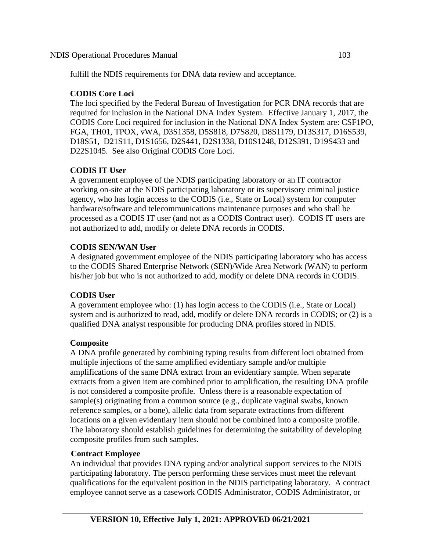fulfill the NDIS requirements for DNA data review and acceptance.

#### **CODIS Core Loci**

The loci specified by the Federal Bureau of Investigation for PCR DNA records that are required for inclusion in the National DNA Index System. Effective January 1, 2017, the CODIS Core Loci required for inclusion in the National DNA Index System are: CSF1PO, FGA, TH01, TPOX, vWA, D3S1358, D5S818, D7S820, D8S1179, D13S317, D16S539, D18S51, D21S11, D1S1656, D2S441, D2S1338, D10S1248, D12S391, D19S433 and D22S1045. See also Original CODIS Core Loci.

#### **CODIS IT User**

A government employee of the NDIS participating laboratory or an IT contractor working on-site at the NDIS participating laboratory or its supervisory criminal justice agency, who has login access to the CODIS (i.e., State or Local) system for computer hardware/software and telecommunications maintenance purposes and who shall be processed as a CODIS IT user (and not as a CODIS Contract user). CODIS IT users are not authorized to add, modify or delete DNA records in CODIS.

#### **CODIS SEN/WAN User**

A designated government employee of the NDIS participating laboratory who has access to the CODIS Shared Enterprise Network (SEN)/Wide Area Network (WAN) to perform his/her job but who is not authorized to add, modify or delete DNA records in CODIS.

#### **CODIS User**

A government employee who: (1) has login access to the CODIS (i.e., State or Local) system and is authorized to read, add, modify or delete DNA records in CODIS; or (2) is a qualified DNA analyst responsible for producing DNA profiles stored in NDIS.

#### **Composite**

A DNA profile generated by combining typing results from different loci obtained from multiple injections of the same amplified evidentiary sample and/or multiple amplifications of the same DNA extract from an evidentiary sample. When separate extracts from a given item are combined prior to amplification, the resulting DNA profile is not considered a composite profile. Unless there is a reasonable expectation of sample(s) originating from a common source (e.g., duplicate vaginal swabs, known reference samples, or a bone), allelic data from separate extractions from different locations on a given evidentiary item should not be combined into a composite profile. The laboratory should establish guidelines for determining the suitability of developing composite profiles from such samples.

#### **Contract Employee**

An individual that provides DNA typing and/or analytical support services to the NDIS participating laboratory. The person performing these services must meet the relevant qualifications for the equivalent position in the NDIS participating laboratory. A contract employee cannot serve as a casework CODIS Administrator, CODIS Administrator, or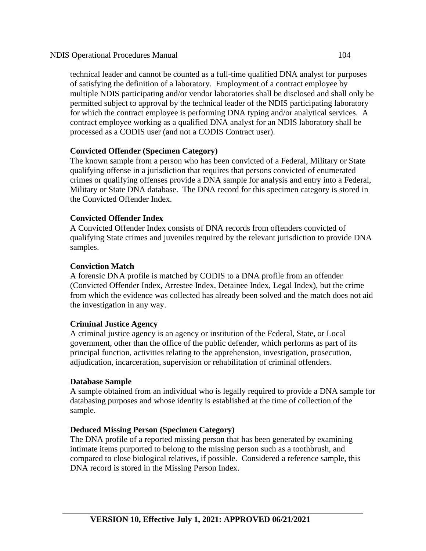technical leader and cannot be counted as a full-time qualified DNA analyst for purposes of satisfying the definition of a laboratory. Employment of a contract employee by multiple NDIS participating and/or vendor laboratories shall be disclosed and shall only be permitted subject to approval by the technical leader of the NDIS participating laboratory for which the contract employee is performing DNA typing and/or analytical services. A contract employee working as a qualified DNA analyst for an NDIS laboratory shall be processed as a CODIS user (and not a CODIS Contract user).

#### **Convicted Offender (Specimen Category)**

The known sample from a person who has been convicted of a Federal, Military or State qualifying offense in a jurisdiction that requires that persons convicted of enumerated crimes or qualifying offenses provide a DNA sample for analysis and entry into a Federal, Military or State DNA database. The DNA record for this specimen category is stored in the Convicted Offender Index.

#### **Convicted Offender Index**

A Convicted Offender Index consists of DNA records from offenders convicted of qualifying State crimes and juveniles required by the relevant jurisdiction to provide DNA samples.

#### **Conviction Match**

A forensic DNA profile is matched by CODIS to a DNA profile from an offender (Convicted Offender Index, Arrestee Index, Detainee Index, Legal Index), but the crime from which the evidence was collected has already been solved and the match does not aid the investigation in any way.

#### **Criminal Justice Agency**

A criminal justice agency is an agency or institution of the Federal, State, or Local government, other than the office of the public defender, which performs as part of its principal function, activities relating to the apprehension, investigation, prosecution, adjudication, incarceration, supervision or rehabilitation of criminal offenders.

#### **Database Sample**

A sample obtained from an individual who is legally required to provide a DNA sample for databasing purposes and whose identity is established at the time of collection of the sample.

#### **Deduced Missing Person (Specimen Category)**

The DNA profile of a reported missing person that has been generated by examining intimate items purported to belong to the missing person such as a toothbrush, and compared to close biological relatives, if possible. Considered a reference sample, this DNA record is stored in the Missing Person Index.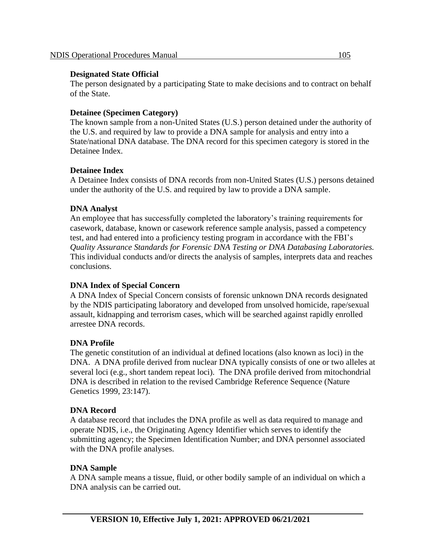#### **Designated State Official**

The person designated by a participating State to make decisions and to contract on behalf of the State.

#### **Detainee (Specimen Category)**

The known sample from a non-United States (U.S.) person detained under the authority of the U.S. and required by law to provide a DNA sample for analysis and entry into a State/national DNA database. The DNA record for this specimen category is stored in the Detainee Index.

### **Detainee Index**

A Detainee Index consists of DNA records from non-United States (U.S.) persons detained under the authority of the U.S. and required by law to provide a DNA sample.

### **DNA Analyst**

An employee that has successfully completed the laboratory's training requirements for casework, database, known or casework reference sample analysis, passed a competency test, and had entered into a proficiency testing program in accordance with the FBI's *Quality Assurance Standards for Forensic DNA Testing or DNA Databasing Laboratories.* This individual conducts and/or directs the analysis of samples, interprets data and reaches conclusions.

#### **DNA Index of Special Concern**

A DNA Index of Special Concern consists of forensic unknown DNA records designated by the NDIS participating laboratory and developed from unsolved homicide, rape/sexual assault, kidnapping and terrorism cases, which will be searched against rapidly enrolled arrestee DNA records.

### **DNA Profile**

The genetic constitution of an individual at defined locations (also known as loci) in the DNA. A DNA profile derived from nuclear DNA typically consists of one or two alleles at several loci (e.g., short tandem repeat loci). The DNA profile derived from mitochondrial DNA is described in relation to the revised Cambridge Reference Sequence (Nature Genetics 1999, 23:147).

#### **DNA Record**

A database record that includes the DNA profile as well as data required to manage and operate NDIS, i.e., the Originating Agency Identifier which serves to identify the submitting agency; the Specimen Identification Number; and DNA personnel associated with the DNA profile analyses.

#### **DNA Sample**

A DNA sample means a tissue, fluid, or other bodily sample of an individual on which a DNA analysis can be carried out.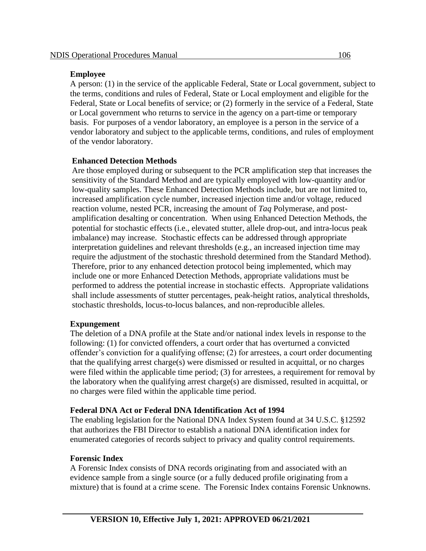#### **Employee**

A person: (1) in the service of the applicable Federal, State or Local government, subject to the terms, conditions and rules of Federal, State or Local employment and eligible for the Federal, State or Local benefits of service; or (2) formerly in the service of a Federal, State or Local government who returns to service in the agency on a part-time or temporary basis. For purposes of a vendor laboratory, an employee is a person in the service of a vendor laboratory and subject to the applicable terms, conditions, and rules of employment of the vendor laboratory.

#### **Enhanced Detection Methods**

Are those employed during or subsequent to the PCR amplification step that increases the sensitivity of the Standard Method and are typically employed with low-quantity and/or low-quality samples. These Enhanced Detection Methods include, but are not limited to, increased amplification cycle number, increased injection time and/or voltage, reduced reaction volume, nested PCR, increasing the amount of *Taq* Polymerase, and postamplification desalting or concentration. When using Enhanced Detection Methods, the potential for stochastic effects (i.e., elevated stutter, allele drop-out, and intra-locus peak imbalance) may increase. Stochastic effects can be addressed through appropriate interpretation guidelines and relevant thresholds (e.g., an increased injection time may require the adjustment of the stochastic threshold determined from the Standard Method). Therefore, prior to any enhanced detection protocol being implemented, which may include one or more Enhanced Detection Methods, appropriate validations must be performed to address the potential increase in stochastic effects. Appropriate validations shall include assessments of stutter percentages, peak-height ratios, analytical thresholds, stochastic thresholds, locus-to-locus balances, and non-reproducible alleles.

#### **Expungement**

The deletion of a DNA profile at the State and/or national index levels in response to the following: (1) for convicted offenders, a court order that has overturned a convicted offender's conviction for a qualifying offense; (2) for arrestees, a court order documenting that the qualifying arrest charge(s) were dismissed or resulted in acquittal, or no charges were filed within the applicable time period; (3) for arrestees, a requirement for removal by the laboratory when the qualifying arrest charge(s) are dismissed, resulted in acquittal, or no charges were filed within the applicable time period.

#### **Federal DNA Act or Federal DNA Identification Act of 1994**

The enabling legislation for the National DNA Index System found at 34 U.S.C. §12592 that authorizes the FBI Director to establish a national DNA identification index for enumerated categories of records subject to privacy and quality control requirements.

#### **Forensic Index**

A Forensic Index consists of DNA records originating from and associated with an evidence sample from a single source (or a fully deduced profile originating from a mixture) that is found at a crime scene. The Forensic Index contains Forensic Unknowns.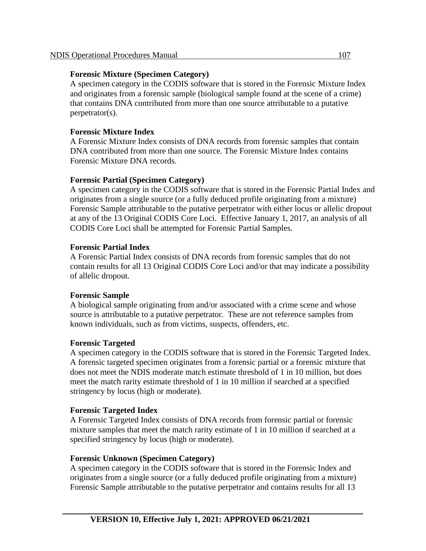#### **Forensic Mixture (Specimen Category)**

A specimen category in the CODIS software that is stored in the Forensic Mixture Index and originates from a forensic sample (biological sample found at the scene of a crime) that contains DNA contributed from more than one source attributable to a putative perpetrator(s).

#### **Forensic Mixture Index**

A Forensic Mixture Index consists of DNA records from forensic samples that contain DNA contributed from more than one source. The Forensic Mixture Index contains Forensic Mixture DNA records.

#### **Forensic Partial (Specimen Category)**

A specimen category in the CODIS software that is stored in the Forensic Partial Index and originates from a single source (or a fully deduced profile originating from a mixture) Forensic Sample attributable to the putative perpetrator with either locus or allelic dropout at any of the 13 Original CODIS Core Loci. Effective January 1, 2017, an analysis of all CODIS Core Loci shall be attempted for Forensic Partial Samples.

#### **Forensic Partial Index**

A Forensic Partial Index consists of DNA records from forensic samples that do not contain results for all 13 Original CODIS Core Loci and/or that may indicate a possibility of allelic dropout.

#### **Forensic Sample**

A biological sample originating from and/or associated with a crime scene and whose source is attributable to a putative perpetrator. These are not reference samples from known individuals, such as from victims, suspects, offenders, etc.

#### **Forensic Targeted**

A specimen category in the CODIS software that is stored in the Forensic Targeted Index. A forensic targeted specimen originates from a forensic partial or a forensic mixture that does not meet the NDIS moderate match estimate threshold of 1 in 10 million, but does meet the match rarity estimate threshold of 1 in 10 million if searched at a specified stringency by locus (high or moderate).

#### **Forensic Targeted Index**

A Forensic Targeted Index consists of DNA records from forensic partial or forensic mixture samples that meet the match rarity estimate of 1 in 10 million if searched at a specified stringency by locus (high or moderate).

#### **Forensic Unknown (Specimen Category)**

A specimen category in the CODIS software that is stored in the Forensic Index and originates from a single source (or a fully deduced profile originating from a mixture) Forensic Sample attributable to the putative perpetrator and contains results for all 13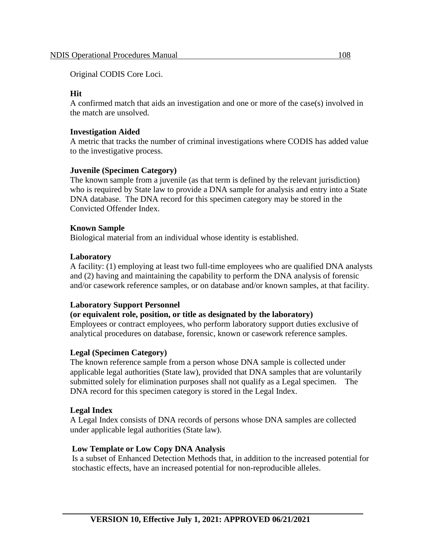Original CODIS Core Loci.

#### **Hit**

A confirmed match that aids an investigation and one or more of the case(s) involved in the match are unsolved.

#### **Investigation Aided**

A metric that tracks the number of criminal investigations where CODIS has added value to the investigative process.

#### **Juvenile (Specimen Category)**

The known sample from a juvenile (as that term is defined by the relevant jurisdiction) who is required by State law to provide a DNA sample for analysis and entry into a State DNA database. The DNA record for this specimen category may be stored in the Convicted Offender Index.

#### **Known Sample**

Biological material from an individual whose identity is established.

#### **Laboratory**

A facility: (1) employing at least two full-time employees who are qualified DNA analysts and (2) having and maintaining the capability to perform the DNA analysis of forensic and/or casework reference samples, or on database and/or known samples, at that facility.

#### **Laboratory Support Personnel**

#### **(or equivalent role, position, or title as designated by the laboratory)**

Employees or contract employees, who perform laboratory support duties exclusive of analytical procedures on database, forensic, known or casework reference samples.

#### **Legal (Specimen Category)**

The known reference sample from a person whose DNA sample is collected under applicable legal authorities (State law), provided that DNA samples that are voluntarily submitted solely for elimination purposes shall not qualify as a Legal specimen. The DNA record for this specimen category is stored in the Legal Index.

#### **Legal Index**

A Legal Index consists of DNA records of persons whose DNA samples are collected under applicable legal authorities (State law).

#### **Low Template or Low Copy DNA Analysis**

Is a subset of Enhanced Detection Methods that, in addition to the increased potential for stochastic effects, have an increased potential for non-reproducible alleles.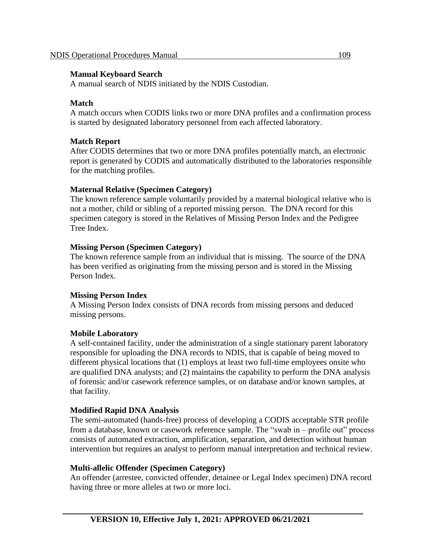### **Manual Keyboard Search**

A manual search of NDIS initiated by the NDIS Custodian.

# **Match**

A match occurs when CODIS links two or more DNA profiles and a confirmation process is started by designated laboratory personnel from each affected laboratory.

# **Match Report**

After CODIS determines that two or more DNA profiles potentially match, an electronic report is generated by CODIS and automatically distributed to the laboratories responsible for the matching profiles.

# **Maternal Relative (Specimen Category)**

The known reference sample voluntarily provided by a maternal biological relative who is not a mother, child or sibling of a reported missing person. The DNA record for this specimen category is stored in the Relatives of Missing Person Index and the Pedigree Tree Index.

# **Missing Person (Specimen Category)**

The known reference sample from an individual that is missing. The source of the DNA has been verified as originating from the missing person and is stored in the Missing Person Index.

# **Missing Person Index**

A Missing Person Index consists of DNA records from missing persons and deduced missing persons.

# **Mobile Laboratory**

A self-contained facility, under the administration of a single stationary parent laboratory responsible for uploading the DNA records to NDIS, that is capable of being moved to different physical locations that (1) employs at least two full-time employees onsite who are qualified DNA analysts; and (2) maintains the capability to perform the DNA analysis of forensic and/or casework reference samples, or on database and/or known samples, at that facility.

# **Modified Rapid DNA Analysis**

The semi-automated (hands-free) process of developing a CODIS acceptable STR profile from a database, known or casework reference sample. The "swab in – profile out" process consists of automated extraction, amplification, separation, and detection without human intervention but requires an analyst to perform manual interpretation and technical review.

# **Multi-allelic Offender (Specimen Category)**

An offender (arrestee, convicted offender, detainee or Legal Index specimen) DNA record having three or more alleles at two or more loci.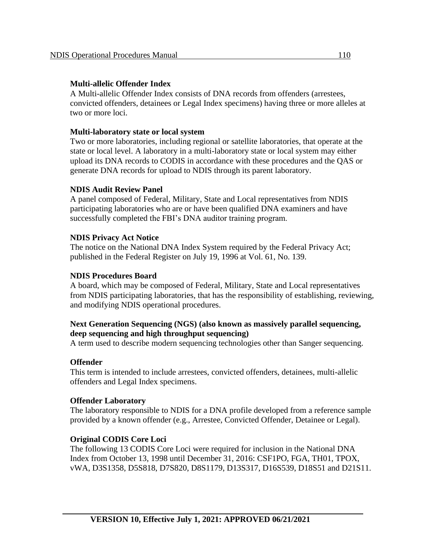### **Multi-allelic Offender Index**

A Multi-allelic Offender Index consists of DNA records from offenders (arrestees, convicted offenders, detainees or Legal Index specimens) having three or more alleles at two or more loci.

# **Multi-laboratory state or local system**

Two or more laboratories, including regional or satellite laboratories, that operate at the state or local level. A laboratory in a multi-laboratory state or local system may either upload its DNA records to CODIS in accordance with these procedures and the QAS or generate DNA records for upload to NDIS through its parent laboratory.

# **NDIS Audit Review Panel**

A panel composed of Federal, Military, State and Local representatives from NDIS participating laboratories who are or have been qualified DNA examiners and have successfully completed the FBI's DNA auditor training program.

# **NDIS Privacy Act Notice**

The notice on the National DNA Index System required by the Federal Privacy Act; published in the Federal Register on July 19, 1996 at Vol. 61, No. 139.

### **NDIS Procedures Board**

A board, which may be composed of Federal, Military, State and Local representatives from NDIS participating laboratories, that has the responsibility of establishing, reviewing, and modifying NDIS operational procedures.

# **Next Generation Sequencing (NGS) (also known as massively parallel sequencing, deep sequencing and high throughput sequencing)**

A term used to describe modern sequencing technologies other than Sanger sequencing.

# **Offender**

This term is intended to include arrestees, convicted offenders, detainees, multi-allelic offenders and Legal Index specimens.

### **Offender Laboratory**

The laboratory responsible to NDIS for a DNA profile developed from a reference sample provided by a known offender (e.g., Arrestee, Convicted Offender, Detainee or Legal).

# **Original CODIS Core Loci**

The following 13 CODIS Core Loci were required for inclusion in the National DNA Index from October 13, 1998 until December 31, 2016: CSF1PO, FGA, TH01, TPOX, vWA, D3S1358, D5S818, D7S820, D8S1179, D13S317, D16S539, D18S51 and D21S11.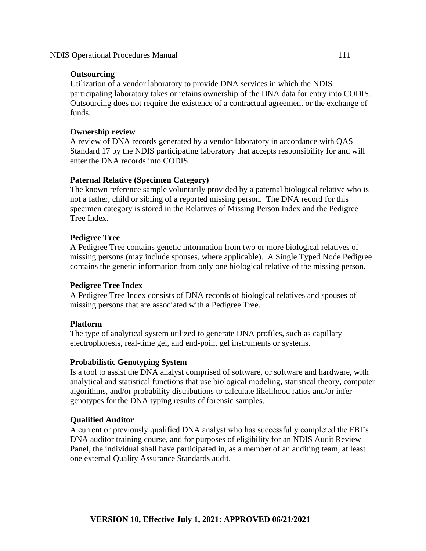### **Outsourcing**

Utilization of a vendor laboratory to provide DNA services in which the NDIS participating laboratory takes or retains ownership of the DNA data for entry into CODIS. Outsourcing does not require the existence of a contractual agreement or the exchange of funds.

# **Ownership review**

A review of DNA records generated by a vendor laboratory in accordance with QAS Standard 17 by the NDIS participating laboratory that accepts responsibility for and will enter the DNA records into CODIS.

# **Paternal Relative (Specimen Category)**

The known reference sample voluntarily provided by a paternal biological relative who is not a father, child or sibling of a reported missing person. The DNA record for this specimen category is stored in the Relatives of Missing Person Index and the Pedigree Tree Index.

# **Pedigree Tree**

A Pedigree Tree contains genetic information from two or more biological relatives of missing persons (may include spouses, where applicable). A Single Typed Node Pedigree contains the genetic information from only one biological relative of the missing person.

### **Pedigree Tree Index**

A Pedigree Tree Index consists of DNA records of biological relatives and spouses of missing persons that are associated with a Pedigree Tree.

### **Platform**

The type of analytical system utilized to generate DNA profiles, such as capillary electrophoresis, real-time gel, and end-point gel instruments or systems.

### **Probabilistic Genotyping System**

Is a tool to assist the DNA analyst comprised of software, or software and hardware, with analytical and statistical functions that use biological modeling, statistical theory, computer algorithms, and/or probability distributions to calculate likelihood ratios and/or infer genotypes for the DNA typing results of forensic samples.

# **Qualified Auditor**

A current or previously qualified DNA analyst who has successfully completed the FBI's DNA auditor training course, and for purposes of eligibility for an NDIS Audit Review Panel, the individual shall have participated in, as a member of an auditing team, at least one external Quality Assurance Standards audit.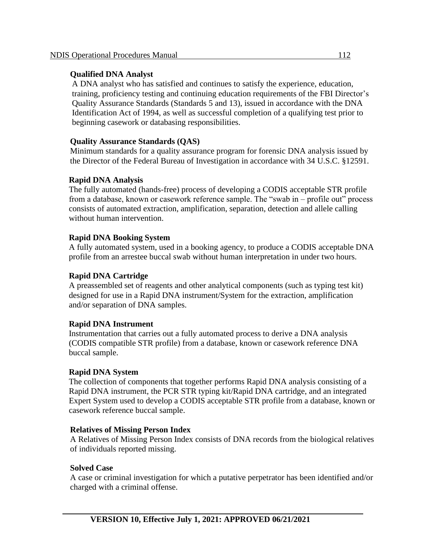### **Qualified DNA Analyst**

A DNA analyst who has satisfied and continues to satisfy the experience, education, training, proficiency testing and continuing education requirements of the FBI Director's Quality Assurance Standards (Standards 5 and 13), issued in accordance with the DNA Identification Act of 1994, as well as successful completion of a qualifying test prior to beginning casework or databasing responsibilities.

# **Quality Assurance Standards (QAS)**

Minimum standards for a quality assurance program for forensic DNA analysis issued by the Director of the Federal Bureau of Investigation in accordance with 34 U.S.C. §12591.

# **Rapid DNA Analysis**

The fully automated (hands-free) process of developing a CODIS acceptable STR profile from a database, known or casework reference sample. The "swab in – profile out" process consists of automated extraction, amplification, separation, detection and allele calling without human intervention.

# **Rapid DNA Booking System**

A fully automated system, used in a booking agency, to produce a CODIS acceptable DNA profile from an arrestee buccal swab without human interpretation in under two hours.

# **Rapid DNA Cartridge**

A preassembled set of reagents and other analytical components (such as typing test kit) designed for use in a Rapid DNA instrument/System for the extraction, amplification and/or separation of DNA samples.

# **Rapid DNA Instrument**

Instrumentation that carries out a fully automated process to derive a DNA analysis (CODIS compatible STR profile) from a database, known or casework reference DNA buccal sample.

### **Rapid DNA System**

The collection of components that together performs Rapid DNA analysis consisting of a Rapid DNA instrument, the PCR STR typing kit/Rapid DNA cartridge, and an integrated Expert System used to develop a CODIS acceptable STR profile from a database, known or casework reference buccal sample.

### **Relatives of Missing Person Index**

A Relatives of Missing Person Index consists of DNA records from the biological relatives of individuals reported missing.

### **Solved Case**

A case or criminal investigation for which a putative perpetrator has been identified and/or charged with a criminal offense.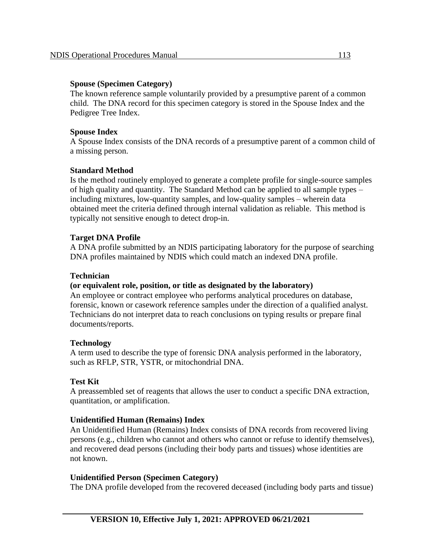#### **Spouse (Specimen Category)**

The known reference sample voluntarily provided by a presumptive parent of a common child. The DNA record for this specimen category is stored in the Spouse Index and the Pedigree Tree Index.

#### **Spouse Index**

A Spouse Index consists of the DNA records of a presumptive parent of a common child of a missing person.

### **Standard Method**

Is the method routinely employed to generate a complete profile for single-source samples of high quality and quantity. The Standard Method can be applied to all sample types – including mixtures, low-quantity samples, and low-quality samples – wherein data obtained meet the criteria defined through internal validation as reliable. This method is typically not sensitive enough to detect drop-in.

### **Target DNA Profile**

A DNA profile submitted by an NDIS participating laboratory for the purpose of searching DNA profiles maintained by NDIS which could match an indexed DNA profile.

#### **Technician**

### **(or equivalent role, position, or title as designated by the laboratory)**

An employee or contract employee who performs analytical procedures on database, forensic, known or casework reference samples under the direction of a qualified analyst. Technicians do not interpret data to reach conclusions on typing results or prepare final documents/reports.

#### **Technology**

A term used to describe the type of forensic DNA analysis performed in the laboratory, such as RFLP, STR, YSTR, or mitochondrial DNA.

#### **Test Kit**

A preassembled set of reagents that allows the user to conduct a specific DNA extraction, quantitation, or amplification.

### **Unidentified Human (Remains) Index**

An Unidentified Human (Remains) Index consists of DNA records from recovered living persons (e.g., children who cannot and others who cannot or refuse to identify themselves), and recovered dead persons (including their body parts and tissues) whose identities are not known.

#### **Unidentified Person (Specimen Category)**

The DNA profile developed from the recovered deceased (including body parts and tissue)